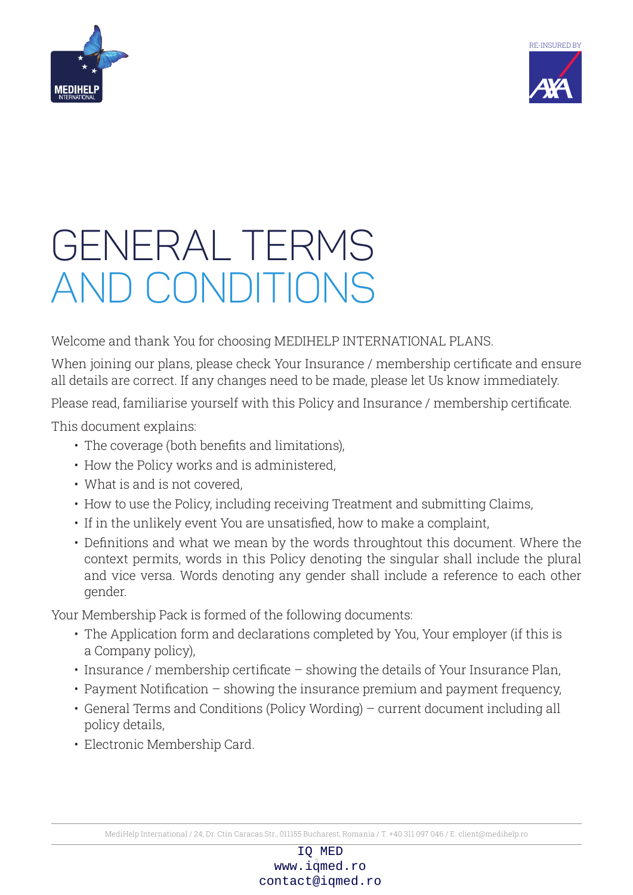



# GENERAL TERMS and CONDITIONS

Welcome and thank You for choosing MEDIHELP INTERNATIONAL PLANS.

When joining our plans, please check Your Insurance / membership certificate and ensure all details are correct. If any changes need to be made, please let Us know immediately.

Please read, familiarise yourself with this Policy and Insurance / membership certificate.

This document explains:

- The coverage (both benefits and limitations),
- How the Policy works and is administered,
- What is and is not covered,
- How to use the Policy, including receiving Treatment and submitting Claims,
- If in the unlikely event You are unsatisfied, how to make a complaint,
- Definitions and what we mean by the words throughtout this document. Where the context permits, words in this Policy denoting the singular shall include the plural and vice versa. Words denoting any gender shall include a reference to each other gender.

Your Membership Pack is formed of the following documents:

- The Application form and declarations completed by You, Your employer (if this is a Company policy),
- Insurance / membership certificate showing the details of Your Insurance Plan,
- Payment Notification showing the insurance premium and payment frequency,
- General Terms and Conditions (Policy Wording) current document including all policy details,
- Electronic Membership Card.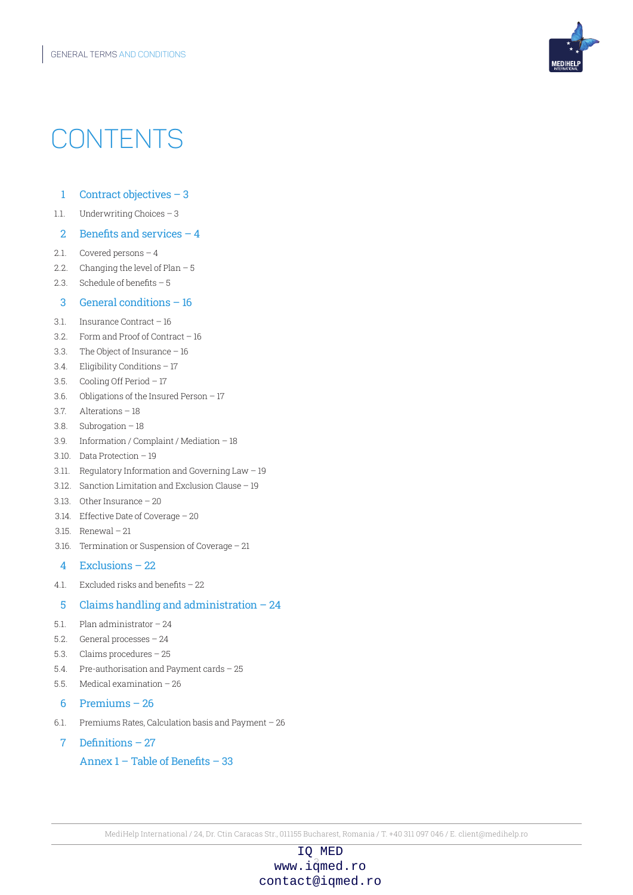

## **CONTENTS**

- 1 Contract objectives 3
- 1.1. Underwriting Choices 3

#### 2 Benefits and services  $-4$

- 2.1. Covered persons 4
- 2.2. Changing the level of Plan 5
- 2.3. Schedule of benefits 5

#### 3 General conditions – 16

- 3.1. Insurance Contract 16
- 3.2. Form and Proof of Contract 16
- 3.3. The Object of Insurance 16
- 3.4. Eligibility Conditions 17
- 3.5. Cooling Off Period 17
- 3.6. Obligations of the Insured Person 17
- 3.7. Alterations 18
- 3.8. Subrogation 18
- 3.9. Information / Complaint / Mediation 18
- 3.10. Data Protection 19
- 3.11. Regulatory Information and Governing Law 19
- 3.12. Sanction Limitation and Exclusion Clause 19
- 3.13. Other Insurance 20
- 3.14. Effective Date of Coverage 20
- 3.15. Renewal 21
- 3.16. Termination or Suspension of Coverage 21

### 4 Exclusions – 22

4.1. Excluded risks and benefits – 22

### 5 Claims handling and administration – 24

- 5.1. Plan administrator 24
- 5.2. General processes 24
- 5.3. Claims procedures 25
- 5.4. Pre-authorisation and Payment cards 25
- 5.5. Medical examination 26
- 6 Premiums 26
- 6.1. Premiums Rates, Calculation basis and Payment 26
- 7 Definitions 27

Annex 1 – Table of Benefits – 33

MediHelp International / 24, Dr. Ctin Caracas Str., 011155 Bucharest, Romania / T. +40 311 097 046 / E. client@medihelp.ro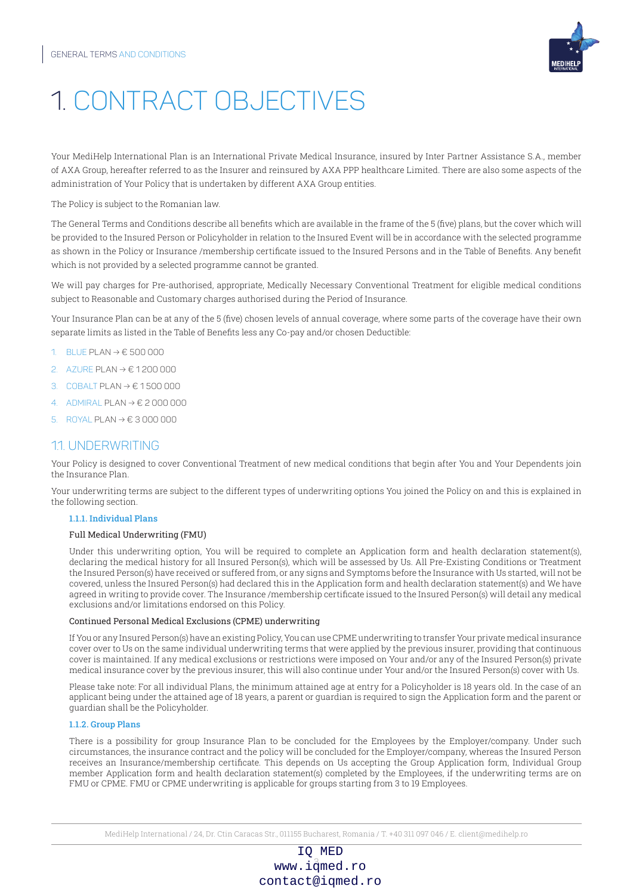

## 1. CONTRACT OBJECTIVES

Your MediHelp International Plan is an International Private Medical Insurance, insured by Inter Partner Assistance S.A., member of AXA Group, hereafter referred to as the Insurer and reinsured by AXA PPP healthcare Limited. There are also some aspects of the administration of Your Policy that is undertaken by different AXA Group entities.

The Policy is subject to the Romanian law.

The General Terms and Conditions describe all benefits which are available in the frame of the 5 (five) plans, but the cover which will be provided to the Insured Person or Policyholder in relation to the Insured Event will be in accordance with the selected programme as shown in the Policy or Insurance /membership certificate issued to the Insured Persons and in the Table of Benefits. Any benefit which is not provided by a selected programme cannot be granted.

We will pay charges for Pre-authorised, appropriate, Medically Necessary Conventional Treatment for eligible medical conditions subject to Reasonable and Customary charges authorised during the Period of Insurance.

Your Insurance Plan can be at any of the 5 (five) chosen levels of annual coverage, where some parts of the coverage have their own separate limits as listed in the Table of Benefits less any Co-pay and/or chosen Deductible:

- 1. blue Plan → € 500 000
- 2. azure Plan → € 1 200 000
- 3. COBALT PLAN  $\rightarrow \epsilon$  1500 000
- 4. admiral Plan → € 2 000 000
- 5. royal Plan → € 3 000 000

### 1.1. UNDERWRITING

Your Policy is designed to cover Conventional Treatment of new medical conditions that begin after You and Your Dependents join the Insurance Plan.

Your underwriting terms are subject to the different types of underwriting options You joined the Policy on and this is explained in the following section.

#### 1.1.1. Individual Plans

#### Full Medical Underwriting (FMU)

Under this underwriting option, You will be required to complete an Application form and health declaration statement(s), declaring the medical history for all Insured Person(s), which will be assessed by Us. All Pre-Existing Conditions or Treatment the Insured Person(s) have received or suffered from, or any signs and Symptoms before the Insurance with Us started, will not be covered, unless the Insured Person(s) had declared this in the Application form and health declaration statement(s) and We have agreed in writing to provide cover. The Insurance /membership certificate issued to the Insured Person(s) will detail any medical exclusions and/or limitations endorsed on this Policy.

#### Continued Personal Medical Exclusions (CPME) underwriting

If You or any Insured Person(s) have an existing Policy, You can use CPME underwriting to transfer Your private medical insurance cover over to Us on the same individual underwriting terms that were applied by the previous insurer, providing that continuous cover is maintained. If any medical exclusions or restrictions were imposed on Your and/or any of the Insured Person(s) private medical insurance cover by the previous insurer, this will also continue under Your and/or the Insured Person(s) cover with Us.

Please take note: For all individual Plans, the minimum attained age at entry for a Policyholder is 18 years old. In the case of an applicant being under the attained age of 18 years, a parent or guardian is required to sign the Application form and the parent or guardian shall be the Policyholder.

#### 1.1.2. Group Plans

There is a possibility for group Insurance Plan to be concluded for the Employees by the Employer/company. Under such circumstances, the insurance contract and the policy will be concluded for the Employer/company, whereas the Insured Person receives an Insurance/membership certificate. This depends on Us accepting the Group Application form, Individual Group member Application form and health declaration statement(s) completed by the Employees, if the underwriting terms are on FMU or CPME. FMU or CPME underwriting is applicable for groups starting from 3 to 19 Employees.

MediHelp International / 24, Dr. Ctin Caracas Str., 011155 Bucharest, Romania / T. +40 311 097 046 / E. client@medihelp.ro

## www.i $\overset{3}{\text{q}}$ med.ro IQ MED contact@iqmed.ro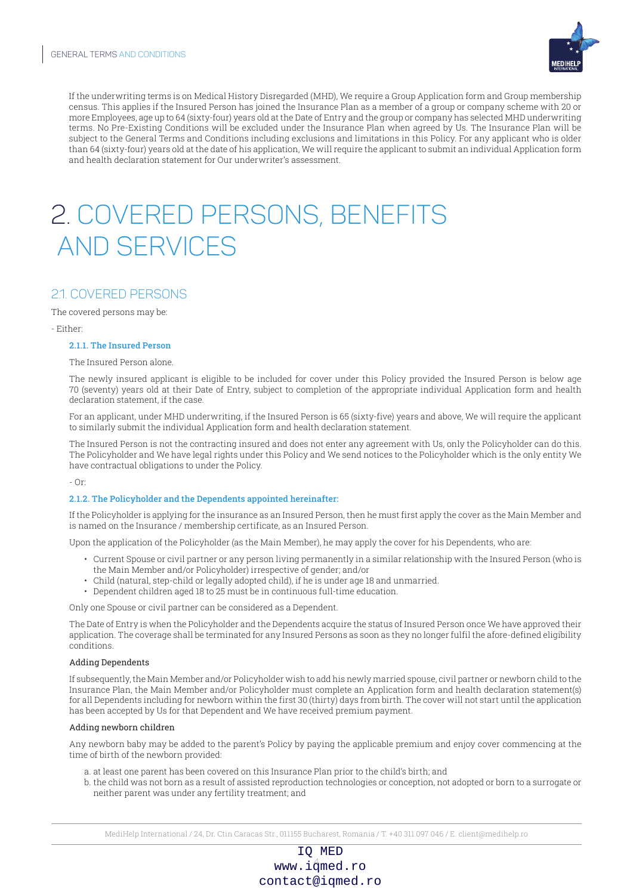

If the underwriting terms is on Medical History Disregarded (MHD), We require a Group Application form and Group membership census. This applies if the Insured Person has joined the Insurance Plan as a member of a group or company scheme with 20 or more Employees, age up to 64 (sixty-four) years old at the Date of Entry and the group or company has selected MHD underwriting terms. No Pre-Existing Conditions will be excluded under the Insurance Plan when agreed by Us. The Insurance Plan will be subject to the General Terms and Conditions including exclusions and limitations in this Policy. For any applicant who is older than 64 (sixty-four) years old at the date of his application, We will require the applicant to submit an individual Application form and health declaration statement for Our underwriter's assessment.

## 2. COVERED PERSONS, BENEFITS AND SERVICES

## 2.1. COVERED PERSONS

The covered persons may be:

- Either:

#### 2.1.1. The Insured Person

The Insured Person alone.

The newly insured applicant is eligible to be included for cover under this Policy provided the Insured Person is below age 70 (seventy) years old at their Date of Entry, subject to completion of the appropriate individual Application form and health declaration statement, if the case.

For an applicant, under MHD underwriting, if the Insured Person is 65 (sixty-five) years and above, We will require the applicant to similarly submit the individual Application form and health declaration statement.

The Insured Person is not the contracting insured and does not enter any agreement with Us, only the Policyholder can do this. The Policyholder and We have legal rights under this Policy and We send notices to the Policyholder which is the only entity We have contractual obligations to under the Policy.

- Or:

#### 2.1.2. The Policyholder and the Dependents appointed hereinafter:

If the Policyholder is applying for the insurance as an Insured Person, then he must first apply the cover as the Main Member and is named on the Insurance / membership certificate, as an Insured Person.

Upon the application of the Policyholder (as the Main Member), he may apply the cover for his Dependents, who are:

- Current Spouse or civil partner or any person living permanently in a similar relationship with the Insured Person (who is the Main Member and/or Policyholder) irrespective of gender; and/or
- Child (natural, step-child or legally adopted child), if he is under age 18 and unmarried.
- Dependent children aged 18 to 25 must be in continuous full-time education.

Only one Spouse or civil partner can be considered as a Dependent.

The Date of Entry is when the Policyholder and the Dependents acquire the status of Insured Person once We have approved their application. The coverage shall be terminated for any Insured Persons as soon as they no longer fulfil the afore-defined eligibility conditions.

#### Adding Dependents

If subsequently, the Main Member and/or Policyholder wish to add his newly married spouse, civil partner or newborn child to the Insurance Plan, the Main Member and/or Policyholder must complete an Application form and health declaration statement(s) for all Dependents including for newborn within the first 30 (thirty) days from birth. The cover will not start until the application has been accepted by Us for that Dependent and We have received premium payment.

#### Adding newborn children

Any newborn baby may be added to the parent's Policy by paying the applicable premium and enjoy cover commencing at the time of birth of the newborn provided:

- a. at least one parent has been covered on this Insurance Plan prior to the child's birth; and
- b. the child was not born as a result of assisted reproduction technologies or conception, not adopted or born to a surrogate or neither parent was under any fertility treatment; and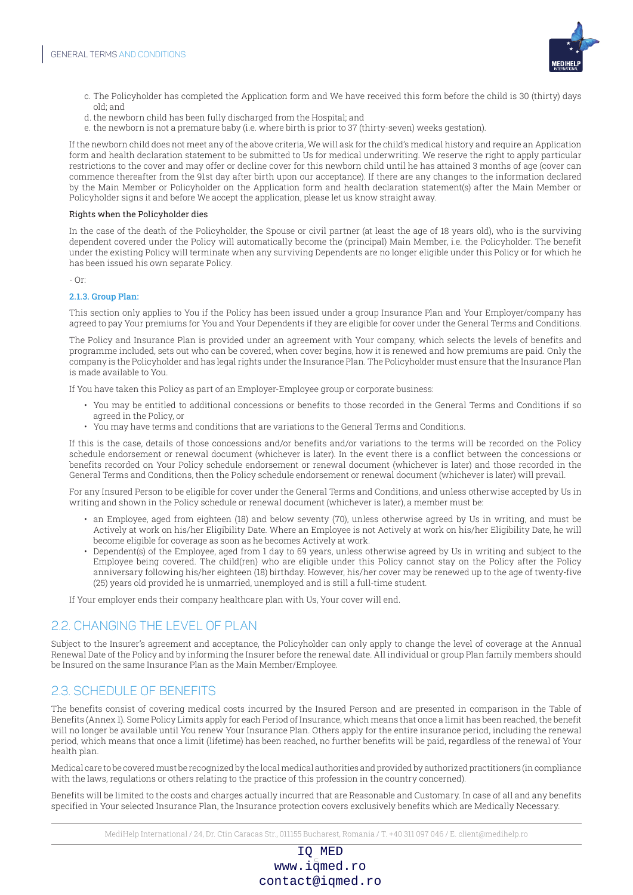

- c. The Policyholder has completed the Application form and We have received this form before the child is 30 (thirty) days old; and
- d. the newborn child has been fully discharged from the Hospital; and
- e. the newborn is not a premature baby (i.e. where birth is prior to 37 (thirty-seven) weeks gestation).

If the newborn child does not meet any of the above criteria, We will ask for the child's medical history and require an Application form and health declaration statement to be submitted to Us for medical underwriting. We reserve the right to apply particular restrictions to the cover and may offer or decline cover for this newborn child until he has attained 3 months of age (cover can commence thereafter from the 91st day after birth upon our acceptance). If there are any changes to the information declared by the Main Member or Policyholder on the Application form and health declaration statement(s) after the Main Member or Policyholder signs it and before We accept the application, please let us know straight away.

#### Rights when the Policyholder dies

In the case of the death of the Policyholder, the Spouse or civil partner (at least the age of 18 years old), who is the surviving dependent covered under the Policy will automatically become the (principal) Main Member, i.e. the Policyholder. The benefit under the existing Policy will terminate when any surviving Dependents are no longer eligible under this Policy or for which he has been issued his own separate Policy.

- Or:

#### 2.1.3. Group Plan:

This section only applies to You if the Policy has been issued under a group Insurance Plan and Your Employer/company has agreed to pay Your premiums for You and Your Dependents if they are eligible for cover under the General Terms and Conditions.

The Policy and Insurance Plan is provided under an agreement with Your company, which selects the levels of benefits and programme included, sets out who can be covered, when cover begins, how it is renewed and how premiums are paid. Only the company is the Policyholder and has legal rights under the Insurance Plan. The Policyholder must ensure that the Insurance Plan is made available to You.

If You have taken this Policy as part of an Employer-Employee group or corporate business:

- You may be entitled to additional concessions or benefits to those recorded in the General Terms and Conditions if so agreed in the Policy, or
- You may have terms and conditions that are variations to the General Terms and Conditions.

If this is the case, details of those concessions and/or benefits and/or variations to the terms will be recorded on the Policy schedule endorsement or renewal document (whichever is later). In the event there is a conflict between the concessions or benefits recorded on Your Policy schedule endorsement or renewal document (whichever is later) and those recorded in the General Terms and Conditions, then the Policy schedule endorsement or renewal document (whichever is later) will prevail.

For any Insured Person to be eligible for cover under the General Terms and Conditions, and unless otherwise accepted by Us in writing and shown in the Policy schedule or renewal document (whichever is later), a member must be:

- an Employee, aged from eighteen (18) and below seventy (70), unless otherwise agreed by Us in writing, and must be Actively at work on his/her Eligibility Date. Where an Employee is not Actively at work on his/her Eligibility Date, he will become eligible for coverage as soon as he becomes Actively at work.
- Dependent(s) of the Employee, aged from 1 day to 69 years, unless otherwise agreed by Us in writing and subject to the Employee being covered. The child(ren) who are eligible under this Policy cannot stay on the Policy after the Policy anniversary following his/her eighteen (18) birthday. However, his/her cover may be renewed up to the age of twenty-five (25) years old provided he is unmarried, unemployed and is still a full-time student.

If Your employer ends their company healthcare plan with Us, Your cover will end.

## 2.2. CHANGING THE LEVEL OF PLAN

Subject to the Insurer's agreement and acceptance, the Policyholder can only apply to change the level of coverage at the Annual Renewal Date of the Policy and by informing the Insurer before the renewal date. All individual or group Plan family members should be Insured on the same Insurance Plan as the Main Member/Employee.

## 2.3. SCHEDULE OF BENEFITS

The benefits consist of covering medical costs incurred by the Insured Person and are presented in comparison in the Table of Benefits (Annex 1). Some Policy Limits apply for each Period of Insurance, which means that once a limit has been reached, the benefit will no longer be available until You renew Your Insurance Plan. Others apply for the entire insurance period, including the renewal period, which means that once a limit (lifetime) has been reached, no further benefits will be paid, regardless of the renewal of Your health plan.

Medical care to be covered must be recognized by the local medical authorities and provided by authorized practitioners (in compliance with the laws, regulations or others relating to the practice of this profession in the country concerned).

Benefits will be limited to the costs and charges actually incurred that are Reasonable and Customary. In case of all and any benefits specified in Your selected Insurance Plan, the Insurance protection covers exclusively benefits which are Medically Necessary.

MediHelp International / 24, Dr. Ctin Caracas Str., 011155 Bucharest, Romania / T. +40 311 097 046 / E. client@medihelp.ro

## www.i $\frac{5}{4}$ med.ro IQ MED contact@iqmed.ro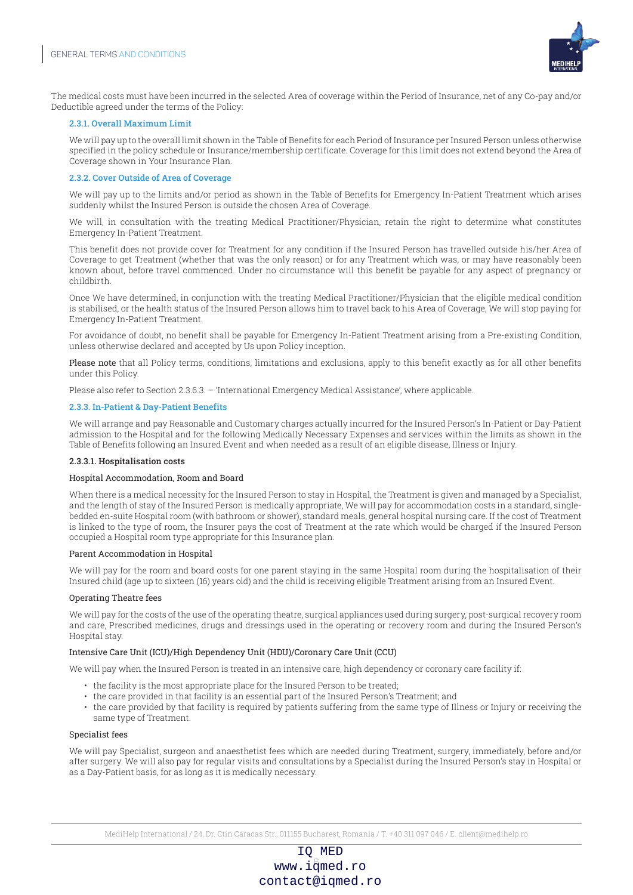

The medical costs must have been incurred in the selected Area of coverage within the Period of Insurance, net of any Co-pay and/or Deductible agreed under the terms of the Policy:

#### 2.3.1. Overall Maximum Limit

We will pay up to the overall limit shown in the Table of Benefits for each Period of Insurance per Insured Person unless otherwise specified in the policy schedule or Insurance/membership certificate. Coverage for this limit does not extend beyond the Area of Coverage shown in Your Insurance Plan.

#### 2.3.2. Cover Outside of Area of Coverage

We will pay up to the limits and/or period as shown in the Table of Benefits for Emergency In-Patient Treatment which arises suddenly whilst the Insured Person is outside the chosen Area of Coverage.

We will, in consultation with the treating Medical Practitioner/Physician, retain the right to determine what constitutes Emergency In-Patient Treatment.

This benefit does not provide cover for Treatment for any condition if the Insured Person has travelled outside his/her Area of Coverage to get Treatment (whether that was the only reason) or for any Treatment which was, or may have reasonably been known about, before travel commenced. Under no circumstance will this benefit be payable for any aspect of pregnancy or childbirth.

Once We have determined, in conjunction with the treating Medical Practitioner/Physician that the eligible medical condition is stabilised, or the health status of the Insured Person allows him to travel back to his Area of Coverage, We will stop paying for Emergency In-Patient Treatment.

For avoidance of doubt, no benefit shall be payable for Emergency In-Patient Treatment arising from a Pre-existing Condition, unless otherwise declared and accepted by Us upon Policy inception.

Please note that all Policy terms, conditions, limitations and exclusions, apply to this benefit exactly as for all other benefits under this Policy.

Please also refer to Section 2.3.6.3. – 'International Emergency Medical Assistance', where applicable.

#### 2.3.3. In-Patient & Day-Patient Benefits

We will arrange and pay Reasonable and Customary charges actually incurred for the Insured Person's In-Patient or Day-Patient admission to the Hospital and for the following Medically Necessary Expenses and services within the limits as shown in the Table of Benefits following an Insured Event and when needed as a result of an eligible disease, Illness or Injury.

#### 2.3.3.1. Hospitalisation costs

#### Hospital Accommodation, Room and Board

When there is a medical necessity for the Insured Person to stay in Hospital, the Treatment is given and managed by a Specialist, and the length of stay of the Insured Person is medically appropriate, We will pay for accommodation costs in a standard, singlebedded en-suite Hospital room (with bathroom or shower), standard meals, general hospital nursing care. If the cost of Treatment is linked to the type of room, the Insurer pays the cost of Treatment at the rate which would be charged if the Insured Person occupied a Hospital room type appropriate for this Insurance plan.

#### Parent Accommodation in Hospital

We will pay for the room and board costs for one parent staying in the same Hospital room during the hospitalisation of their Insured child (age up to sixteen (16) years old) and the child is receiving eligible Treatment arising from an Insured Event.

#### Operating Theatre fees

We will pay for the costs of the use of the operating theatre, surgical appliances used during surgery, post-surgical recovery room and care, Prescribed medicines, drugs and dressings used in the operating or recovery room and during the Insured Person's Hospital stay.

#### Intensive Care Unit (ICU)/High Dependency Unit (HDU)/Coronary Care Unit (CCU)

We will pay when the Insured Person is treated in an intensive care, high dependency or coronary care facility if:

- the facility is the most appropriate place for the Insured Person to be treated;
- the care provided in that facility is an essential part of the Insured Person's Treatment; and
- the care provided by that facility is required by patients suffering from the same type of Illness or Injury or receiving the same type of Treatment.

#### Specialist fees

We will pay Specialist, surgeon and anaesthetist fees which are needed during Treatment, surgery, immediately, before and/or after surgery. We will also pay for regular visits and consultations by a Specialist during the Insured Person's stay in Hospital or as a Day-Patient basis, for as long as it is medically necessary.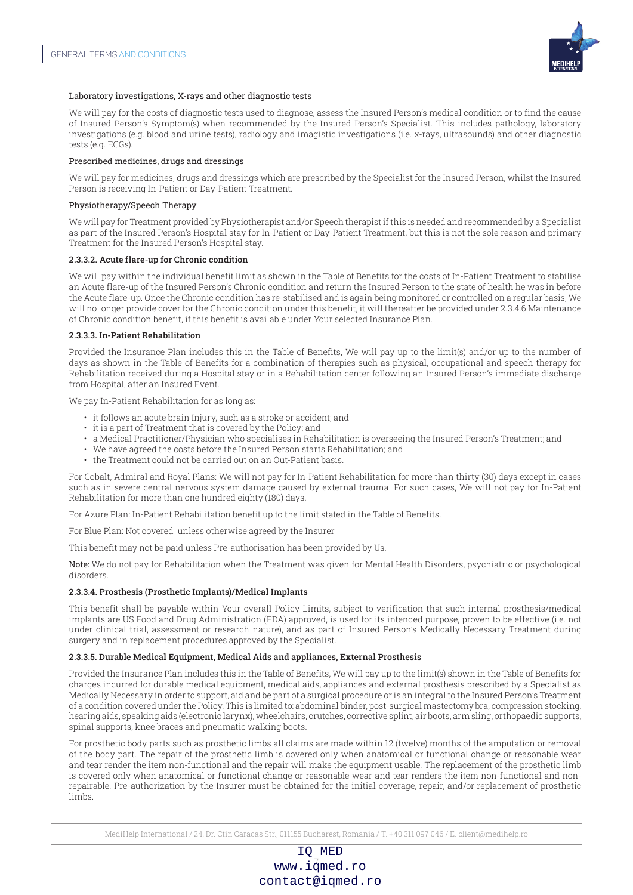

#### Laboratory investigations, X-rays and other diagnostic tests

We will pay for the costs of diagnostic tests used to diagnose, assess the Insured Person's medical condition or to find the cause of Insured Person's Symptom(s) when recommended by the Insured Person's Specialist. This includes pathology, laboratory investigations (e.g. blood and urine tests), radiology and imagistic investigations (i.e. x-rays, ultrasounds) and other diagnostic tests (e.g. ECGs).

#### Prescribed medicines, drugs and dressings

We will pay for medicines, drugs and dressings which are prescribed by the Specialist for the Insured Person, whilst the Insured Person is receiving In-Patient or Day-Patient Treatment.

#### Physiotherapy/Speech Therapy

We will pay for Treatment provided by Physiotherapist and/or Speech therapist if this is needed and recommended by a Specialist as part of the Insured Person's Hospital stay for In-Patient or Day-Patient Treatment, but this is not the sole reason and primary Treatment for the Insured Person's Hospital stay.

#### 2.3.3.2. Acute flare-up for Chronic condition

We will pay within the individual benefit limit as shown in the Table of Benefits for the costs of In-Patient Treatment to stabilise an Acute flare-up of the Insured Person's Chronic condition and return the Insured Person to the state of health he was in before the Acute flare-up. Once the Chronic condition has re-stabilised and is again being monitored or controlled on a regular basis, We will no longer provide cover for the Chronic condition under this benefit, it will thereafter be provided under 2.3.4.6 Maintenance of Chronic condition benefit, if this benefit is available under Your selected Insurance Plan.

#### 2.3.3.3. In-Patient Rehabilitation

Provided the Insurance Plan includes this in the Table of Benefits, We will pay up to the limit(s) and/or up to the number of days as shown in the Table of Benefits for a combination of therapies such as physical, occupational and speech therapy for Rehabilitation received during a Hospital stay or in a Rehabilitation center following an Insured Person's immediate discharge from Hospital, after an Insured Event.

We pay In-Patient Rehabilitation for as long as:

- it follows an acute brain Injury, such as a stroke or accident; and
- it is a part of Treatment that is covered by the Policy; and
- a Medical Practitioner/Physician who specialises in Rehabilitation is overseeing the Insured Person's Treatment; and
- We have agreed the costs before the Insured Person starts Rehabilitation; and
- the Treatment could not be carried out on an Out-Patient basis.

For Cobalt, Admiral and Royal Plans: We will not pay for In-Patient Rehabilitation for more than thirty (30) days except in cases such as in severe central nervous system damage caused by external trauma. For such cases, We will not pay for In-Patient Rehabilitation for more than one hundred eighty (180) days.

For Azure Plan: In-Patient Rehabilitation benefit up to the limit stated in the Table of Benefits.

For Blue Plan: Not covered unless otherwise agreed by the Insurer.

This benefit may not be paid unless Pre-authorisation has been provided by Us.

Note: We do not pay for Rehabilitation when the Treatment was given for Mental Health Disorders, psychiatric or psychological disorders.

#### 2.3.3.4. Prosthesis (Prosthetic Implants)/Medical Implants

This benefit shall be payable within Your overall Policy Limits, subject to verification that such internal prosthesis/medical implants are US Food and Drug Administration (FDA) approved, is used for its intended purpose, proven to be effective (i.e. not under clinical trial, assessment or research nature), and as part of Insured Person's Medically Necessary Treatment during surgery and in replacement procedures approved by the Specialist.

#### 2.3.3.5. Durable Medical Equipment, Medical Aids and appliances, External Prosthesis

Provided the Insurance Plan includes this in the Table of Benefits, We will pay up to the limit(s) shown in the Table of Benefits for charges incurred for durable medical equipment, medical aids, appliances and external prosthesis prescribed by a Specialist as Medically Necessary in order to support, aid and be part of a surgical procedure or is an integral to the Insured Person's Treatment of a condition covered under the Policy. This is limited to: abdominal binder, post-surgical mastectomy bra, compression stocking, hearing aids, speaking aids (electronic larynx), wheelchairs, crutches, corrective splint, air boots, arm sling, orthopaedic supports, spinal supports, knee braces and pneumatic walking boots.

For prosthetic body parts such as prosthetic limbs all claims are made within 12 (twelve) months of the amputation or removal of the body part. The repair of the prosthetic limb is covered only when anatomical or functional change or reasonable wear and tear render the item non-functional and the repair will make the equipment usable. The replacement of the prosthetic limb is covered only when anatomical or functional change or reasonable wear and tear renders the item non-functional and nonrepairable. Pre-authorization by the Insurer must be obtained for the initial coverage, repair, and/or replacement of prosthetic limbs.

MediHelp International / 24, Dr. Ctin Caracas Str., 011155 Bucharest, Romania / T. +40 311 097 046 / E. client@medihelp.ro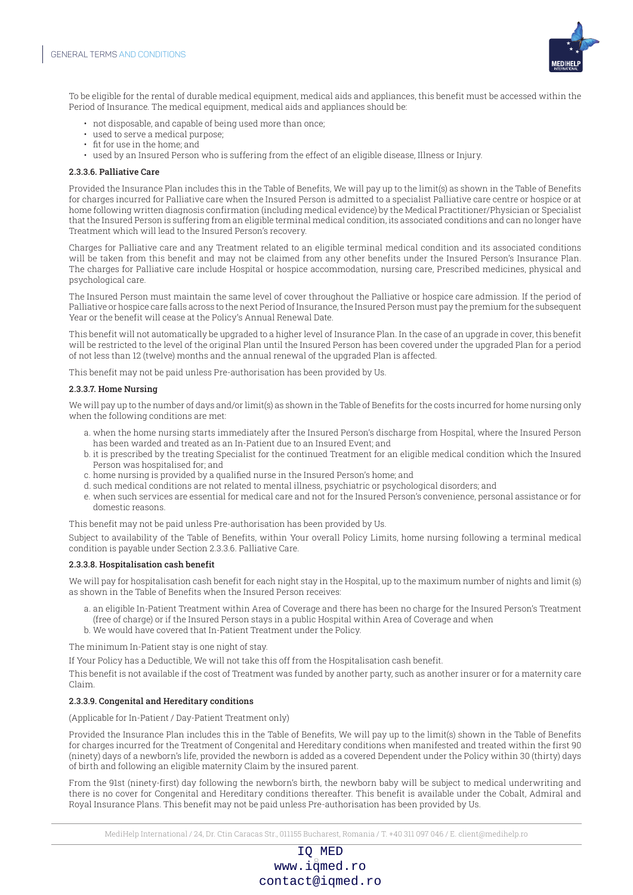

To be eligible for the rental of durable medical equipment, medical aids and appliances, this benefit must be accessed within the Period of Insurance. The medical equipment, medical aids and appliances should be:

- not disposable, and capable of being used more than once;
- used to serve a medical purpose;
- fit for use in the home; and
- used by an Insured Person who is suffering from the effect of an eligible disease, Illness or Injury.

#### 2.3.3.6. Palliative Care

Provided the Insurance Plan includes this in the Table of Benefits, We will pay up to the limit(s) as shown in the Table of Benefits for charges incurred for Palliative care when the Insured Person is admitted to a specialist Palliative care centre or hospice or at home following written diagnosis confirmation (including medical evidence) by the Medical Practitioner/Physician or Specialist that the Insured Person is suffering from an eligible terminal medical condition, its associated conditions and can no longer have Treatment which will lead to the Insured Person's recovery.

Charges for Palliative care and any Treatment related to an eligible terminal medical condition and its associated conditions will be taken from this benefit and may not be claimed from any other benefits under the Insured Person's Insurance Plan. The charges for Palliative care include Hospital or hospice accommodation, nursing care, Prescribed medicines, physical and psychological care.

The Insured Person must maintain the same level of cover throughout the Palliative or hospice care admission. If the period of Palliative or hospice care falls across to the next Period of Insurance, the Insured Person must pay the premium for the subsequent Year or the benefit will cease at the Policy's Annual Renewal Date.

This benefit will not automatically be upgraded to a higher level of Insurance Plan. In the case of an upgrade in cover, this benefit will be restricted to the level of the original Plan until the Insured Person has been covered under the upgraded Plan for a period of not less than 12 (twelve) months and the annual renewal of the upgraded Plan is affected.

This benefit may not be paid unless Pre-authorisation has been provided by Us.

#### 2.3.3.7. Home Nursing

We will pay up to the number of days and/or limit(s) as shown in the Table of Benefits for the costs incurred for home nursing only when the following conditions are met:

- a. when the home nursing starts immediately after the Insured Person's discharge from Hospital, where the Insured Person has been warded and treated as an In-Patient due to an Insured Event; and
- b. it is prescribed by the treating Specialist for the continued Treatment for an eligible medical condition which the Insured Person was hospitalised for; and
- c. home nursing is provided by a qualified nurse in the Insured Person's home; and
- d. such medical conditions are not related to mental illness, psychiatric or psychological disorders; and
- e. when such services are essential for medical care and not for the Insured Person's convenience, personal assistance or for domestic reasons.

This benefit may not be paid unless Pre-authorisation has been provided by Us.

Subject to availability of the Table of Benefits, within Your overall Policy Limits, home nursing following a terminal medical condition is payable under Section 2.3.3.6. Palliative Care.

#### 2.3.3.8. Hospitalisation cash benefit

We will pay for hospitalisation cash benefit for each night stay in the Hospital, up to the maximum number of nights and limit (s) as shown in the Table of Benefits when the Insured Person receives:

- a. an eligible In-Patient Treatment within Area of Coverage and there has been no charge for the Insured Person's Treatment (free of charge) or if the Insured Person stays in a public Hospital within Area of Coverage and when
- b. We would have covered that In-Patient Treatment under the Policy.

The minimum In-Patient stay is one night of stay.

If Your Policy has a Deductible, We will not take this off from the Hospitalisation cash benefit.

This benefit is not available if the cost of Treatment was funded by another party, such as another insurer or for a maternity care Claim.

#### 2.3.3.9. Congenital and Hereditary conditions

(Applicable for In-Patient / Day-Patient Treatment only)

Provided the Insurance Plan includes this in the Table of Benefits, We will pay up to the limit(s) shown in the Table of Benefits for charges incurred for the Treatment of Congenital and Hereditary conditions when manifested and treated within the first 90 (ninety) days of a newborn's life, provided the newborn is added as a covered Dependent under the Policy within 30 (thirty) days of birth and following an eligible maternity Claim by the insured parent.

From the 91st (ninety-first) day following the newborn's birth, the newborn baby will be subject to medical underwriting and there is no cover for Congenital and Hereditary conditions thereafter. This benefit is available under the Cobalt, Admiral and Royal Insurance Plans. This benefit may not be paid unless Pre-authorisation has been provided by Us.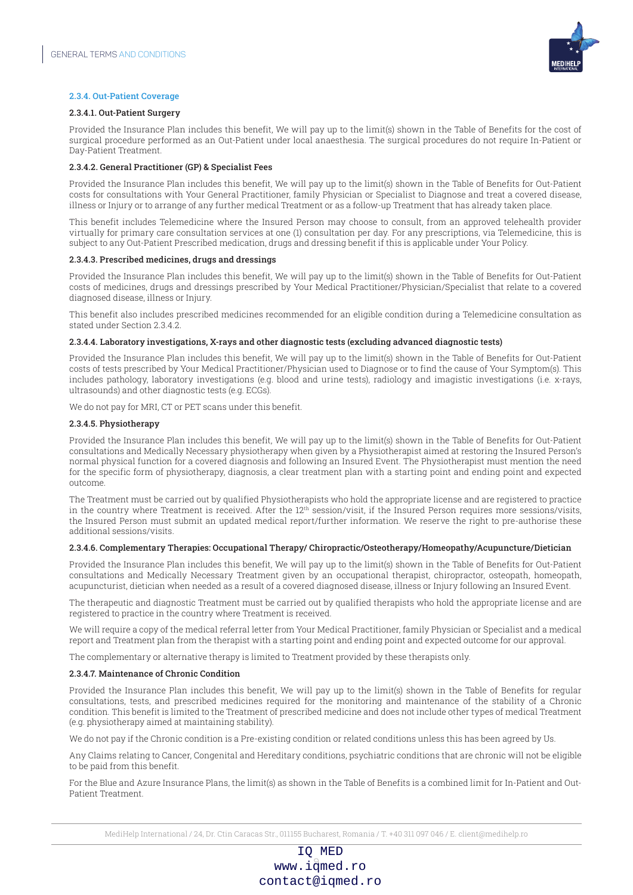

#### 2.3.4. Out-Patient Coverage

#### 2.3.4.1. Out-Patient Surgery

Provided the Insurance Plan includes this benefit, We will pay up to the limit(s) shown in the Table of Benefits for the cost of surgical procedure performed as an Out-Patient under local anaesthesia. The surgical procedures do not require In-Patient or Day-Patient Treatment.

#### 2.3.4.2. General Practitioner (GP) & Specialist Fees

Provided the Insurance Plan includes this benefit, We will pay up to the limit(s) shown in the Table of Benefits for Out-Patient costs for consultations with Your General Practitioner, family Physician or Specialist to Diagnose and treat a covered disease, illness or Injury or to arrange of any further medical Treatment or as a follow-up Treatment that has already taken place.

This benefit includes Telemedicine where the Insured Person may choose to consult, from an approved telehealth provider virtually for primary care consultation services at one (1) consultation per day. For any prescriptions, via Telemedicine, this is subject to any Out-Patient Prescribed medication, drugs and dressing benefit if this is applicable under Your Policy.

#### 2.3.4.3. Prescribed medicines, drugs and dressings

Provided the Insurance Plan includes this benefit, We will pay up to the limit(s) shown in the Table of Benefits for Out-Patient costs of medicines, drugs and dressings prescribed by Your Medical Practitioner/Physician/Specialist that relate to a covered diagnosed disease, illness or Injury.

This benefit also includes prescribed medicines recommended for an eligible condition during a Telemedicine consultation as stated under Section 2.3.4.2.

#### 2.3.4.4. Laboratory investigations, X-rays and other diagnostic tests (excluding advanced diagnostic tests)

Provided the Insurance Plan includes this benefit, We will pay up to the limit(s) shown in the Table of Benefits for Out-Patient costs of tests prescribed by Your Medical Practitioner/Physician used to Diagnose or to find the cause of Your Symptom(s). This includes pathology, laboratory investigations (e.g. blood and urine tests), radiology and imagistic investigations (i.e. x-rays, ultrasounds) and other diagnostic tests (e.g. ECGs).

We do not pay for MRI, CT or PET scans under this benefit.

#### 2.3.4.5. Physiotherapy

Provided the Insurance Plan includes this benefit, We will pay up to the limit(s) shown in the Table of Benefits for Out-Patient consultations and Medically Necessary physiotherapy when given by a Physiotherapist aimed at restoring the Insured Person's normal physical function for a covered diagnosis and following an Insured Event. The Physiotherapist must mention the need for the specific form of physiotherapy, diagnosis, a clear treatment plan with a starting point and ending point and expected outcome.

The Treatment must be carried out by qualified Physiotherapists who hold the appropriate license and are registered to practice in the country where Treatment is received. After the  $12<sup>th</sup>$  session/visit, if the Insured Person requires more sessions/visits, the Insured Person must submit an updated medical report/further information. We reserve the right to pre-authorise these additional sessions/visits.

#### 2.3.4.6. Complementary Therapies: Occupational Therapy/ Chiropractic/Osteotherapy/Homeopathy/Acupuncture/Dietician

Provided the Insurance Plan includes this benefit, We will pay up to the limit(s) shown in the Table of Benefits for Out-Patient consultations and Medically Necessary Treatment given by an occupational therapist, chiropractor, osteopath, homeopath, acupuncturist, dietician when needed as a result of a covered diagnosed disease, illness or Injury following an Insured Event.

The therapeutic and diagnostic Treatment must be carried out by qualified therapists who hold the appropriate license and are registered to practice in the country where Treatment is received.

We will require a copy of the medical referral letter from Your Medical Practitioner, family Physician or Specialist and a medical report and Treatment plan from the therapist with a starting point and ending point and expected outcome for our approval.

The complementary or alternative therapy is limited to Treatment provided by these therapists only.

#### 2.3.4.7. Maintenance of Chronic Condition

Provided the Insurance Plan includes this benefit, We will pay up to the limit(s) shown in the Table of Benefits for regular consultations, tests, and prescribed medicines required for the monitoring and maintenance of the stability of a Chronic condition. This benefit is limited to the Treatment of prescribed medicine and does not include other types of medical Treatment (e.g. physiotherapy aimed at maintaining stability).

We do not pay if the Chronic condition is a Pre-existing condition or related conditions unless this has been agreed by Us.

Any Claims relating to Cancer, Congenital and Hereditary conditions, psychiatric conditions that are chronic will not be eligible to be paid from this benefit.

For the Blue and Azure Insurance Plans, the limit(s) as shown in the Table of Benefits is a combined limit for In-Patient and Out-Patient Treatment.

MediHelp International / 24, Dr. Ctin Caracas Str., 011155 Bucharest, Romania / T. +40 311 097 046 / E. client@medihelp.ro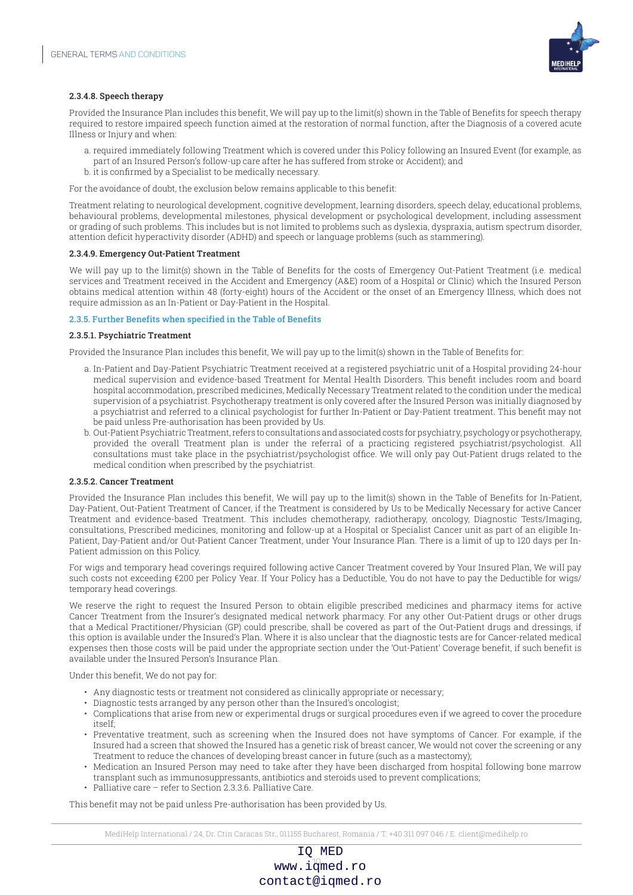

#### 2.3.4.8. Speech therapy

Provided the Insurance Plan includes this benefit, We will pay up to the limit(s) shown in the Table of Benefits for speech therapy required to restore impaired speech function aimed at the restoration of normal function, after the Diagnosis of a covered acute Illness or Injury and when:

- a. required immediately following Treatment which is covered under this Policy following an Insured Event (for example, as part of an Insured Person's follow-up care after he has suffered from stroke or Accident); and
- b. it is confirmed by a Specialist to be medically necessary.

For the avoidance of doubt, the exclusion below remains applicable to this benefit:

Treatment relating to neurological development, cognitive development, learning disorders, speech delay, educational problems, behavioural problems, developmental milestones, physical development or psychological development, including assessment or grading of such problems. This includes but is not limited to problems such as dyslexia, dyspraxia, autism spectrum disorder, attention deficit hyperactivity disorder (ADHD) and speech or language problems (such as stammering).

#### 2.3.4.9. Emergency Out-Patient Treatment

We will pay up to the limit(s) shown in the Table of Benefits for the costs of Emergency Out-Patient Treatment (i.e. medical services and Treatment received in the Accident and Emergency (A&E) room of a Hospital or Clinic) which the Insured Person obtains medical attention within 48 (forty-eight) hours of the Accident or the onset of an Emergency Illness, which does not require admission as an In-Patient or Day-Patient in the Hospital.

#### 2.3.5. Further Benefits when specified in the Table of Benefits

#### 2.3.5.1. Psychiatric Treatment

Provided the Insurance Plan includes this benefit, We will pay up to the limit(s) shown in the Table of Benefits for:

- a. In-Patient and Day-Patient Psychiatric Treatment received at a registered psychiatric unit of a Hospital providing 24-hour medical supervision and evidence-based Treatment for Mental Health Disorders. This benefit includes room and board hospital accommodation, prescribed medicines, Medically Necessary Treatment related to the condition under the medical supervision of a psychiatrist. Psychotherapy treatment is only covered after the Insured Person was initially diagnosed by a psychiatrist and referred to a clinical psychologist for further In-Patient or Day-Patient treatment. This benefit may not be paid unless Pre-authorisation has been provided by Us.
- b. Out-Patient Psychiatric Treatment, refers to consultations and associated costs for psychiatry, psychology or psychotherapy, provided the overall Treatment plan is under the referral of a practicing registered psychiatrist/psychologist. All consultations must take place in the psychiatrist/psychologist office. We will only pay Out-Patient drugs related to the medical condition when prescribed by the psychiatrist.

#### 2.3.5.2. Cancer Treatment

Provided the Insurance Plan includes this benefit, We will pay up to the limit(s) shown in the Table of Benefits for In-Patient, Day-Patient, Out-Patient Treatment of Cancer, if the Treatment is considered by Us to be Medically Necessary for active Cancer Treatment and evidence-based Treatment. This includes chemotherapy, radiotherapy, oncology, Diagnostic Tests/Imaging, consultations, Prescribed medicines, monitoring and follow-up at a Hospital or Specialist Cancer unit as part of an eligible In-Patient, Day-Patient and/or Out-Patient Cancer Treatment, under Your Insurance Plan. There is a limit of up to 120 days per In-Patient admission on this Policy.

For wigs and temporary head coverings required following active Cancer Treatment covered by Your Insured Plan, We will pay such costs not exceeding €200 per Policy Year. If Your Policy has a Deductible, You do not have to pay the Deductible for wigs/ temporary head coverings.

We reserve the right to request the Insured Person to obtain eligible prescribed medicines and pharmacy items for active Cancer Treatment from the Insurer's designated medical network pharmacy. For any other Out-Patient drugs or other drugs that a Medical Practitioner/Physician (GP) could prescribe, shall be covered as part of the Out-Patient drugs and dressings, if this option is available under the Insured's Plan. Where it is also unclear that the diagnostic tests are for Cancer-related medical expenses then those costs will be paid under the appropriate section under the 'Out-Patient' Coverage benefit, if such benefit is available under the Insured Person's Insurance Plan.

Under this benefit, We do not pay for:

- Any diagnostic tests or treatment not considered as clinically appropriate or necessary;
- Diagnostic tests arranged by any person other than the Insured's oncologist;
- Complications that arise from new or experimental drugs or surgical procedures even if we agreed to cover the procedure itself;
- Preventative treatment, such as screening when the Insured does not have symptoms of Cancer. For example, if the Insured had a screen that showed the Insured has a genetic risk of breast cancer, We would not cover the screening or any Treatment to reduce the chances of developing breast cancer in future (such as a mastectomy);
- Medication an Insured Person may need to take after they have been discharged from hospital following bone marrow transplant such as immunosuppressants, antibiotics and steroids used to prevent complications;
- Palliative care refer to Section 2.3.3.6. Palliative Care.

This benefit may not be paid unless Pre-authorisation has been provided by Us.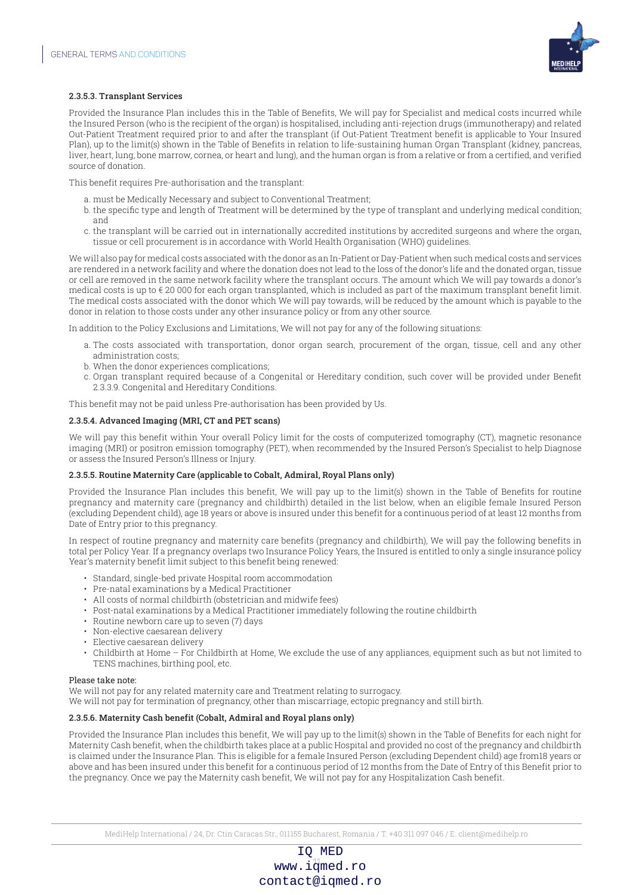

#### 2.3.5.3. Transplant Services

Provided the Insurance Plan includes this in the Table of Benefits, We will pay for Specialist and medical costs incurred while the Insured Person (who is the recipient of the organ) is hospitalised, including anti-rejection drugs (immunotherapy) and related Out-Patient Treatment required prior to and after the transplant (if Out-Patient Treatment benefit is applicable to Your Insured Plan), up to the limit(s) shown in the Table of Benefits in relation to life-sustaining human Organ Transplant (kidney, pancreas, liver, heart, lung, bone marrow, cornea, or heart and lung), and the human organ is from a relative or from a certified, and verified source of donation.

This benefit requires Pre-authorisation and the transplant:

- a. must be Medically Necessary and subject to Conventional Treatment;
- b. the specific type and length of Treatment will be determined by the type of transplant and underlying medical condition; and
- c. the transplant will be carried out in internationally accredited institutions by accredited surgeons and where the organ, tissue or cell procurement is in accordance with World Health Organisation (WHO) guidelines.

We will also pay for medical costs associated with the donor as an In-Patient or Day-Patient when such medical costs and services are rendered in a network facility and where the donation does not lead to the loss of the donor's life and the donated organ, tissue or cell are removed in the same network facility where the transplant occurs. The amount which We will pay towards a donor's medical costs is up to  $\epsilon$  20 000 for each organ transplanted, which is included as part of the maximum transplant benefit limit. The medical costs associated with the donor which We will pay towards, will be reduced by the amount which is payable to the donor in relation to those costs under any other insurance policy or from any other source.

In addition to the Policy Exclusions and Limitations, We will not pay for any of the following situations:

- a. The costs associated with transportation, donor organ search, procurement of the organ, tissue, cell and any other administration costs;
- b. When the donor experiences complications;
- c. Organ transplant required because of a Congenital or Hereditary condition, such cover will be provided under Benefit 2.3.3.9. Congenital and Hereditary Conditions.

This benefit may not be paid unless Pre-authorisation has been provided by Us.

#### 2.3.5.4. Advanced Imaging (MRI, CT and PET scans)

We will pay this benefit within Your overall Policy limit for the costs of computerized tomography (CT), magnetic resonance imaging (MRI) or positron emission tomography (PET), when recommended by the Insured Person's Specialist to help Diagnose or assess the Insured Person's Illness or Injury.

#### 2.3.5.5. Routine Maternity Care (applicable to Cobalt, Admiral, Royal Plans only)

Provided the Insurance Plan includes this benefit, We will pay up to the limit(s) shown in the Table of Benefits for routine pregnancy and maternity care (pregnancy and childbirth) detailed in the list below, when an eligible female Insured Person (excluding Dependent child), age 18 years or above is insured under this benefit for a continuous period of at least 12 months from Date of Entry prior to this pregnancy.

In respect of routine pregnancy and maternity care benefits (pregnancy and childbirth), We will pay the following benefits in total per Policy Year. If a pregnancy overlaps two Insurance Policy Years, the Insured is entitled to only a single insurance policy Year's maternity benefit limit subject to this benefit being renewed:

- Standard, single-bed private Hospital room accommodation
- Pre-natal examinations by a Medical Practitioner
- All costs of normal childbirth (obstetrician and midwife fees)
- Post-natal examinations by a Medical Practitioner immediately following the routine childbirth
- Routine newborn care up to seven (7) days
- Non-elective caesarean delivery
- Elective caesarean delivery
- Childbirth at Home For Childbirth at Home, We exclude the use of any appliances, equipment such as but not limited to TENS machines, birthing pool, etc.

#### Please take note:

We will not pay for any related maternity care and Treatment relating to surrogacy.

We will not pay for termination of pregnancy, other than miscarriage, ectopic pregnancy and still birth.

#### 2.3.5.6. Maternity Cash benefit (Cobalt, Admiral and Royal plans only)

Provided the Insurance Plan includes this benefit, We will pay up to the limit(s) shown in the Table of Benefits for each night for Maternity Cash benefit, when the childbirth takes place at a public Hospital and provided no cost of the pregnancy and childbirth is claimed under the Insurance Plan. This is eligible for a female Insured Person (excluding Dependent child) age from18 years or above and has been insured under this benefit for a continuous period of 12 months from the Date of Entry of this Benefit prior to the pregnancy. Once we pay the Maternity cash benefit, We will not pay for any Hospitalization Cash benefit.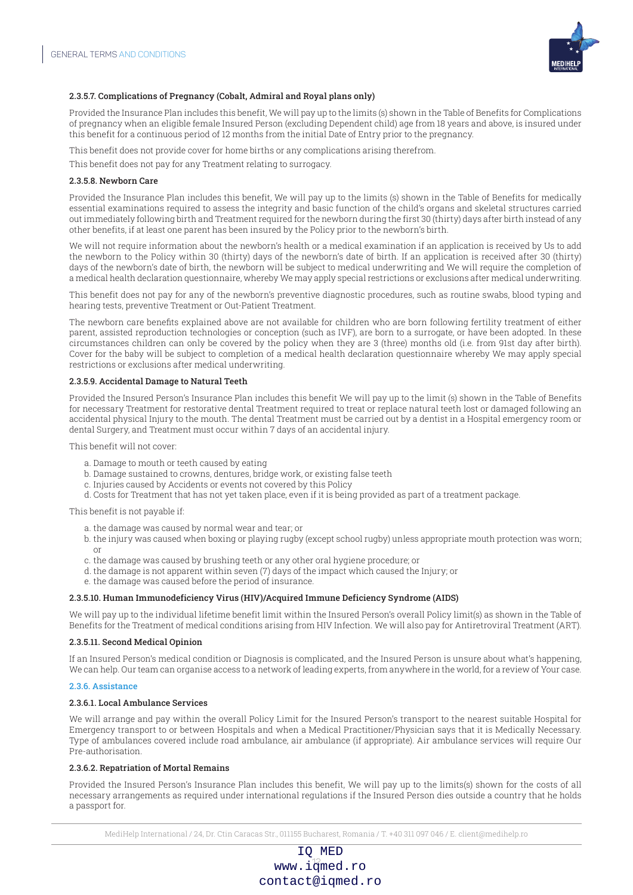

#### 2.3.5.7. Complications of Pregnancy (Cobalt, Admiral and Royal plans only)

Provided the Insurance Plan includes this benefit, We will pay up to the limits (s) shown in the Table of Benefits for Complications of pregnancy when an eligible female Insured Person (excluding Dependent child) age from 18 years and above, is insured under this benefit for a continuous period of 12 months from the initial Date of Entry prior to the pregnancy.

This benefit does not provide cover for home births or any complications arising therefrom.

This benefit does not pay for any Treatment relating to surrogacy.

#### 2.3.5.8. Newborn Care

Provided the Insurance Plan includes this benefit, We will pay up to the limits (s) shown in the Table of Benefits for medically essential examinations required to assess the integrity and basic function of the child's organs and skeletal structures carried out immediately following birth and Treatment required for the newborn during the first 30 (thirty) days after birth instead of any other benefits, if at least one parent has been insured by the Policy prior to the newborn's birth.

We will not require information about the newborn's health or a medical examination if an application is received by Us to add the newborn to the Policy within 30 (thirty) days of the newborn's date of birth. If an application is received after 30 (thirty) days of the newborn's date of birth, the newborn will be subject to medical underwriting and We will require the completion of a medical health declaration questionnaire, whereby We may apply special restrictions or exclusions after medical underwriting.

This benefit does not pay for any of the newborn's preventive diagnostic procedures, such as routine swabs, blood typing and hearing tests, preventive Treatment or Out-Patient Treatment.

The newborn care benefits explained above are not available for children who are born following fertility treatment of either parent, assisted reproduction technologies or conception (such as IVF), are born to a surrogate, or have been adopted. In these circumstances children can only be covered by the policy when they are 3 (three) months old (i.e. from 91st day after birth). Cover for the baby will be subject to completion of a medical health declaration questionnaire whereby We may apply special restrictions or exclusions after medical underwriting.

#### 2.3.5.9. Accidental Damage to Natural Teeth

Provided the Insured Person's Insurance Plan includes this benefit We will pay up to the limit (s) shown in the Table of Benefits for necessary Treatment for restorative dental Treatment required to treat or replace natural teeth lost or damaged following an accidental physical Injury to the mouth. The dental Treatment must be carried out by a dentist in a Hospital emergency room or dental Surgery, and Treatment must occur within 7 days of an accidental injury.

This benefit will not cover:

- a. Damage to mouth or teeth caused by eating
- b. Damage sustained to crowns, dentures, bridge work, or existing false teeth
- c. Injuries caused by Accidents or events not covered by this Policy
- d. Costs for Treatment that has not yet taken place, even if it is being provided as part of a treatment package.

This benefit is not payable if:

- a. the damage was caused by normal wear and tear; or
- b. the injury was caused when boxing or playing rugby (except school rugby) unless appropriate mouth protection was worn; or
- c. the damage was caused by brushing teeth or any other oral hygiene procedure; or
- d. the damage is not apparent within seven (7) days of the impact which caused the Injury; or
- e. the damage was caused before the period of insurance.

#### 2.3.5.10. Human Immunodeficiency Virus (HIV)/Acquired Immune Deficiency Syndrome (AIDS)

We will pay up to the individual lifetime benefit limit within the Insured Person's overall Policy limit(s) as shown in the Table of Benefits for the Treatment of medical conditions arising from HIV Infection. We will also pay for Antiretroviral Treatment (ART).

#### 2.3.5.11. Second Medical Opinion

If an Insured Person's medical condition or Diagnosis is complicated, and the Insured Person is unsure about what's happening, We can help. Our team can organise access to a network of leading experts, from anywhere in the world, for a review of Your case.

#### 2.3.6. Assistance

#### 2.3.6.1. Local Ambulance Services

We will arrange and pay within the overall Policy Limit for the Insured Person's transport to the nearest suitable Hospital for Emergency transport to or between Hospitals and when a Medical Practitioner/Physician says that it is Medically Necessary. Type of ambulances covered include road ambulance, air ambulance (if appropriate). Air ambulance services will require Our Pre-authorisation.

#### 2.3.6.2. Repatriation of Mortal Remains

Provided the Insured Person's Insurance Plan includes this benefit, We will pay up to the limits(s) shown for the costs of all necessary arrangements as required under international regulations if the Insured Person dies outside a country that he holds a passport for.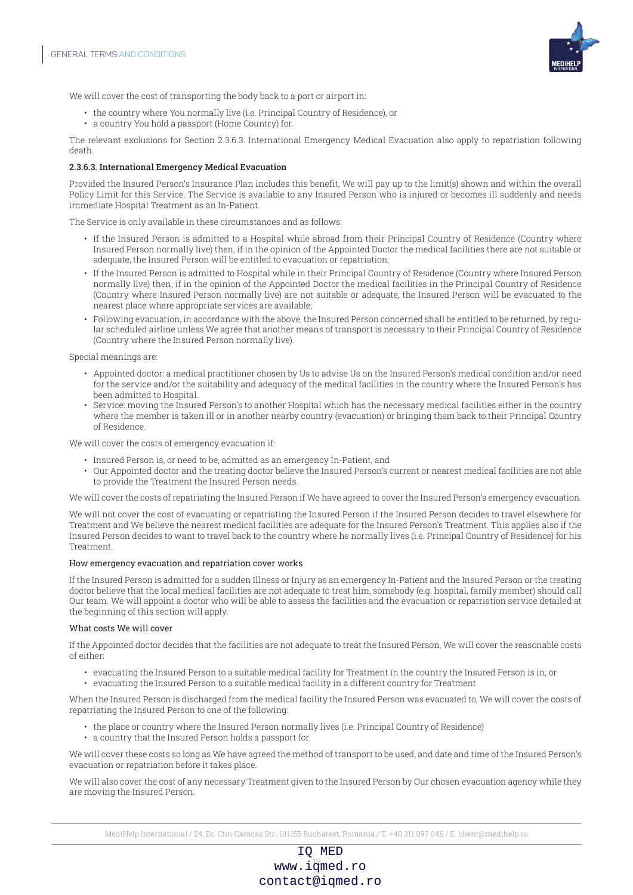

We will cover the cost of transporting the body back to a port or airport in:

- the country where You normally live (i.e. Principal Country of Residence), or
- a country You hold a passport (Home Country) for.

The relevant exclusions for Section 2.3.6.3. International Emergency Medical Evacuation also apply to repatriation following death.

#### 2.3.6.3. International Emergency Medical Evacuation

Provided the Insured Person's Insurance Plan includes this benefit, We will pay up to the limit(s) shown and within the overall Policy Limit for this Service. The Service is available to any Insured Person who is injured or becomes ill suddenly and needs immediate Hospital Treatment as an In-Patient.

The Service is only available in these circumstances and as follows:

- If the Insured Person is admitted to a Hospital while abroad from their Principal Country of Residence (Country where Insured Person normally live) then, if in the opinion of the Appointed Doctor the medical facilities there are not suitable or adequate, the Insured Person will be entitled to evacuation or repatriation;
- If the Insured Person is admitted to Hospital while in their Principal Country of Residence (Country where Insured Person normally live) then, if in the opinion of the Appointed Doctor the medical facilities in the Principal Country of Residence (Country where Insured Person normally live) are not suitable or adequate, the Insured Person will be evacuated to the nearest place where appropriate services are available;
- Following evacuation, in accordance with the above, the Insured Person concerned shall be entitled to be returned, by regular scheduled airline unless We agree that another means of transport is necessary to their Principal Country of Residence (Country where the Insured Person normally live).

Special meanings are:

- Appointed doctor: a medical practitioner chosen by Us to advise Us on the Insured Person's medical condition and/or need for the service and/or the suitability and adequacy of the medical facilities in the country where the Insured Person's has been admitted to Hospital.
- Service: moving the Insured Person's to another Hospital which has the necessary medical facilities either in the country where the member is taken ill or in another nearby country (evacuation) or bringing them back to their Principal Country of Residence.

We will cover the costs of emergency evacuation if:

- Insured Person is, or need to be, admitted as an emergency In-Patient, and
- Our Appointed doctor and the treating doctor believe the Insured Person's current or nearest medical facilities are not able to provide the Treatment the Insured Person needs.

We will cover the costs of repatriating the Insured Person if We have agreed to cover the Insured Person's emergency evacuation.

We will not cover the cost of evacuating or repatriating the Insured Person if the Insured Person decides to travel elsewhere for Treatment and We believe the nearest medical facilities are adequate for the Insured Person's Treatment. This applies also if the Insured Person decides to want to travel back to the country where he normally lives (i.e. Principal Country of Residence) for his **Treatment** 

#### How emergency evacuation and repatriation cover works

If the Insured Person is admitted for a sudden Illness or Injury as an emergency In-Patient and the Insured Person or the treating doctor believe that the local medical facilities are not adequate to treat him, somebody (e.g. hospital, family member) should call Our team. We will appoint a doctor who will be able to assess the facilities and the evacuation or repatriation service detailed at the beginning of this section will apply.

#### What costs We will cover

If the Appointed doctor decides that the facilities are not adequate to treat the Insured Person, We will cover the reasonable costs of either:

- evacuating the Insured Person to a suitable medical facility for Treatment in the country the Insured Person is in; or
- evacuating the Insured Person to a suitable medical facility in a different country for Treatment.

When the Insured Person is discharged from the medical facility the Insured Person was evacuated to, We will cover the costs of repatriating the Insured Person to one of the following:

- the place or country where the Insured Person normally lives (i.e. Principal Country of Residence)
- a country that the Insured Person holds a passport for.

We will cover these costs so long as We have agreed the method of transport to be used, and date and time of the Insured Person's evacuation or repatriation before it takes place.

We will also cover the cost of any necessary Treatment given to the Insured Person by Our chosen evacuation agency while they are moving the Insured Person.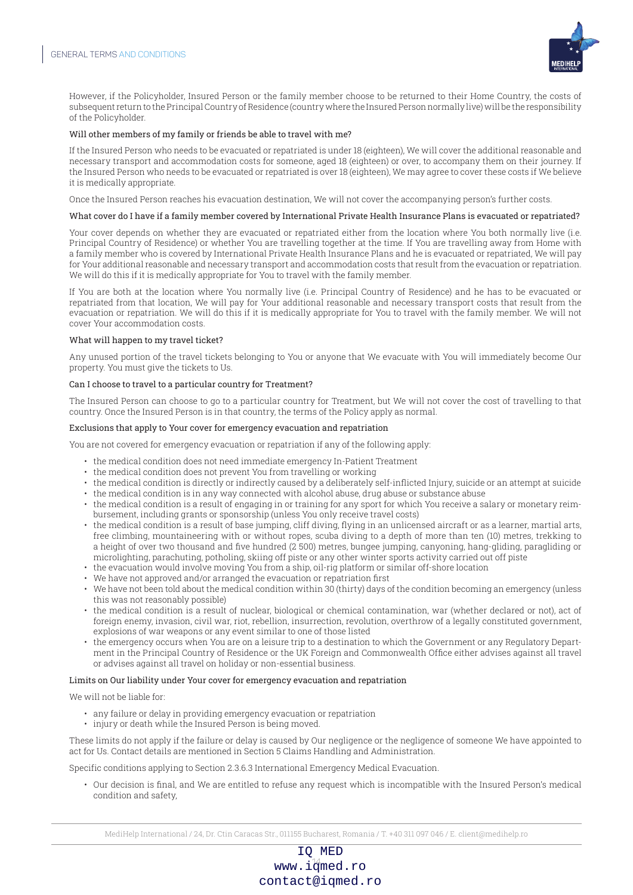

However, if the Policyholder, Insured Person or the family member choose to be returned to their Home Country, the costs of subsequent return to the Principal Country of Residence (country where the Insured Person normally live) will be the responsibility of the Policyholder.

#### Will other members of my family or friends be able to travel with me?

If the Insured Person who needs to be evacuated or repatriated is under 18 (eighteen), We will cover the additional reasonable and necessary transport and accommodation costs for someone, aged 18 (eighteen) or over, to accompany them on their journey. If the Insured Person who needs to be evacuated or repatriated is over 18 (eighteen), We may agree to cover these costs if We believe it is medically appropriate.

Once the Insured Person reaches his evacuation destination, We will not cover the accompanying person's further costs.

#### What cover do I have if a family member covered by International Private Health Insurance Plans is evacuated or repatriated?

Your cover depends on whether they are evacuated or repatriated either from the location where You both normally live (i.e. Principal Country of Residence) or whether You are travelling together at the time. If You are travelling away from Home with a family member who is covered by International Private Health Insurance Plans and he is evacuated or repatriated, We will pay for Your additional reasonable and necessary transport and accommodation costs that result from the evacuation or repatriation. We will do this if it is medically appropriate for You to travel with the family member.

If You are both at the location where You normally live (i.e. Principal Country of Residence) and he has to be evacuated or repatriated from that location, We will pay for Your additional reasonable and necessary transport costs that result from the evacuation or repatriation. We will do this if it is medically appropriate for You to travel with the family member. We will not cover Your accommodation costs.

#### What will happen to my travel ticket?

Any unused portion of the travel tickets belonging to You or anyone that We evacuate with You will immediately become Our property. You must give the tickets to Us.

#### Can I choose to travel to a particular country for Treatment?

The Insured Person can choose to go to a particular country for Treatment, but We will not cover the cost of travelling to that country. Once the Insured Person is in that country, the terms of the Policy apply as normal.

#### Exclusions that apply to Your cover for emergency evacuation and repatriation

You are not covered for emergency evacuation or repatriation if any of the following apply:

- the medical condition does not need immediate emergency In-Patient Treatment
- the medical condition does not prevent You from travelling or working
- the medical condition is directly or indirectly caused by a deliberately self-inflicted Injury, suicide or an attempt at suicide
- the medical condition is in any way connected with alcohol abuse, drug abuse or substance abuse
- the medical condition is a result of engaging in or training for any sport for which You receive a salary or monetary reimbursement, including grants or sponsorship (unless You only receive travel costs)
- the medical condition is a result of base jumping, cliff diving, flying in an unlicensed aircraft or as a learner, martial arts, free climbing, mountaineering with or without ropes, scuba diving to a depth of more than ten (10) metres, trekking to a height of over two thousand and five hundred (2 500) metres, bungee jumping, canyoning, hang-gliding, paragliding or microlighting, parachuting, potholing, skiing off piste or any other winter sports activity carried out off piste
- the evacuation would involve moving You from a ship, oil-rig platform or similar off-shore location
- We have not approved and/or arranged the evacuation or repatriation first
- We have not been told about the medical condition within 30 (thirty) days of the condition becoming an emergency (unless this was not reasonably possible)
- the medical condition is a result of nuclear, biological or chemical contamination, war (whether declared or not), act of foreign enemy, invasion, civil war, riot, rebellion, insurrection, revolution, overthrow of a legally constituted government, explosions of war weapons or any event similar to one of those listed
- the emergency occurs when You are on a leisure trip to a destination to which the Government or any Regulatory Department in the Principal Country of Residence or the UK Foreign and Commonwealth Office either advises against all travel or advises against all travel on holiday or non-essential business.

#### Limits on Our liability under Your cover for emergency evacuation and repatriation

We will not be liable for:

- any failure or delay in providing emergency evacuation or repatriation
- injury or death while the Insured Person is being moved.

These limits do not apply if the failure or delay is caused by Our negligence or the negligence of someone We have appointed to act for Us. Contact details are mentioned in Section 5 Claims Handling and Administration.

Specific conditions applying to Section 2.3.6.3 International Emergency Medical Evacuation.

• Our decision is final, and We are entitled to refuse any request which is incompatible with the Insured Person's medical condition and safety,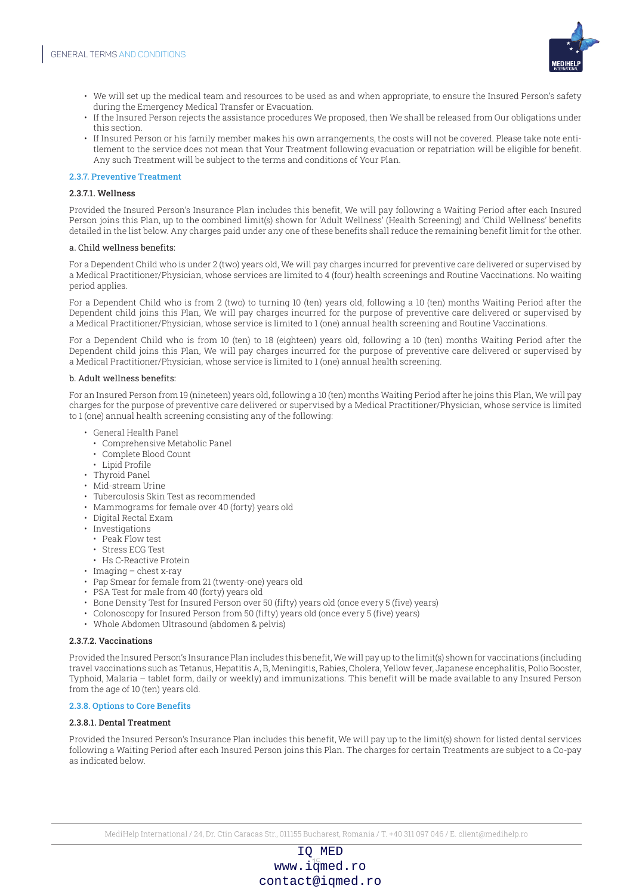

- We will set up the medical team and resources to be used as and when appropriate, to ensure the Insured Person's safety during the Emergency Medical Transfer or Evacuation.
- If the Insured Person rejects the assistance procedures We proposed, then We shall be released from Our obligations under this section.
- If Insured Person or his family member makes his own arrangements, the costs will not be covered. Please take note entitlement to the service does not mean that Your Treatment following evacuation or repatriation will be eligible for benefit. Any such Treatment will be subject to the terms and conditions of Your Plan.

#### 2.3.7. Preventive Treatment

#### 2.3.7.1. Wellness

Provided the Insured Person's Insurance Plan includes this benefit, We will pay following a Waiting Period after each Insured Person joins this Plan, up to the combined limit(s) shown for 'Adult Wellness' (Health Screening) and 'Child Wellness' benefits detailed in the list below. Any charges paid under any one of these benefits shall reduce the remaining benefit limit for the other.

#### a. Child wellness benefits:

For a Dependent Child who is under 2 (two) years old, We will pay charges incurred for preventive care delivered or supervised by a Medical Practitioner/Physician, whose services are limited to 4 (four) health screenings and Routine Vaccinations. No waiting period applies.

For a Dependent Child who is from 2 (two) to turning 10 (ten) years old, following a 10 (ten) months Waiting Period after the Dependent child joins this Plan, We will pay charges incurred for the purpose of preventive care delivered or supervised by a Medical Practitioner/Physician, whose service is limited to 1 (one) annual health screening and Routine Vaccinations.

For a Dependent Child who is from 10 (ten) to 18 (eighteen) years old, following a 10 (ten) months Waiting Period after the Dependent child joins this Plan, We will pay charges incurred for the purpose of preventive care delivered or supervised by a Medical Practitioner/Physician, whose service is limited to 1 (one) annual health screening.

#### b. Adult wellness benefits:

For an Insured Person from 19 (nineteen) years old, following a 10 (ten) months Waiting Period after he joins this Plan, We will pay charges for the purpose of preventive care delivered or supervised by a Medical Practitioner/Physician, whose service is limited to 1 (one) annual health screening consisting any of the following:

- General Health Panel
	- Comprehensive Metabolic Panel
	- Complete Blood Count
- Lipid Profile
- Thyroid Panel
- Mid-stream Urine
- Tuberculosis Skin Test as recommended
- Mammograms for female over 40 (forty) years old
- Digital Rectal Exam
- Investigations
- Peak Flow test
- Stress ECG Test
- Hs C-Reactive Protein
- Imaging chest x-ray
- Pap Smear for female from 21 (twenty-one) years old
- PSA Test for male from 40 (forty) years old
- Bone Density Test for Insured Person over 50 (fifty) years old (once every 5 (five) years)
- Colonoscopy for Insured Person from 50 (fifty) years old (once every 5 (five) years)
- Whole Abdomen Ultrasound (abdomen & pelvis)

#### 2.3.7.2. Vaccinations

Provided the Insured Person's Insurance Plan includes this benefit, We will pay up to the limit(s) shown for vaccinations (including travel vaccinations such as Tetanus, Hepatitis A, B, Meningitis, Rabies, Cholera, Yellow fever, Japanese encephalitis, Polio Booster, Typhoid, Malaria – tablet form, daily or weekly) and immunizations. This benefit will be made available to any Insured Person from the age of 10 (ten) years old.

#### 2.3.8. Options to Core Benefits

#### 2.3.8.1. Dental Treatment

Provided the Insured Person's Insurance Plan includes this benefit, We will pay up to the limit(s) shown for listed dental services following a Waiting Period after each Insured Person joins this Plan. The charges for certain Treatments are subject to a Co-pay as indicated below.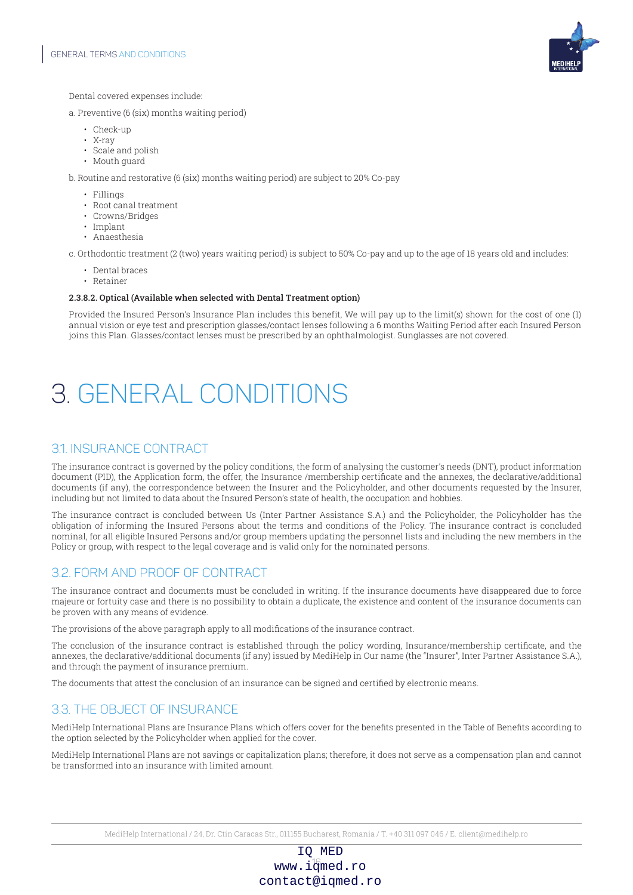

Dental covered expenses include:

- a. Preventive (6 (six) months waiting period)
	- Check-up
	- X-ray
	- Scale and polish
	- Mouth guard

b. Routine and restorative (6 (six) months waiting period) are subject to 20% Co-pay

- Fillings
- Root canal treatment
- Crowns/Bridges
- Implant
- Anaesthesia

c. Orthodontic treatment (2 (two) years waiting period) is subject to 50% Co-pay and up to the age of 18 years old and includes:

- Dental braces
- Retainer

#### 2.3.8.2. Optical (Available when selected with Dental Treatment option)

Provided the Insured Person's Insurance Plan includes this benefit, We will pay up to the limit(s) shown for the cost of one (1) annual vision or eye test and prescription glasses/contact lenses following a 6 months Waiting Period after each Insured Person joins this Plan. Glasses/contact lenses must be prescribed by an ophthalmologist. Sunglasses are not covered.

## 3. GENERAL CONDITIONS

### 3.1. INSURANCE CONTRACT

The insurance contract is governed by the policy conditions, the form of analysing the customer's needs (DNT), product information document (PID), the Application form, the offer, the Insurance /membership certificate and the annexes, the declarative/additional documents (if any), the correspondence between the Insurer and the Policyholder, and other documents requested by the Insurer, including but not limited to data about the Insured Person's state of health, the occupation and hobbies.

The insurance contract is concluded between Us (Inter Partner Assistance S.A.) and the Policyholder, the Policyholder has the obligation of informing the Insured Persons about the terms and conditions of the Policy. The insurance contract is concluded nominal, for all eligible Insured Persons and/or group members updating the personnel lists and including the new members in the Policy or group, with respect to the legal coverage and is valid only for the nominated persons.

## 3.2. FORM AND PROOF OF CONTRACT

The insurance contract and documents must be concluded in writing. If the insurance documents have disappeared due to force majeure or fortuity case and there is no possibility to obtain a duplicate, the existence and content of the insurance documents can be proven with any means of evidence.

The provisions of the above paragraph apply to all modifications of the insurance contract.

The conclusion of the insurance contract is established through the policy wording, Insurance/membership certificate, and the annexes, the declarative/additional documents (if any) issued by MediHelp in Our name (the "Insurer", Inter Partner Assistance S.A.), and through the payment of insurance premium.

The documents that attest the conclusion of an insurance can be signed and certified by electronic means.

## 3.3. THE OBJECT OF INSURANCE

MediHelp International Plans are Insurance Plans which offers cover for the benefits presented in the Table of Benefits according to the option selected by the Policyholder when applied for the cover.

MediHelp International Plans are not savings or capitalization plans; therefore, it does not serve as a compensation plan and cannot be transformed into an insurance with limited amount.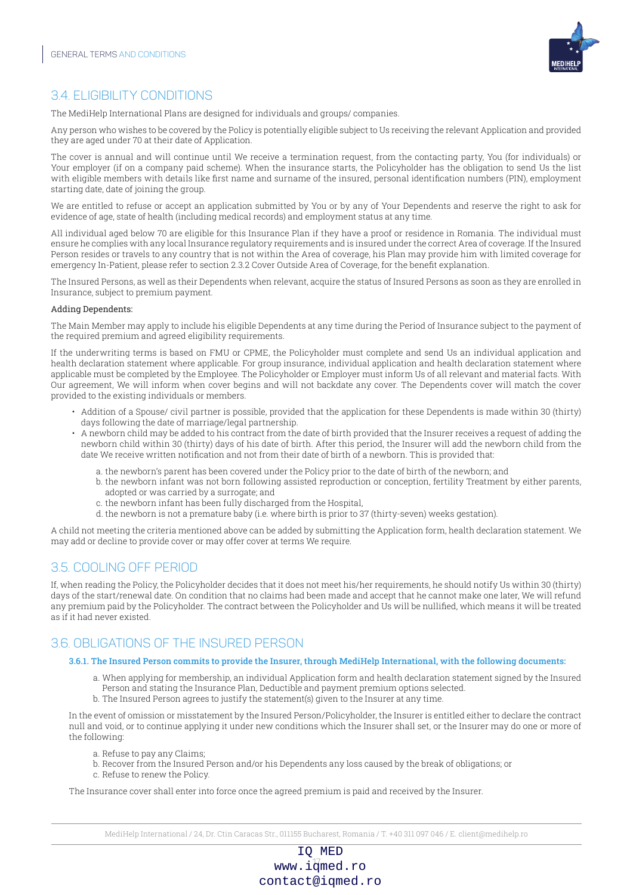

## 3.4. ELIGIBILITY CONDITIONS

The MediHelp International Plans are designed for individuals and groups/ companies.

Any person who wishes to be covered by the Policy is potentially eligible subject to Us receiving the relevant Application and provided they are aged under 70 at their date of Application.

The cover is annual and will continue until We receive a termination request, from the contacting party, You (for individuals) or Your employer (if on a company paid scheme). When the insurance starts, the Policyholder has the obligation to send Us the list with eligible members with details like first name and surname of the insured, personal identification numbers (PIN), employment starting date, date of joining the group.

We are entitled to refuse or accept an application submitted by You or by any of Your Dependents and reserve the right to ask for evidence of age, state of health (including medical records) and employment status at any time.

All individual aged below 70 are eligible for this Insurance Plan if they have a proof or residence in Romania. The individual must ensure he complies with any local Insurance regulatory requirements and is insured under the correct Area of coverage. If the Insured Person resides or travels to any country that is not within the Area of coverage, his Plan may provide him with limited coverage for emergency In-Patient, please refer to section 2.3.2 Cover Outside Area of Coverage, for the benefit explanation.

The Insured Persons, as well as their Dependents when relevant, acquire the status of Insured Persons as soon as they are enrolled in Insurance, subject to premium payment.

#### Adding Dependents:

The Main Member may apply to include his eligible Dependents at any time during the Period of Insurance subject to the payment of the required premium and agreed eligibility requirements.

If the underwriting terms is based on FMU or CPME, the Policyholder must complete and send Us an individual application and health declaration statement where applicable. For group insurance, individual application and health declaration statement where applicable must be completed by the Employee. The Policyholder or Employer must inform Us of all relevant and material facts. With Our agreement, We will inform when cover begins and will not backdate any cover. The Dependents cover will match the cover provided to the existing individuals or members.

- Addition of a Spouse/ civil partner is possible, provided that the application for these Dependents is made within 30 (thirty) days following the date of marriage/legal partnership.
- A newborn child may be added to his contract from the date of birth provided that the Insurer receives a request of adding the newborn child within 30 (thirty) days of his date of birth. After this period, the Insurer will add the newborn child from the date We receive written notification and not from their date of birth of a newborn. This is provided that:
	- a. the newborn's parent has been covered under the Policy prior to the date of birth of the newborn; and
	- b. the newborn infant was not born following assisted reproduction or conception, fertility Treatment by either parents, adopted or was carried by a surrogate; and
	- c. the newborn infant has been fully discharged from the Hospital,
	- d. the newborn is not a premature baby (i.e. where birth is prior to 37 (thirty-seven) weeks gestation).

A child not meeting the criteria mentioned above can be added by submitting the Application form, health declaration statement. We may add or decline to provide cover or may offer cover at terms We require.

## 3.5. COOLING OFF PERIOD

If, when reading the Policy, the Policyholder decides that it does not meet his/her requirements, he should notify Us within 30 (thirty) days of the start/renewal date. On condition that no claims had been made and accept that he cannot make one later, We will refund any premium paid by the Policyholder. The contract between the Policyholder and Us will be nullified, which means it will be treated as if it had never existed.

## 3.6. OBLIGATIONS OF THE INSURED PERSON

#### 3.6.1. The Insured Person commits to provide the Insurer, through MediHelp International, with the following documents:

- a. When applying for membership, an individual Application form and health declaration statement signed by the Insured Person and stating the Insurance Plan, Deductible and payment premium options selected.
- b. The Insured Person agrees to justify the statement(s) given to the Insurer at any time.

In the event of omission or misstatement by the Insured Person/Policyholder, the Insurer is entitled either to declare the contract null and void, or to continue applying it under new conditions which the Insurer shall set, or the Insurer may do one or more of the following:

- a. Refuse to pay any Claims;
- b. Recover from the Insured Person and/or his Dependents any loss caused by the break of obligations; or
- c. Refuse to renew the Policy.

The Insurance cover shall enter into force once the agreed premium is paid and received by the Insurer.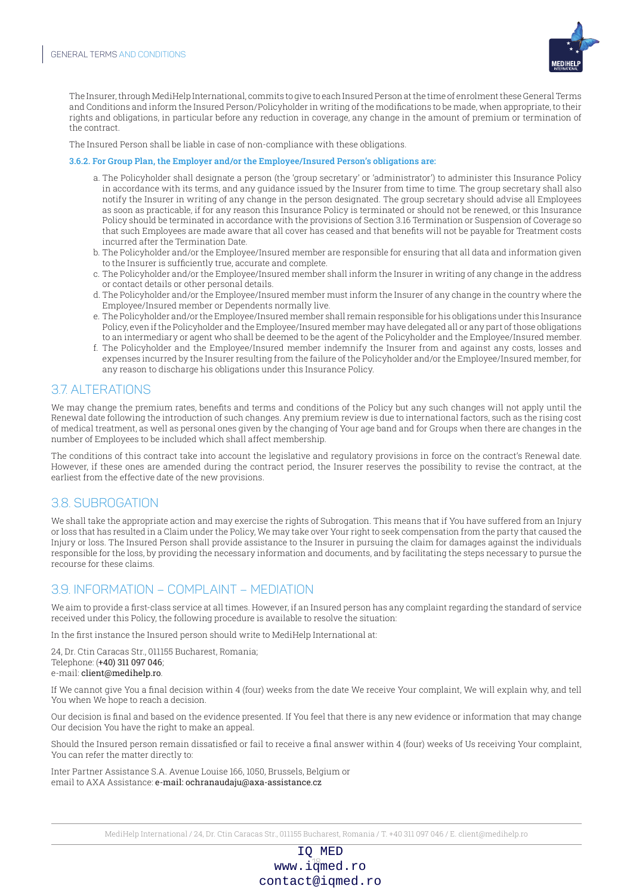

The Insurer, through MediHelp International, commits to give to each Insured Person at the time of enrolment these General Terms and Conditions and inform the Insured Person/Policyholder in writing of the modifications to be made, when appropriate, to their rights and obligations, in particular before any reduction in coverage, any change in the amount of premium or termination of the contract.

The Insured Person shall be liable in case of non-compliance with these obligations.

#### 3.6.2. For Group Plan, the Employer and/or the Employee/Insured Person's obligations are:

- a. The Policyholder shall designate a person (the 'group secretary' or 'administrator') to administer this Insurance Policy in accordance with its terms, and any guidance issued by the Insurer from time to time. The group secretary shall also notify the Insurer in writing of any change in the person designated. The group secretary should advise all Employees as soon as practicable, if for any reason this Insurance Policy is terminated or should not be renewed, or this Insurance Policy should be terminated in accordance with the provisions of Section 3.16 Termination or Suspension of Coverage so that such Employees are made aware that all cover has ceased and that benefits will not be payable for Treatment costs incurred after the Termination Date.
- b. The Policyholder and/or the Employee/Insured member are responsible for ensuring that all data and information given to the Insurer is sufficiently true, accurate and complete.
- c. The Policyholder and/or the Employee/Insured member shall inform the Insurer in writing of any change in the address or contact details or other personal details.
- d. The Policyholder and/or the Employee/Insured member must inform the Insurer of any change in the country where the Employee/Insured member or Dependents normally live.
- e. The Policyholder and/or the Employee/Insured member shall remain responsible for his obligations under this Insurance Policy, even if the Policyholder and the Employee/Insured member may have delegated all or any part of those obligations to an intermediary or agent who shall be deemed to be the agent of the Policyholder and the Employee/Insured member.
- f. The Policyholder and the Employee/Insured member indemnify the Insurer from and against any costs, losses and expenses incurred by the Insurer resulting from the failure of the Policyholder and/or the Employee/Insured member, for any reason to discharge his obligations under this Insurance Policy.

## 3.7. ALTERATIONS

We may change the premium rates, benefits and terms and conditions of the Policy but any such changes will not apply until the Renewal date following the introduction of such changes. Any premium review is due to international factors, such as the rising cost of medical treatment, as well as personal ones given by the changing of Your age band and for Groups when there are changes in the number of Employees to be included which shall affect membership.

The conditions of this contract take into account the legislative and regulatory provisions in force on the contract's Renewal date. However, if these ones are amended during the contract period, the Insurer reserves the possibility to revise the contract, at the earliest from the effective date of the new provisions.

## 3.8. SUBROGATION

We shall take the appropriate action and may exercise the rights of Subrogation. This means that if You have suffered from an Injury or loss that has resulted in a Claim under the Policy, We may take over Your right to seek compensation from the party that caused the Injury or loss. The Insured Person shall provide assistance to the Insurer in pursuing the claim for damages against the individuals responsible for the loss, by providing the necessary information and documents, and by facilitating the steps necessary to pursue the recourse for these claims.

### 3.9. INFORMATION – COMPLAINT – MEDIATION

We aim to provide a first-class service at all times. However, if an Insured person has any complaint regarding the standard of service received under this Policy, the following procedure is available to resolve the situation:

In the first instance the Insured person should write to MediHelp International at:

24, Dr. Ctin Caracas Str., 011155 Bucharest, Romania; Telephone: (+40) 311 097 046; e-mail: client@medihelp.ro.

If We cannot give You a final decision within 4 (four) weeks from the date We receive Your complaint, We will explain why, and tell You when We hope to reach a decision.

Our decision is final and based on the evidence presented. If You feel that there is any new evidence or information that may change Our decision You have the right to make an appeal.

Should the Insured person remain dissatisfied or fail to receive a final answer within 4 (four) weeks of Us receiving Your complaint, You can refer the matter directly to:

Inter Partner Assistance S.A. Avenue Louise 166, 1050, Brussels, Belgium or email to AXA Assistance: e-mail: ochranaudaju@axa-assistance.cz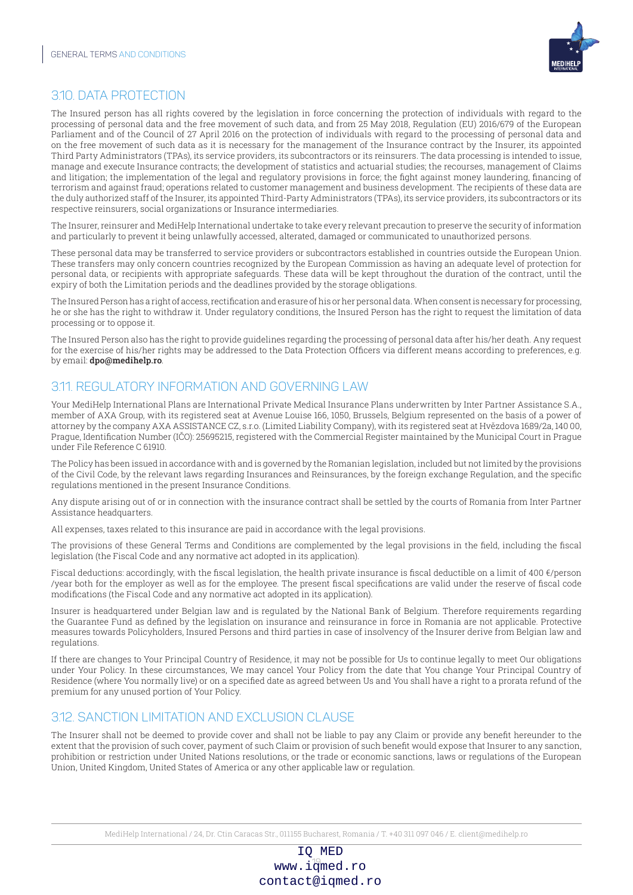

## 3.10. DATA PROTECTION

The Insured person has all rights covered by the legislation in force concerning the protection of individuals with regard to the processing of personal data and the free movement of such data, and from 25 May 2018, Regulation (EU) 2016/679 of the European Parliament and of the Council of 27 April 2016 on the protection of individuals with regard to the processing of personal data and on the free movement of such data as it is necessary for the management of the Insurance contract by the Insurer, its appointed Third Party Administrators (TPAs), its service providers, its subcontractors or its reinsurers. The data processing is intended to issue, manage and execute Insurance contracts; the development of statistics and actuarial studies; the recourses, management of Claims and litigation; the implementation of the legal and regulatory provisions in force; the fight against money laundering, financing of terrorism and against fraud; operations related to customer management and business development. The recipients of these data are the duly authorized staff of the Insurer, its appointed Third-Party Administrators (TPAs), its service providers, its subcontractors or its respective reinsurers, social organizations or Insurance intermediaries.

The Insurer, reinsurer and MediHelp International undertake to take every relevant precaution to preserve the security of information and particularly to prevent it being unlawfully accessed, alterated, damaged or communicated to unauthorized persons.

These personal data may be transferred to service providers or subcontractors established in countries outside the European Union. These transfers may only concern countries recognized by the European Commission as having an adequate level of protection for personal data, or recipients with appropriate safeguards. These data will be kept throughout the duration of the contract, until the expiry of both the Limitation periods and the deadlines provided by the storage obligations.

The Insured Person has a right of access, rectification and erasure of his or her personal data. When consent is necessary for processing, he or she has the right to withdraw it. Under regulatory conditions, the Insured Person has the right to request the limitation of data processing or to oppose it.

The Insured Person also has the right to provide guidelines regarding the processing of personal data after his/her death. Any request for the exercise of his/her rights may be addressed to the Data Protection Officers via different means according to preferences, e.g. by email: dpo@medihelp.ro.

## 3.11. REGULATORY INFORMATION AND GOVERNING LAW

Your MediHelp International Plans are International Private Medical Insurance Plans underwritten by Inter Partner Assistance S.A., member of AXA Group, with its registered seat at Avenue Louise 166, 1050, Brussels, Belgium represented on the basis of a power of attorney by the company AXA ASSISTANCE CZ, s.r.o. (Limited Liability Company), with its registered seat at Hvězdova 1689/2a, 140 00, Prague, Identification Number (IČO): 25695215, registered with the Commercial Register maintained by the Municipal Court in Prague under File Reference C 61910.

The Policy has been issued in accordance with and is governed by the Romanian legislation, included but not limited by the provisions of the Civil Code, by the relevant laws regarding Insurances and Reinsurances, by the foreign exchange Regulation, and the specific regulations mentioned in the present Insurance Conditions.

Any dispute arising out of or in connection with the insurance contract shall be settled by the courts of Romania from Inter Partner Assistance headquarters.

All expenses, taxes related to this insurance are paid in accordance with the legal provisions.

The provisions of these General Terms and Conditions are complemented by the legal provisions in the field, including the fiscal legislation (the Fiscal Code and any normative act adopted in its application).

Fiscal deductions: accordingly, with the fiscal legislation, the health private insurance is fiscal deductible on a limit of  $400 \epsilon$ /person /year both for the employer as well as for the employee. The present fiscal specifications are valid under the reserve of fiscal code modifications (the Fiscal Code and any normative act adopted in its application).

Insurer is headquartered under Belgian law and is regulated by the National Bank of Belgium. Therefore requirements regarding the Guarantee Fund as defined by the legislation on insurance and reinsurance in force in Romania are not applicable. Protective measures towards Policyholders, Insured Persons and third parties in case of insolvency of the Insurer derive from Belgian law and regulations.

If there are changes to Your Principal Country of Residence, it may not be possible for Us to continue legally to meet Our obligations under Your Policy. In these circumstances, We may cancel Your Policy from the date that You change Your Principal Country of Residence (where You normally live) or on a specified date as agreed between Us and You shall have a right to a prorata refund of the premium for any unused portion of Your Policy.

## 3.12. SANCTION LIMITATION AND EXCLUSION CLAUSE

The Insurer shall not be deemed to provide cover and shall not be liable to pay any Claim or provide any benefit hereunder to the extent that the provision of such cover, payment of such Claim or provision of such benefit would expose that Insurer to any sanction, prohibition or restriction under United Nations resolutions, or the trade or economic sanctions, laws or regulations of the European Union, United Kingdom, United States of America or any other applicable law or regulation.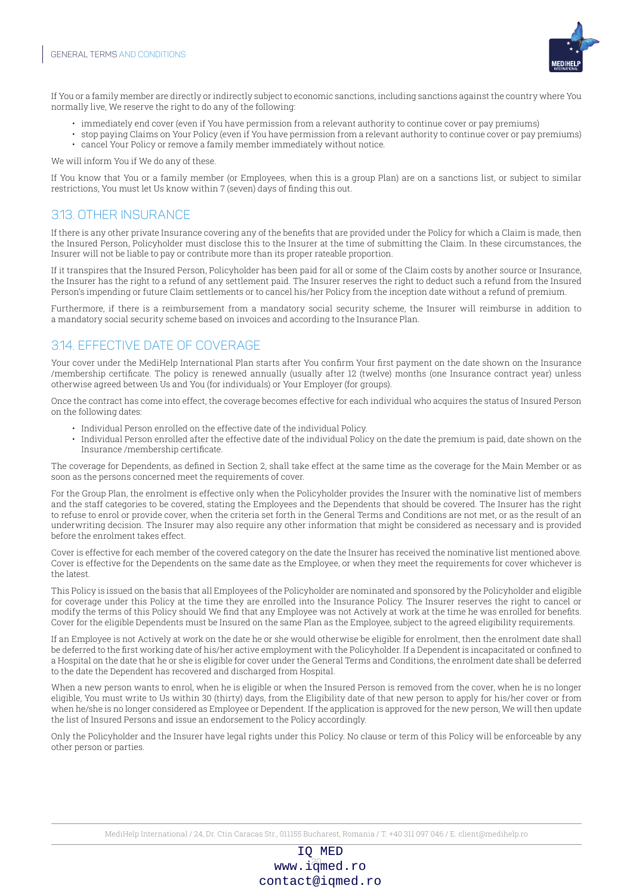

If You or a family member are directly or indirectly subject to economic sanctions, including sanctions against the country where You normally live, We reserve the right to do any of the following:

- immediately end cover (even if You have permission from a relevant authority to continue cover or pay premiums)
- stop paying Claims on Your Policy (even if You have permission from a relevant authority to continue cover or pay premiums)
- cancel Your Policy or remove a family member immediately without notice.

We will inform You if We do any of these.

If You know that You or a family member (or Employees, when this is a group Plan) are on a sanctions list, or subject to similar restrictions, You must let Us know within 7 (seven) days of finding this out.

## 3.13. OTHER INSURANCE

If there is any other private Insurance covering any of the benefits that are provided under the Policy for which a Claim is made, then the Insured Person, Policyholder must disclose this to the Insurer at the time of submitting the Claim. In these circumstances, the Insurer will not be liable to pay or contribute more than its proper rateable proportion.

If it transpires that the Insured Person, Policyholder has been paid for all or some of the Claim costs by another source or Insurance, the Insurer has the right to a refund of any settlement paid. The Insurer reserves the right to deduct such a refund from the Insured Person's impending or future Claim settlements or to cancel his/her Policy from the inception date without a refund of premium.

Furthermore, if there is a reimbursement from a mandatory social security scheme, the Insurer will reimburse in addition to a mandatory social security scheme based on invoices and according to the Insurance Plan.

## 3.14. EFFECTIVE DATE OF COVERAGE

Your cover under the MediHelp International Plan starts after You confirm Your first payment on the date shown on the Insurance /membership certificate. The policy is renewed annually (usually after 12 (twelve) months (one Insurance contract year) unless otherwise agreed between Us and You (for individuals) or Your Employer (for groups).

Once the contract has come into effect, the coverage becomes effective for each individual who acquires the status of Insured Person on the following dates:

- Individual Person enrolled on the effective date of the individual Policy.
- Individual Person enrolled after the effective date of the individual Policy on the date the premium is paid, date shown on the Insurance /membership certificate.

The coverage for Dependents, as defined in Section 2, shall take effect at the same time as the coverage for the Main Member or as soon as the persons concerned meet the requirements of cover.

For the Group Plan, the enrolment is effective only when the Policyholder provides the Insurer with the nominative list of members and the staff categories to be covered, stating the Employees and the Dependents that should be covered. The Insurer has the right to refuse to enrol or provide cover, when the criteria set forth in the General Terms and Conditions are not met, or as the result of an underwriting decision. The Insurer may also require any other information that might be considered as necessary and is provided before the enrolment takes effect.

Cover is effective for each member of the covered category on the date the Insurer has received the nominative list mentioned above. Cover is effective for the Dependents on the same date as the Employee, or when they meet the requirements for cover whichever is the latest.

This Policy is issued on the basis that all Employees of the Policyholder are nominated and sponsored by the Policyholder and eligible for coverage under this Policy at the time they are enrolled into the Insurance Policy. The Insurer reserves the right to cancel or modify the terms of this Policy should We find that any Employee was not Actively at work at the time he was enrolled for benefits. Cover for the eligible Dependents must be Insured on the same Plan as the Employee, subject to the agreed eligibility requirements.

If an Employee is not Actively at work on the date he or she would otherwise be eligible for enrolment, then the enrolment date shall be deferred to the first working date of his/her active employment with the Policyholder. If a Dependent is incapacitated or confined to a Hospital on the date that he or she is eligible for cover under the General Terms and Conditions, the enrolment date shall be deferred to the date the Dependent has recovered and discharged from Hospital.

When a new person wants to enrol, when he is eligible or when the Insured Person is removed from the cover, when he is no longer eligible, You must write to Us within 30 (thirty) days, from the Eligibility date of that new person to apply for his/her cover or from when he/she is no longer considered as Employee or Dependent. If the application is approved for the new person, We will then update the list of Insured Persons and issue an endorsement to the Policy accordingly.

Only the Policyholder and the Insurer have legal rights under this Policy. No clause or term of this Policy will be enforceable by any other person or parties.

MediHelp International / 24, Dr. Ctin Caracas Str., 011155 Bucharest, Romania / T. +40 311 097 046 / E. client@medihelp.ro

www.i $\frac{20}{2}$ med.ro IQ MED contact@iqmed.ro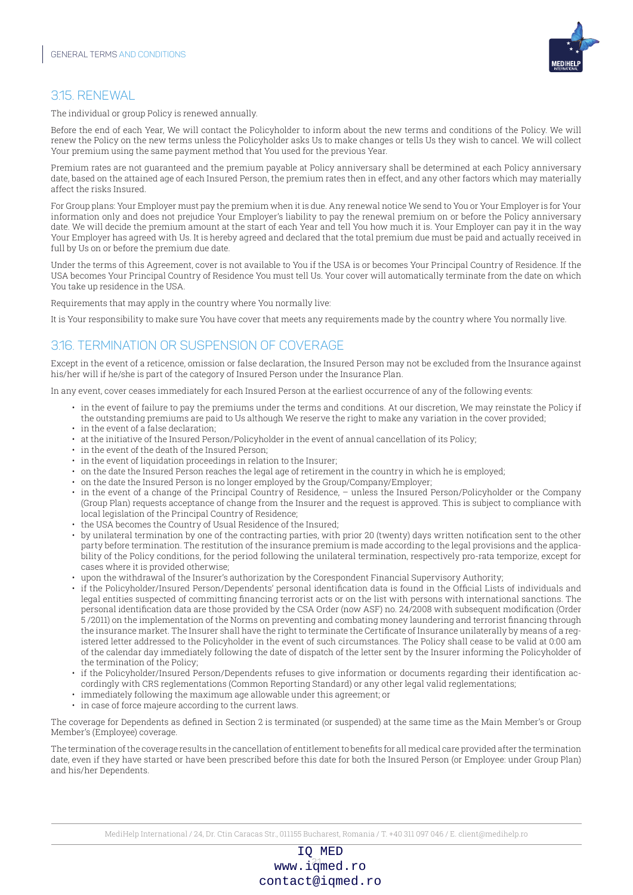

## 3.15. RENEWAL

The individual or group Policy is renewed annually.

Before the end of each Year, We will contact the Policyholder to inform about the new terms and conditions of the Policy. We will renew the Policy on the new terms unless the Policyholder asks Us to make changes or tells Us they wish to cancel. We will collect Your premium using the same payment method that You used for the previous Year.

Premium rates are not guaranteed and the premium payable at Policy anniversary shall be determined at each Policy anniversary date, based on the attained age of each Insured Person, the premium rates then in effect, and any other factors which may materially affect the risks Insured.

For Group plans: Your Employer must pay the premium when it is due. Any renewal notice We send to You or Your Employer is for Your information only and does not prejudice Your Employer's liability to pay the renewal premium on or before the Policy anniversary date. We will decide the premium amount at the start of each Year and tell You how much it is. Your Employer can pay it in the way Your Employer has agreed with Us. It is hereby agreed and declared that the total premium due must be paid and actually received in full by Us on or before the premium due date.

Under the terms of this Agreement, cover is not available to You if the USA is or becomes Your Principal Country of Residence. If the USA becomes Your Principal Country of Residence You must tell Us. Your cover will automatically terminate from the date on which You take up residence in the USA.

Requirements that may apply in the country where You normally live:

It is Your responsibility to make sure You have cover that meets any requirements made by the country where You normally live.

## 3.16. TERMINATION OR SUSPENSION OF COVERAGE

Except in the event of a reticence, omission or false declaration, the Insured Person may not be excluded from the Insurance against his/her will if he/she is part of the category of Insured Person under the Insurance Plan.

In any event, cover ceases immediately for each Insured Person at the earliest occurrence of any of the following events:

- in the event of failure to pay the premiums under the terms and conditions. At our discretion, We may reinstate the Policy if the outstanding premiums are paid to Us although We reserve the right to make any variation in the cover provided;
- in the event of a false declaration;
- at the initiative of the Insured Person/Policyholder in the event of annual cancellation of its Policy;
- in the event of the death of the Insured Person;
- in the event of liquidation proceedings in relation to the Insurer;
- on the date the Insured Person reaches the legal age of retirement in the country in which he is employed;
- on the date the Insured Person is no longer employed by the Group/Company/Employer;
- in the event of a change of the Principal Country of Residence, unless the Insured Person/Policyholder or the Company (Group Plan) requests acceptance of change from the Insurer and the request is approved. This is subject to compliance with local legislation of the Principal Country of Residence;
- the USA becomes the Country of Usual Residence of the Insured;
- by unilateral termination by one of the contracting parties, with prior 20 (twenty) days written notification sent to the other party before termination. The restitution of the insurance premium is made according to the legal provisions and the applicability of the Policy conditions, for the period following the unilateral termination, respectively pro-rata temporize, except for cases where it is provided otherwise;
- upon the withdrawal of the Insurer's authorization by the Corespondent Financial Supervisory Authority;
- if the Policyholder/Insured Person/Dependents' personal identification data is found in the Official Lists of individuals and legal entities suspected of committing financing terrorist acts or on the list with persons with international sanctions. The personal identification data are those provided by the CSA Order (now ASF) no. 24/2008 with subsequent modification (Order 5 /2011) on the implementation of the Norms on preventing and combating money laundering and terrorist financing through the insurance market. The Insurer shall have the right to terminate the Certificate of Insurance unilaterally by means of a registered letter addressed to the Policyholder in the event of such circumstances. The Policy shall cease to be valid at 0:00 am of the calendar day immediately following the date of dispatch of the letter sent by the Insurer informing the Policyholder of the termination of the Policy;
- if the Policyholder/Insured Person/Dependents refuses to give information or documents regarding their identification accordingly with CRS reglementations (Common Reporting Standard) or any other legal valid reglementations;
- immediately following the maximum age allowable under this agreement; or
- in case of force majeure according to the current laws.

The coverage for Dependents as defined in Section 2 is terminated (or suspended) at the same time as the Main Member's or Group Member's (Employee) coverage.

The termination of the coverage results in the cancellation of entitlement to benefits for all medical care provided after the termination date, even if they have started or have been prescribed before this date for both the Insured Person (or Employee: under Group Plan) and his/her Dependents.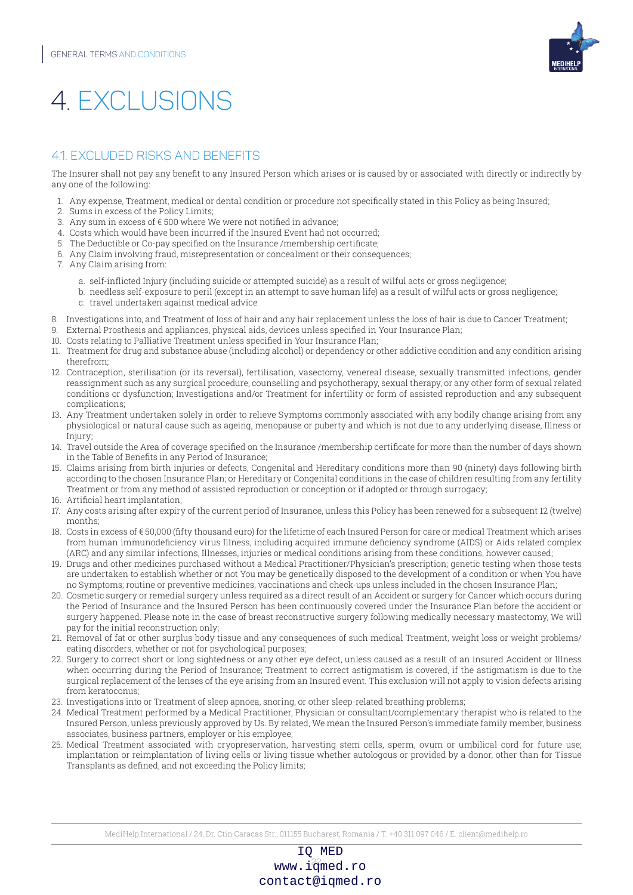

## 4 EXCLUSIONS

## 4.1. EXCLUDED RISKS AND BENEFITS

The Insurer shall not pay any benefit to any Insured Person which arises or is caused by or associated with directly or indirectly by any one of the following:

- 1. Any expense, Treatment, medical or dental condition or procedure not specifically stated in this Policy as being Insured;
- 2. Sums in excess of the Policy Limits;
- 3. Any sum in excess of  $\epsilon$  500 where We were not notified in advance;
- 4. Costs which would have been incurred if the Insured Event had not occurred;
- 5. The Deductible or Co-pay specified on the Insurance /membership certificate;
- 6. Any Claim involving fraud, misrepresentation or concealment or their consequences;
- 7. Any Claim arising from:
	- a. self-inflicted Injury (including suicide or attempted suicide) as a result of wilful acts or gross negligence;
	- b. needless self-exposure to peril (except in an attempt to save human life) as a result of wilful acts or gross negligence; c. travel undertaken against medical advice
- 8. Investigations into, and Treatment of loss of hair and any hair replacement unless the loss of hair is due to Cancer Treatment;
- 9. External Prosthesis and appliances, physical aids, devices unless specified in Your Insurance Plan;
- 10. Costs relating to Palliative Treatment unless specified in Your Insurance Plan;
- 11. Treatment for drug and substance abuse (including alcohol) or dependency or other addictive condition and any condition arising therefrom;
- 12. Contraception, sterilisation (or its reversal), fertilisation, vasectomy, venereal disease, sexually transmitted infections, gender reassignment such as any surgical procedure, counselling and psychotherapy, sexual therapy, or any other form of sexual related conditions or dysfunction; Investigations and/or Treatment for infertility or form of assisted reproduction and any subsequent complications;
- 13. Any Treatment undertaken solely in order to relieve Symptoms commonly associated with any bodily change arising from any physiological or natural cause such as ageing, menopause or puberty and which is not due to any underlying disease, Illness or Injury;
- 14. Travel outside the Area of coverage specified on the Insurance /membership certificate for more than the number of days shown in the Table of Benefits in any Period of Insurance;
- 15. Claims arising from birth injuries or defects, Congenital and Hereditary conditions more than 90 (ninety) days following birth according to the chosen Insurance Plan; or Hereditary or Congenital conditions in the case of children resulting from any fertility Treatment or from any method of assisted reproduction or conception or if adopted or through surrogacy;
- 16. Artificial heart implantation;
- 17. Any costs arising after expiry of the current period of Insurance, unless this Policy has been renewed for a subsequent 12 (twelve) months;
- 18. Costs in excess of € 50,000 (fifty thousand euro) for the lifetime of each Insured Person for care or medical Treatment which arises from human immunodeficiency virus Illness, including acquired immune deficiency syndrome (AIDS) or Aids related complex (ARC) and any similar infections, Illnesses, injuries or medical conditions arising from these conditions, however caused;
- 19. Drugs and other medicines purchased without a Medical Practitioner/Physician's prescription; genetic testing when those tests are undertaken to establish whether or not You may be genetically disposed to the development of a condition or when You have no Symptoms; routine or preventive medicines, vaccinations and check-ups unless included in the chosen Insurance Plan;
- 20. Cosmetic surgery or remedial surgery unless required as a direct result of an Accident or surgery for Cancer which occurs during the Period of Insurance and the Insured Person has been continuously covered under the Insurance Plan before the accident or surgery happened. Please note in the case of breast reconstructive surgery following medically necessary mastectomy, We will pay for the initial reconstruction only;
- 21. Removal of fat or other surplus body tissue and any consequences of such medical Treatment, weight loss or weight problems/ eating disorders, whether or not for psychological purposes;
- 22. Surgery to correct short or long sightedness or any other eye defect, unless caused as a result of an insured Accident or Illness when occurring during the Period of Insurance; Treatment to correct astigmatism is covered, if the astigmatism is due to the surgical replacement of the lenses of the eye arising from an Insured event. This exclusion will not apply to vision defects arising from keratoconus;
- 23. Investigations into or Treatment of sleep apnoea, snoring, or other sleep-related breathing problems;
- 24. Medical Treatment performed by a Medical Practitioner, Physician or consultant/complementary therapist who is related to the Insured Person, unless previously approved by Us. By related, We mean the Insured Person's immediate family member, business associates, business partners, employer or his employee;
- 25. Medical Treatment associated with cryopreservation, harvesting stem cells, sperm, ovum or umbilical cord for future use; implantation or reimplantation of living cells or living tissue whether autologous or provided by a donor, other than for Tissue Transplants as defined, and not exceeding the Policy limits;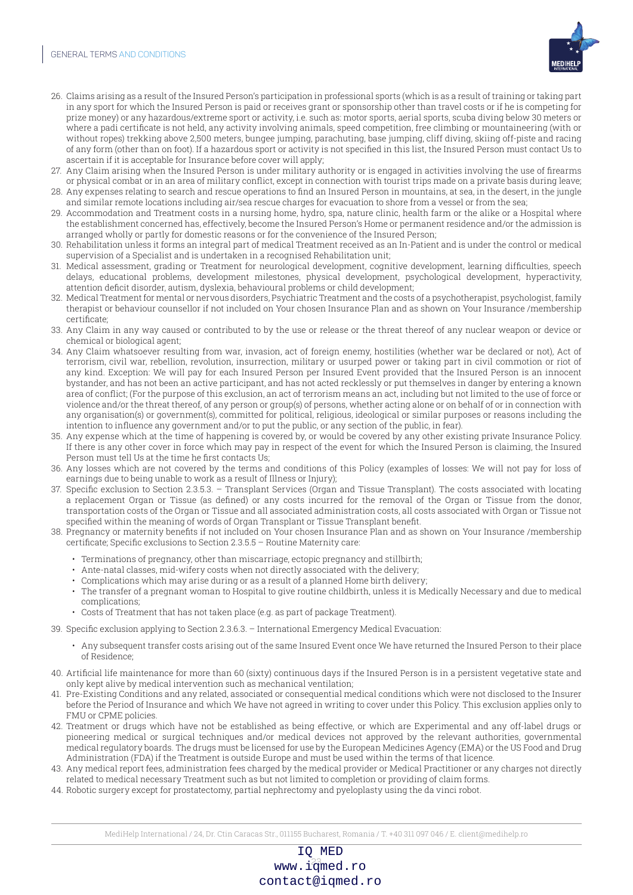

- 26. Claims arising as a result of the Insured Person's participation in professional sports (which is as a result of training or taking part in any sport for which the Insured Person is paid or receives grant or sponsorship other than travel costs or if he is competing for prize money) or any hazardous/extreme sport or activity, i.e. such as: motor sports, aerial sports, scuba diving below 30 meters or where a padi certificate is not held, any activity involving animals, speed competition, free climbing or mountaineering (with or without ropes) trekking above 2,500 meters, bungee jumping, parachuting, base jumping, cliff diving, skiing off-piste and racing of any form (other than on foot). If a hazardous sport or activity is not specified in this list, the Insured Person must contact Us to ascertain if it is acceptable for Insurance before cover will apply;
- 27. Any Claim arising when the Insured Person is under military authority or is engaged in activities involving the use of firearms or physical combat or in an area of military conflict, except in connection with tourist trips made on a private basis during leave; 28. Any expenses relating to search and rescue operations to find an Insured Person in mountains, at sea, in the desert, in the jungle
- and similar remote locations including air/sea rescue charges for evacuation to shore from a vessel or from the sea; 29. Accommodation and Treatment costs in a nursing home, hydro, spa, nature clinic, health farm or the alike or a Hospital where the establishment concerned has, effectively, become the Insured Person's Home or permanent residence and/or the admission is
- arranged wholly or partly for domestic reasons or for the convenience of the Insured Person; 30. Rehabilitation unless it forms an integral part of medical Treatment received as an In-Patient and is under the control or medical
- supervision of a Specialist and is undertaken in a recognised Rehabilitation unit; 31. Medical assessment, grading or Treatment for neurological development, cognitive development, learning difficulties, speech
- delays, educational problems, development milestones, physical development, psychological development, hyperactivity, attention deficit disorder, autism, dyslexia, behavioural problems or child development;
- 32. Medical Treatment for mental or nervous disorders, Psychiatric Treatment and the costs of a psychotherapist, psychologist, family therapist or behaviour counsellor if not included on Your chosen Insurance Plan and as shown on Your Insurance /membership certificate;
- 33. Any Claim in any way caused or contributed to by the use or release or the threat thereof of any nuclear weapon or device or chemical or biological agent;
- 34. Any Claim whatsoever resulting from war, invasion, act of foreign enemy, hostilities (whether war be declared or not), Act of terrorism, civil war, rebellion, revolution, insurrection, military or usurped power or taking part in civil commotion or riot of any kind. Exception: We will pay for each Insured Person per Insured Event provided that the Insured Person is an innocent bystander, and has not been an active participant, and has not acted recklessly or put themselves in danger by entering a known area of conflict; (For the purpose of this exclusion, an act of terrorism means an act, including but not limited to the use of force or violence and/or the threat thereof, of any person or group(s) of persons, whether acting alone or on behalf of or in connection with any organisation(s) or government(s), committed for political, religious, ideological or similar purposes or reasons including the intention to influence any government and/or to put the public, or any section of the public, in fear).
- 35. Any expense which at the time of happening is covered by, or would be covered by any other existing private Insurance Policy. If there is any other cover in force which may pay in respect of the event for which the Insured Person is claiming, the Insured Person must tell Us at the time he first contacts Us;
- 36. Any losses which are not covered by the terms and conditions of this Policy (examples of losses: We will not pay for loss of earnings due to being unable to work as a result of Illness or Injury);
- 37. Specific exclusion to Section 2.3.5.3. Transplant Services (Organ and Tissue Transplant). The costs associated with locating a replacement Organ or Tissue (as defined) or any costs incurred for the removal of the Organ or Tissue from the donor, transportation costs of the Organ or Tissue and all associated administration costs, all costs associated with Organ or Tissue not specified within the meaning of words of Organ Transplant or Tissue Transplant benefit.
- 38. Pregnancy or maternity benefits if not included on Your chosen Insurance Plan and as shown on Your Insurance /membership certificate; Specific exclusions to Section 2.3.5.5 – Routine Maternity care:
	- Terminations of pregnancy, other than miscarriage, ectopic pregnancy and stillbirth;
	- Ante-natal classes, mid-wifery costs when not directly associated with the delivery;
	- Complications which may arise during or as a result of a planned Home birth delivery;
	- The transfer of a pregnant woman to Hospital to give routine childbirth, unless it is Medically Necessary and due to medical complications;
	- Costs of Treatment that has not taken place (e.g. as part of package Treatment).
- 39. Specific exclusion applying to Section 2.3.6.3. International Emergency Medical Evacuation:
	- Any subsequent transfer costs arising out of the same Insured Event once We have returned the Insured Person to their place of Residence;
- 40. Artificial life maintenance for more than 60 (sixty) continuous days if the Insured Person is in a persistent vegetative state and only kept alive by medical intervention such as mechanical ventilation;
- 41. Pre-Existing Conditions and any related, associated or consequential medical conditions which were not disclosed to the Insurer before the Period of Insurance and which We have not agreed in writing to cover under this Policy. This exclusion applies only to FMU or CPME policies.
- 42. Treatment or drugs which have not be established as being effective, or which are Experimental and any off-label drugs or pioneering medical or surgical techniques and/or medical devices not approved by the relevant authorities, governmental medical regulatory boards. The drugs must be licensed for use by the European Medicines Agency (EMA) or the US Food and Drug Administration (FDA) if the Treatment is outside Europe and must be used within the terms of that licence.
- 43. Any medical report fees, administration fees charged by the medical provider or Medical Practitioner or any charges not directly related to medical necessary Treatment such as but not limited to completion or providing of claim forms.
- 44. Robotic surgery except for prostatectomy, partial nephrectomy and pyeloplasty using the da vinci robot.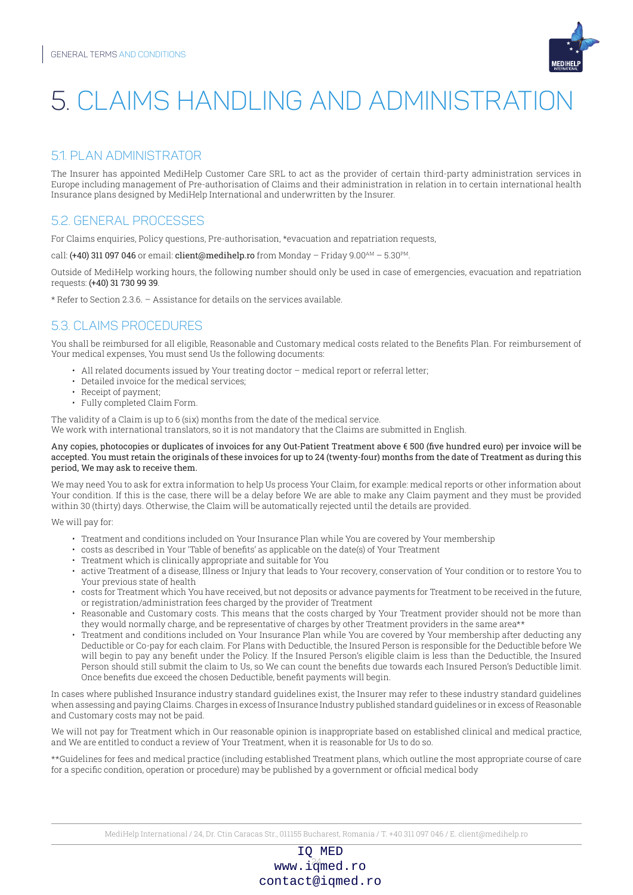

## 5. CLAIMS HANDLING AND ADMINISTRATION

## 5.1. PLAN ADMINISTRATOR

The Insurer has appointed MediHelp Customer Care SRL to act as the provider of certain third-party administration services in Europe including management of Pre-authorisation of Claims and their administration in relation in to certain international health Insurance plans designed by MediHelp International and underwritten by the Insurer.

## 5.2. GENERAL PROCESSES

For Claims enquiries, Policy questions, Pre-authorisation, \*evacuation and repatriation requests,

call: (+40) 311 097 046 or email: client@medihelp.ro from Monday - Friday 9.00AM - 5.30PM.

Outside of MediHelp working hours, the following number should only be used in case of emergencies, evacuation and repatriation requests: (+40) 31 730 99 39.

\* Refer to Section 2.3.6. – Assistance for details on the services available.

## 5.3. CLAIMS PROCEDURES

You shall be reimbursed for all eligible, Reasonable and Customary medical costs related to the Benefits Plan. For reimbursement of Your medical expenses, You must send Us the following documents:

- All related documents issued by Your treating doctor medical report or referral letter;
- Detailed invoice for the medical services;
- Receipt of payment;
- Fully completed Claim Form.

The validity of a Claim is up to 6 (six) months from the date of the medical service. We work with international translators, so it is not mandatory that the Claims are submitted in English.

#### Any copies, photocopies or duplicates of invoices for any Out-Patient Treatment above € 500 (five hundred euro) per invoice will be accepted. You must retain the originals of these invoices for up to 24 (twenty-four) months from the date of Treatment as during this period, We may ask to receive them.

We may need You to ask for extra information to help Us process Your Claim, for example: medical reports or other information about Your condition. If this is the case, there will be a delay before We are able to make any Claim payment and they must be provided within 30 (thirty) days. Otherwise, the Claim will be automatically rejected until the details are provided.

We will pay for:

- Treatment and conditions included on Your Insurance Plan while You are covered by Your membership
- costs as described in Your 'Table of benefits' as applicable on the date(s) of Your Treatment
- Treatment which is clinically appropriate and suitable for You
- active Treatment of a disease, Illness or Injury that leads to Your recovery, conservation of Your condition or to restore You to Your previous state of health
- costs for Treatment which You have received, but not deposits or advance payments for Treatment to be received in the future, or registration/administration fees charged by the provider of Treatment
- Reasonable and Customary costs. This means that the costs charged by Your Treatment provider should not be more than they would normally charge, and be representative of charges by other Treatment providers in the same area\*\*
- Treatment and conditions included on Your Insurance Plan while You are covered by Your membership after deducting any Deductible or Co-pay for each claim. For Plans with Deductible, the Insured Person is responsible for the Deductible before We will begin to pay any benefit under the Policy. If the Insured Person's eligible claim is less than the Deductible, the Insured Person should still submit the claim to Us, so We can count the benefits due towards each Insured Person's Deductible limit. Once benefits due exceed the chosen Deductible, benefit payments will begin.

In cases where published Insurance industry standard guidelines exist, the Insurer may refer to these industry standard guidelines when assessing and paying Claims. Charges in excess of Insurance Industry published standard guidelines or in excess of Reasonable and Customary costs may not be paid.

We will not pay for Treatment which in Our reasonable opinion is inappropriate based on established clinical and medical practice, and We are entitled to conduct a review of Your Treatment, when it is reasonable for Us to do so.

\*\*Guidelines for fees and medical practice (including established Treatment plans, which outline the most appropriate course of care for a specific condition, operation or procedure) may be published by a government or official medical body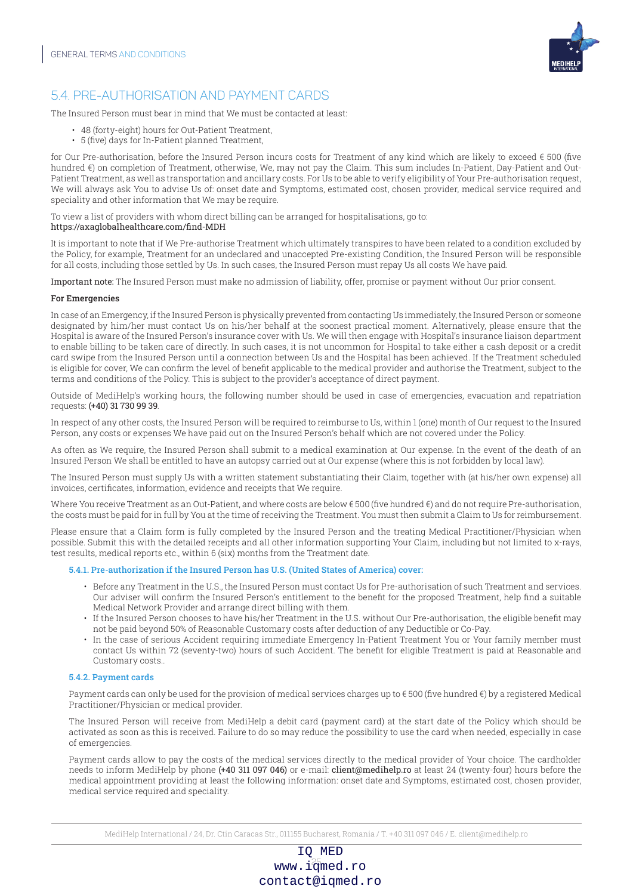

## 5.4. PRE-AUTHORISATION AND PAYMENT CARDS

The Insured Person must bear in mind that We must be contacted at least:

- 48 (forty-eight) hours for Out-Patient Treatment,
- 5 (five) days for In-Patient planned Treatment,

for Our Pre-authorisation, before the Insured Person incurs costs for Treatment of any kind which are likely to exceed € 500 (five hundred €) on completion of Treatment, otherwise, We, may not pay the Claim. This sum includes In-Patient, Day-Patient and Out-Patient Treatment, as well as transportation and ancillary costs. For Us to be able to verify eligibility of Your Pre-authorisation request, We will always ask You to advise Us of: onset date and Symptoms, estimated cost, chosen provider, medical service required and speciality and other information that We may be require.

#### To view a list of providers with whom direct billing can be arranged for hospitalisations, go to: https://axaglobalhealthcare.com/find-MDH

It is important to note that if We Pre-authorise Treatment which ultimately transpires to have been related to a condition excluded by the Policy, for example, Treatment for an undeclared and unaccepted Pre-existing Condition, the Insured Person will be responsible for all costs, including those settled by Us. In such cases, the Insured Person must repay Us all costs We have paid.

Important note: The Insured Person must make no admission of liability, offer, promise or payment without Our prior consent.

#### For Emergencies

In case of an Emergency, if the Insured Person is physically prevented from contacting Us immediately, the Insured Person or someone designated by him/her must contact Us on his/her behalf at the soonest practical moment. Alternatively, please ensure that the Hospital is aware of the Insured Person's insurance cover with Us. We will then engage with Hospital's insurance liaison department to enable billing to be taken care of directly. In such cases, it is not uncommon for Hospital to take either a cash deposit or a credit card swipe from the Insured Person until a connection between Us and the Hospital has been achieved. If the Treatment scheduled is eligible for cover, We can confirm the level of benefit applicable to the medical provider and authorise the Treatment, subject to the terms and conditions of the Policy. This is subject to the provider's acceptance of direct payment.

Outside of MediHelp's working hours, the following number should be used in case of emergencies, evacuation and repatriation requests: (+40) 31 730 99 39.

In respect of any other costs, the Insured Person will be required to reimburse to Us, within 1 (one) month of Our request to the Insured Person, any costs or expenses We have paid out on the Insured Person's behalf which are not covered under the Policy.

As often as We require, the Insured Person shall submit to a medical examination at Our expense. In the event of the death of an Insured Person We shall be entitled to have an autopsy carried out at Our expense (where this is not forbidden by local law).

The Insured Person must supply Us with a written statement substantiating their Claim, together with (at his/her own expense) all invoices, certificates, information, evidence and receipts that We require.

Where You receive Treatment as an Out-Patient, and where costs are below €500 (five hundred €) and do not require Pre-authorisation, the costs must be paid for in full by You at the time of receiving the Treatment. You must then submit a Claim to Us for reimbursement.

Please ensure that a Claim form is fully completed by the Insured Person and the treating Medical Practitioner/Physician when possible. Submit this with the detailed receipts and all other information supporting Your Claim, including but not limited to x-rays, test results, medical reports etc., within 6 (six) months from the Treatment date.

#### 5.4.1. Pre-authorization if the Insured Person has U.S. (United States of America) cover:

- Before any Treatment in the U.S., the Insured Person must contact Us for Pre-authorisation of such Treatment and services. Our adviser will confirm the Insured Person's entitlement to the benefit for the proposed Treatment, help find a suitable Medical Network Provider and arrange direct billing with them.
- If the Insured Person chooses to have his/her Treatment in the U.S. without Our Pre-authorisation, the eligible benefit may not be paid beyond 50% of Reasonable Customary costs after deduction of any Deductible or Co-Pay.
- In the case of serious Accident requiring immediate Emergency In-Patient Treatment You or Your family member must contact Us within 72 (seventy-two) hours of such Accident. The benefit for eligible Treatment is paid at Reasonable and Customary costs..

#### 5.4.2. Payment cards

Payment cards can only be used for the provision of medical services charges up to € 500 (five hundred €) by a registered Medical Practitioner/Physician or medical provider.

The Insured Person will receive from MediHelp a debit card (payment card) at the start date of the Policy which should be activated as soon as this is received. Failure to do so may reduce the possibility to use the card when needed, especially in case of emergencies.

Payment cards allow to pay the costs of the medical services directly to the medical provider of Your choice. The cardholder needs to inform MediHelp by phone (+40 311 097 046) or e-mail: client@medihelp.ro at least 24 (twenty-four) hours before the medical appointment providing at least the following information: onset date and Symptoms, estimated cost, chosen provider, medical service required and speciality.

MediHelp International / 24, Dr. Ctin Caracas Str., 011155 Bucharest, Romania / T. +40 311 097 046 / E. client@medihelp.ro

## www.i $\frac{25}{3}$ med.ro IQ MED contact@iqmed.ro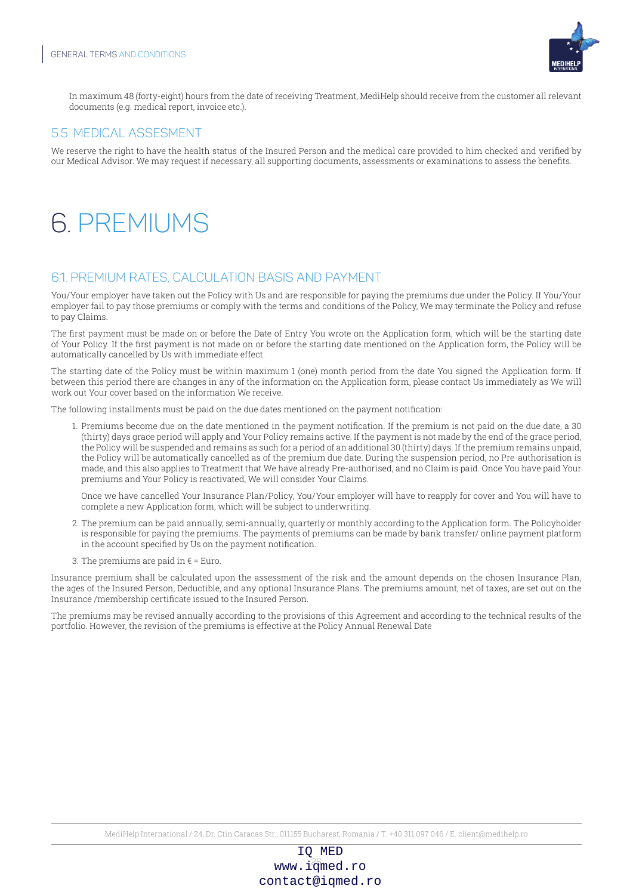

In maximum 48 (forty-eight) hours from the date of receiving Treatment, MediHelp should receive from the customer all relevant documents (e.g. medical report, invoice etc.).

## 5.5. MEDICAL ASSESMENT

We reserve the right to have the health status of the Insured Person and the medical care provided to him checked and verified by our Medical Advisor. We may request if necessary, all supporting documents, assessments or examinations to assess the benefits.

## 6. PREMIUMS

## 6.1. PREMIUM RATES, CALCULATION BASIS AND PAYMENT

You/Your employer have taken out the Policy with Us and are responsible for paying the premiums due under the Policy. If You/Your employer fail to pay those premiums or comply with the terms and conditions of the Policy, We may terminate the Policy and refuse to pay Claims.

The first payment must be made on or before the Date of Entry You wrote on the Application form, which will be the starting date of Your Policy. If the first payment is not made on or before the starting date mentioned on the Application form, the Policy will be automatically cancelled by Us with immediate effect.

The starting date of the Policy must be within maximum 1 (one) month period from the date You signed the Application form. If between this period there are changes in any of the information on the Application form, please contact Us immediately as We will work out Your cover based on the information We receive.

The following installments must be paid on the due dates mentioned on the payment notification:

1. Premiums become due on the date mentioned in the payment notification. If the premium is not paid on the due date, a 30 (thirty) days grace period will apply and Your Policy remains active. If the payment is not made by the end of the grace period, the Policy will be suspended and remains as such for a period of an additional 30 (thirty) days. If the premium remains unpaid, the Policy will be automatically cancelled as of the premium due date. During the suspension period, no Pre-authorisation is made, and this also applies to Treatment that We have already Pre-authorised, and no Claim is paid. Once You have paid Your premiums and Your Policy is reactivated, We will consider Your Claims.

Once we have cancelled Your Insurance Plan/Policy, You/Your employer will have to reapply for cover and You will have to complete a new Application form, which will be subject to underwriting.

- 2. The premium can be paid annually, semi-annually, quarterly or monthly according to the Application form. The Policyholder is responsible for paying the premiums. The payments of premiums can be made by bank transfer/ online payment platform in the account specified by Us on the payment notification.
- 3. The premiums are paid in  $\epsilon$  = Euro.

Insurance premium shall be calculated upon the assessment of the risk and the amount depends on the chosen Insurance Plan, the ages of the Insured Person, Deductible, and any optional Insurance Plans. The premiums amount, net of taxes, are set out on the Insurance /membership certificate issued to the Insured Person.

The premiums may be revised annually according to the provisions of this Agreement and according to the technical results of the portfolio. However, the revision of the premiums is effective at the Policy Annual Renewal Date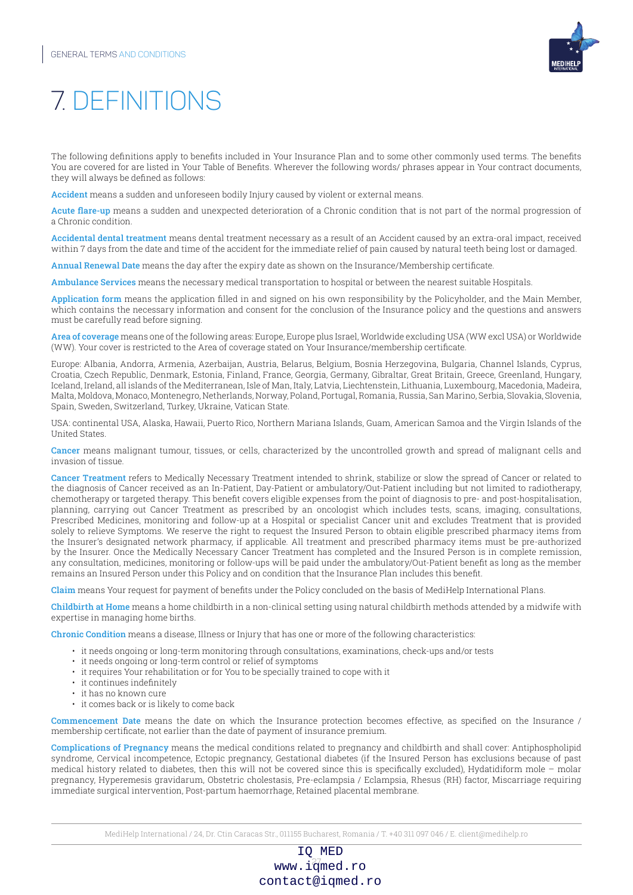

## 7. DEFINITIONS

The following definitions apply to benefits included in Your Insurance Plan and to some other commonly used terms. The benefits You are covered for are listed in Your Table of Benefits. Wherever the following words/ phrases appear in Your contract documents, they will always be defined as follows:

Accident means a sudden and unforeseen bodily Injury caused by violent or external means.

Acute flare-up means a sudden and unexpected deterioration of a Chronic condition that is not part of the normal progression of a Chronic condition.

Accidental dental treatment means dental treatment necessary as a result of an Accident caused by an extra-oral impact, received within 7 days from the date and time of the accident for the immediate relief of pain caused by natural teeth being lost or damaged.

Annual Renewal Date means the day after the expiry date as shown on the Insurance/Membership certificate.

Ambulance Services means the necessary medical transportation to hospital or between the nearest suitable Hospitals.

Application form means the application filled in and signed on his own responsibility by the Policyholder, and the Main Member, which contains the necessary information and consent for the conclusion of the Insurance policy and the questions and answers must be carefully read before signing.

Area of coverage means one of the following areas: Europe, Europe plus Israel, Worldwide excluding USA (WW excl USA) or Worldwide (WW). Your cover is restricted to the Area of coverage stated on Your Insurance/membership certificate.

Europe: Albania, Andorra, Armenia, Azerbaijan, Austria, Belarus, Belgium, Bosnia Herzegovina, Bulgaria, Channel Islands, Cyprus, Croatia, Czech Republic, Denmark, Estonia, Finland, France, Georgia, Germany, Gibraltar, Great Britain, Greece, Greenland, Hungary, Iceland, Ireland, all islands of the Mediterranean, Isle of Man, Italy, Latvia, Liechtenstein, Lithuania, Luxembourg, Macedonia, Madeira, Malta, Moldova, Monaco, Montenegro, Netherlands, Norway, Poland, Portugal, Romania, Russia, San Marino, Serbia, Slovakia, Slovenia, Spain, Sweden, Switzerland, Turkey, Ukraine, Vatican State.

USA: continental USA, Alaska, Hawaii, Puerto Rico, Northern Mariana Islands, Guam, American Samoa and the Virgin Islands of the United States.

Cancer means malignant tumour, tissues, or cells, characterized by the uncontrolled growth and spread of malignant cells and invasion of tissue.

Cancer Treatment refers to Medically Necessary Treatment intended to shrink, stabilize or slow the spread of Cancer or related to the diagnosis of Cancer received as an In-Patient, Day-Patient or ambulatory/Out-Patient including but not limited to radiotherapy, chemotherapy or targeted therapy. This benefit covers eligible expenses from the point of diagnosis to pre- and post-hospitalisation, planning, carrying out Cancer Treatment as prescribed by an oncologist which includes tests, scans, imaging, consultations, Prescribed Medicines, monitoring and follow-up at a Hospital or specialist Cancer unit and excludes Treatment that is provided solely to relieve Symptoms. We reserve the right to request the Insured Person to obtain eligible prescribed pharmacy items from the Insurer's designated network pharmacy, if applicable. All treatment and prescribed pharmacy items must be pre-authorized by the Insurer. Once the Medically Necessary Cancer Treatment has completed and the Insured Person is in complete remission, any consultation, medicines, monitoring or follow-ups will be paid under the ambulatory/Out-Patient benefit as long as the member remains an Insured Person under this Policy and on condition that the Insurance Plan includes this benefit.

Claim means Your request for payment of benefits under the Policy concluded on the basis of MediHelp International Plans.

Childbirth at Home means a home childbirth in a non-clinical setting using natural childbirth methods attended by a midwife with expertise in managing home births.

Chronic Condition means a disease, Illness or Injury that has one or more of the following characteristics:

- it needs ongoing or long-term monitoring through consultations, examinations, check-ups and/or tests
- it needs ongoing or long-term control or relief of symptoms
- it requires Your rehabilitation or for You to be specially trained to cope with it
- it continues indefinitely
- it has no known cure
- it comes back or is likely to come back

Commencement Date means the date on which the Insurance protection becomes effective, as specified on the Insurance / membership certificate, not earlier than the date of payment of insurance premium.

Complications of Pregnancy means the medical conditions related to pregnancy and childbirth and shall cover: Antiphospholipid syndrome, Cervical incompetence, Ectopic pregnancy, Gestational diabetes (if the Insured Person has exclusions because of past medical history related to diabetes, then this will not be covered since this is specifically excluded), Hydatidiform mole – molar pregnancy, Hyperemesis gravidarum, Obstetric cholestasis, Pre-eclampsia / Eclampsia, Rhesus (RH) factor, Miscarriage requiring immediate surgical intervention, Post-partum haemorrhage, Retained placental membrane.

www.i $\frac{27}{3}$ med.ro IQ MED contact@iqmed.ro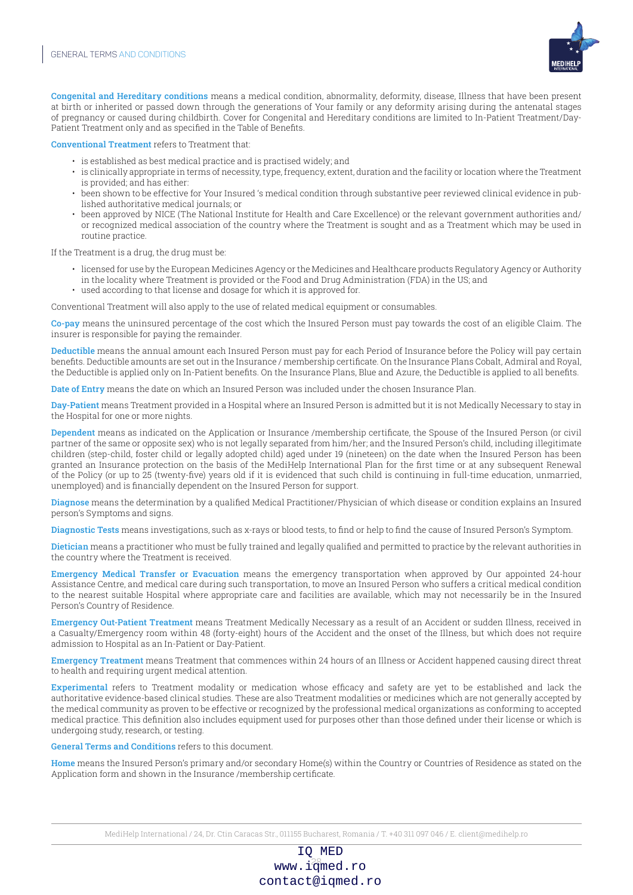

Congenital and Hereditary conditions means a medical condition, abnormality, deformity, disease, Illness that have been present at birth or inherited or passed down through the generations of Your family or any deformity arising during the antenatal stages of pregnancy or caused during childbirth. Cover for Congenital and Hereditary conditions are limited to In-Patient Treatment/Day-Patient Treatment only and as specified in the Table of Benefits.

Conventional Treatment refers to Treatment that:

- is established as best medical practice and is practised widely; and
- is clinically appropriate in terms of necessity, type, frequency, extent, duration and the facility or location where the Treatment is provided; and has either:
- been shown to be effective for Your Insured 's medical condition through substantive peer reviewed clinical evidence in published authoritative medical journals; or
- been approved by NICE (The National Institute for Health and Care Excellence) or the relevant government authorities and/ or recognized medical association of the country where the Treatment is sought and as a Treatment which may be used in routine practice.

If the Treatment is a drug, the drug must be:

- licensed for use by the European Medicines Agency or the Medicines and Healthcare products Regulatory Agency or Authority in the locality where Treatment is provided or the Food and Drug Administration (FDA) in the US; and
- used according to that license and dosage for which it is approved for.

Conventional Treatment will also apply to the use of related medical equipment or consumables.

Co-pay means the uninsured percentage of the cost which the Insured Person must pay towards the cost of an eligible Claim. The insurer is responsible for paying the remainder.

Deductible means the annual amount each Insured Person must pay for each Period of Insurance before the Policy will pay certain benefits. Deductible amounts are set out in the Insurance / membership certificate. On the Insurance Plans Cobalt, Admiral and Royal, the Deductible is applied only on In-Patient benefits. On the Insurance Plans, Blue and Azure, the Deductible is applied to all benefits.

Date of Entry means the date on which an Insured Person was included under the chosen Insurance Plan.

Day-Patient means Treatment provided in a Hospital where an Insured Person is admitted but it is not Medically Necessary to stay in the Hospital for one or more nights.

Dependent means as indicated on the Application or Insurance /membership certificate, the Spouse of the Insured Person (or civil partner of the same or opposite sex) who is not legally separated from him/her; and the Insured Person's child, including illegitimate children (step-child, foster child or legally adopted child) aged under 19 (nineteen) on the date when the Insured Person has been granted an Insurance protection on the basis of the MediHelp International Plan for the first time or at any subsequent Renewal of the Policy (or up to 25 (twenty-five) years old if it is evidenced that such child is continuing in full-time education, unmarried, unemployed) and is financially dependent on the Insured Person for support.

Diagnose means the determination by a qualified Medical Practitioner/Physician of which disease or condition explains an Insured person's Symptoms and signs.

Diagnostic Tests means investigations, such as x-rays or blood tests, to find or help to find the cause of Insured Person's Symptom.

Dietician means a practitioner who must be fully trained and legally qualified and permitted to practice by the relevant authorities in the country where the Treatment is received.

Emergency Medical Transfer or Evacuation means the emergency transportation when approved by Our appointed 24-hour Assistance Centre, and medical care during such transportation, to move an Insured Person who suffers a critical medical condition to the nearest suitable Hospital where appropriate care and facilities are available, which may not necessarily be in the Insured Person's Country of Residence.

Emergency Out-Patient Treatment means Treatment Medically Necessary as a result of an Accident or sudden Illness, received in a Casualty/Emergency room within 48 (forty-eight) hours of the Accident and the onset of the Illness, but which does not require admission to Hospital as an In-Patient or Day-Patient.

Emergency Treatment means Treatment that commences within 24 hours of an Illness or Accident happened causing direct threat to health and requiring urgent medical attention.

Experimental refers to Treatment modality or medication whose efficacy and safety are yet to be established and lack the authoritative evidence-based clinical studies. These are also Treatment modalities or medicines which are not generally accepted by the medical community as proven to be effective or recognized by the professional medical organizations as conforming to accepted medical practice. This definition also includes equipment used for purposes other than those defined under their license or which is undergoing study, research, or testing.

General Terms and Conditions refers to this document.

Home means the Insured Person's primary and/or secondary Home(s) within the Country or Countries of Residence as stated on the Application form and shown in the Insurance /membership certificate.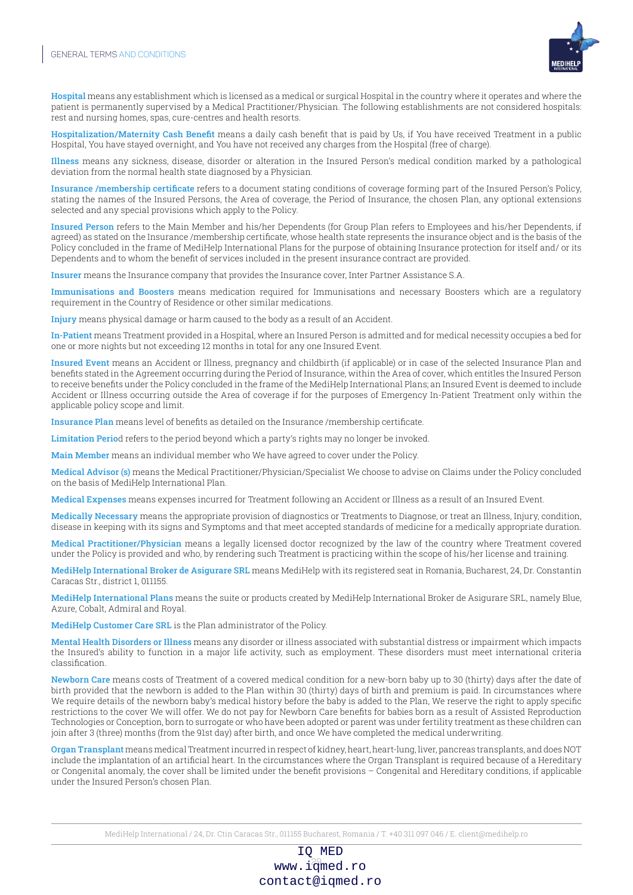

Hospital means any establishment which is licensed as a medical or surgical Hospital in the country where it operates and where the patient is permanently supervised by a Medical Practitioner/Physician. The following establishments are not considered hospitals: rest and nursing homes, spas, cure-centres and health resorts.

Hospitalization/Maternity Cash Benefit means a daily cash benefit that is paid by Us, if You have received Treatment in a public Hospital, You have stayed overnight, and You have not received any charges from the Hospital (free of charge).

Illness means any sickness, disease, disorder or alteration in the Insured Person's medical condition marked by a pathological deviation from the normal health state diagnosed by a Physician.

Insurance /membership certificate refers to a document stating conditions of coverage forming part of the Insured Person's Policy, stating the names of the Insured Persons, the Area of coverage, the Period of Insurance, the chosen Plan, any optional extensions selected and any special provisions which apply to the Policy.

Insured Person refers to the Main Member and his/her Dependents (for Group Plan refers to Employees and his/her Dependents, if agreed) as stated on the Insurance /membership certificate, whose health state represents the insurance object and is the basis of the Policy concluded in the frame of MediHelp International Plans for the purpose of obtaining Insurance protection for itself and/ or its Dependents and to whom the benefit of services included in the present insurance contract are provided.

Insurer means the Insurance company that provides the Insurance cover, Inter Partner Assistance S.A.

Immunisations and Boosters means medication required for Immunisations and necessary Boosters which are a regulatory requirement in the Country of Residence or other similar medications.

Injury means physical damage or harm caused to the body as a result of an Accident.

In-Patient means Treatment provided in a Hospital, where an Insured Person is admitted and for medical necessity occupies a bed for one or more nights but not exceeding 12 months in total for any one Insured Event.

Insured Event means an Accident or Illness, pregnancy and childbirth (if applicable) or in case of the selected Insurance Plan and benefits stated in the Agreement occurring during the Period of Insurance, within the Area of cover, which entitles the Insured Person to receive benefits under the Policy concluded in the frame of the MediHelp International Plans; an Insured Event is deemed to include Accident or Illness occurring outside the Area of coverage if for the purposes of Emergency In-Patient Treatment only within the applicable policy scope and limit.

Insurance Plan means level of benefits as detailed on the Insurance /membership certificate.

Limitation Period refers to the period beyond which a party's rights may no longer be invoked.

Main Member means an individual member who We have agreed to cover under the Policy.

Medical Advisor (s) means the Medical Practitioner/Physician/Specialist We choose to advise on Claims under the Policy concluded on the basis of MediHelp International Plan.

Medical Expenses means expenses incurred for Treatment following an Accident or Illness as a result of an Insured Event.

Medically Necessary means the appropriate provision of diagnostics or Treatments to Diagnose, or treat an Illness, Injury, condition, disease in keeping with its signs and Symptoms and that meet accepted standards of medicine for a medically appropriate duration.

Medical Practitioner/Physician means a legally licensed doctor recognized by the law of the country where Treatment covered under the Policy is provided and who, by rendering such Treatment is practicing within the scope of his/her license and training.

MediHelp International Broker de Asigurare SRL means MediHelp with its registered seat in Romania, Bucharest, 24, Dr. Constantin Caracas Str., district 1, 011155.

MediHelp International Plans means the suite or products created by MediHelp International Broker de Asigurare SRL, namely Blue, Azure, Cobalt, Admiral and Royal.

MediHelp Customer Care SRL is the Plan administrator of the Policy.

Mental Health Disorders or Illness means any disorder or illness associated with substantial distress or impairment which impacts the Insured's ability to function in a major life activity, such as employment. These disorders must meet international criteria classification.

Newborn Care means costs of Treatment of a covered medical condition for a new-born baby up to 30 (thirty) days after the date of birth provided that the newborn is added to the Plan within 30 (thirty) days of birth and premium is paid. In circumstances where We require details of the newborn baby's medical history before the baby is added to the Plan, We reserve the right to apply specific restrictions to the cover We will offer. We do not pay for Newborn Care benefits for babies born as a result of Assisted Reproduction Technologies or Conception, born to surrogate or who have been adopted or parent was under fertility treatment as these children can join after 3 (three) months (from the 91st day) after birth, and once We have completed the medical underwriting.

Organ Transplant means medical Treatment incurred in respect of kidney, heart, heart-lung, liver, pancreas transplants, and does NOT include the implantation of an artificial heart. In the circumstances where the Organ Transplant is required because of a Hereditary or Congenital anomaly, the cover shall be limited under the benefit provisions – Congenital and Hereditary conditions, if applicable under the Insured Person's chosen Plan.

MediHelp International / 24, Dr. Ctin Caracas Str., 011155 Bucharest, Romania / T. +40 311 097 046 / E. client@medihelp.ro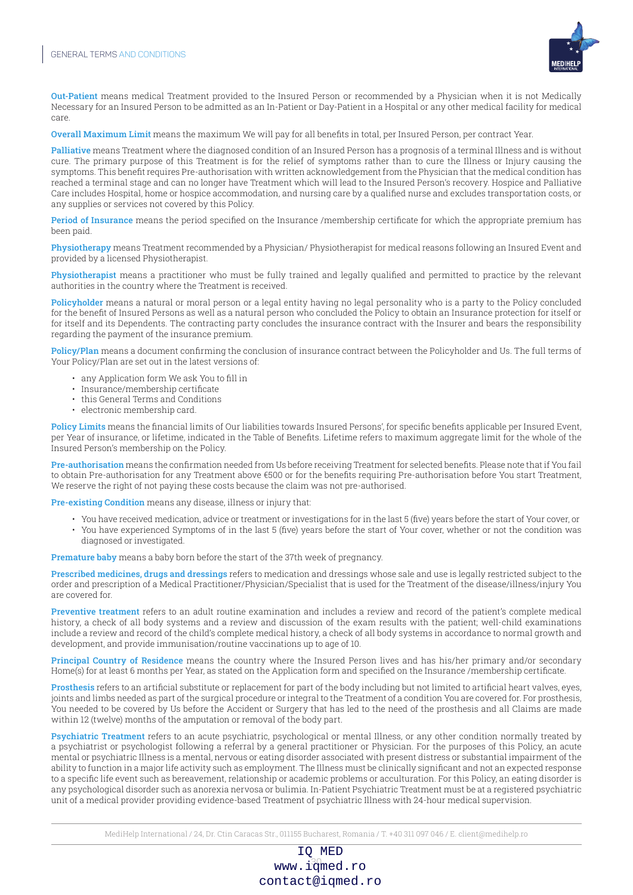

Out-Patient means medical Treatment provided to the Insured Person or recommended by a Physician when it is not Medically Necessary for an Insured Person to be admitted as an In-Patient or Day-Patient in a Hospital or any other medical facility for medical care.

Overall Maximum Limit means the maximum We will pay for all benefits in total, per Insured Person, per contract Year.

Palliative means Treatment where the diagnosed condition of an Insured Person has a prognosis of a terminal Illness and is without cure. The primary purpose of this Treatment is for the relief of symptoms rather than to cure the Illness or Injury causing the symptoms. This benefit requires Pre-authorisation with written acknowledgement from the Physician that the medical condition has reached a terminal stage and can no longer have Treatment which will lead to the Insured Person's recovery. Hospice and Palliative Care includes Hospital, home or hospice accommodation, and nursing care by a qualified nurse and excludes transportation costs, or any supplies or services not covered by this Policy.

Period of Insurance means the period specified on the Insurance /membership certificate for which the appropriate premium has been paid.

Physiotherapy means Treatment recommended by a Physician/ Physiotherapist for medical reasons following an Insured Event and provided by a licensed Physiotherapist.

Physiotherapist means a practitioner who must be fully trained and legally qualified and permitted to practice by the relevant authorities in the country where the Treatment is received.

Policyholder means a natural or moral person or a legal entity having no legal personality who is a party to the Policy concluded for the benefit of Insured Persons as well as a natural person who concluded the Policy to obtain an Insurance protection for itself or for itself and its Dependents. The contracting party concludes the insurance contract with the Insurer and bears the responsibility regarding the payment of the insurance premium.

Policy/Plan means a document confirming the conclusion of insurance contract between the Policyholder and Us. The full terms of Your Policy/Plan are set out in the latest versions of:

- any Application form We ask You to fill in
- Insurance/membership certificate
- this General Terms and Conditions
- electronic membership card.

Policy Limits means the financial limits of Our liabilities towards Insured Persons', for specific benefits applicable per Insured Event, per Year of insurance, or lifetime, indicated in the Table of Benefits. Lifetime refers to maximum aggregate limit for the whole of the Insured Person's membership on the Policy.

Pre-authorisation means the confirmation needed from Us before receiving Treatment for selected benefits. Please note that if You fail to obtain Pre-authorisation for any Treatment above €500 or for the benefits requiring Pre-authorisation before You start Treatment, We reserve the right of not paying these costs because the claim was not pre-authorised.

Pre-existing Condition means any disease, illness or injury that:

• You have received medication, advice or treatment or investigations for in the last 5 (five) years before the start of Your cover, or • You have experienced Symptoms of in the last 5 (five) years before the start of Your cover, whether or not the condition was diagnosed or investigated.

Premature baby means a baby born before the start of the 37th week of pregnancy.

Prescribed medicines, drugs and dressings refers to medication and dressings whose sale and use is legally restricted subject to the order and prescription of a Medical Practitioner/Physician/Specialist that is used for the Treatment of the disease/illness/injury You are covered for.

Preventive treatment refers to an adult routine examination and includes a review and record of the patient's complete medical history, a check of all body systems and a review and discussion of the exam results with the patient; well-child examinations include a review and record of the child's complete medical history, a check of all body systems in accordance to normal growth and development, and provide immunisation/routine vaccinations up to age of 10.

Principal Country of Residence means the country where the Insured Person lives and has his/her primary and/or secondary Home(s) for at least 6 months per Year, as stated on the Application form and specified on the Insurance /membership certificate.

Prosthesis refers to an artificial substitute or replacement for part of the body including but not limited to artificial heart valves, eyes, joints and limbs needed as part of the surgical procedure or integral to the Treatment of a condition You are covered for. For prosthesis, You needed to be covered by Us before the Accident or Surgery that has led to the need of the prosthesis and all Claims are made within 12 (twelve) months of the amputation or removal of the body part.

Psychiatric Treatment refers to an acute psychiatric, psychological or mental Illness, or any other condition normally treated by a psychiatrist or psychologist following a referral by a general practitioner or Physician. For the purposes of this Policy, an acute mental or psychiatric Illness is a mental, nervous or eating disorder associated with present distress or substantial impairment of the ability to function in a major life activity such as employment. The Illness must be clinically significant and not an expected response to a specific life event such as bereavement, relationship or academic problems or acculturation. For this Policy, an eating disorder is any psychological disorder such as anorexia nervosa or bulimia. In-Patient Psychiatric Treatment must be at a registered psychiatric unit of a medical provider providing evidence-based Treatment of psychiatric Illness with 24-hour medical supervision.

MediHelp International / 24, Dr. Ctin Caracas Str., 011155 Bucharest, Romania / T. +40 311 097 046 / E. client@medihelp.ro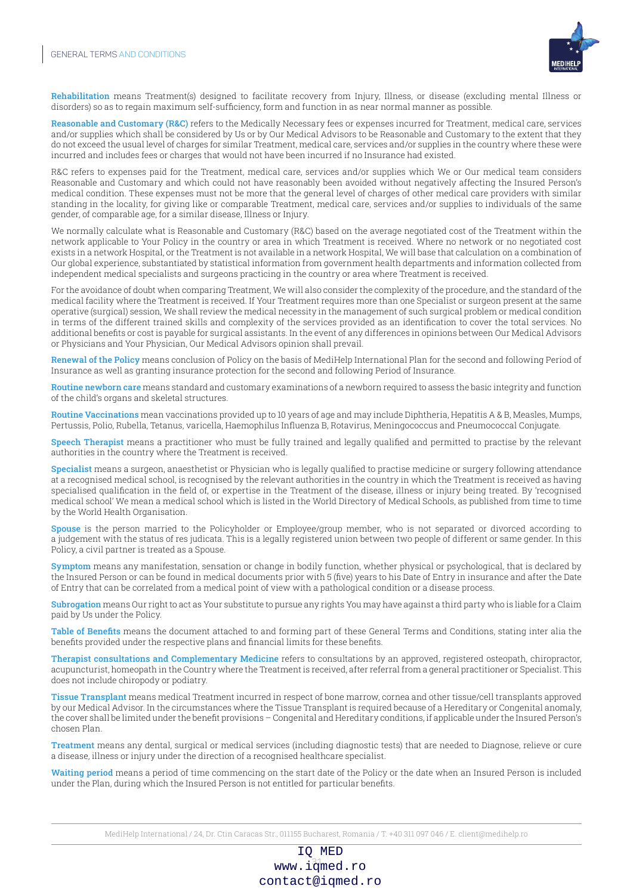

Rehabilitation means Treatment(s) designed to facilitate recovery from Injury, Illness, or disease (excluding mental Illness or disorders) so as to regain maximum self-sufficiency, form and function in as near normal manner as possible.

Reasonable and Customary (R&C) refers to the Medically Necessary fees or expenses incurred for Treatment, medical care, services and/or supplies which shall be considered by Us or by Our Medical Advisors to be Reasonable and Customary to the extent that they do not exceed the usual level of charges for similar Treatment, medical care, services and/or supplies in the country where these were incurred and includes fees or charges that would not have been incurred if no Insurance had existed.

R&C refers to expenses paid for the Treatment, medical care, services and/or supplies which We or Our medical team considers Reasonable and Customary and which could not have reasonably been avoided without negatively affecting the Insured Person's medical condition. These expenses must not be more that the general level of charges of other medical care providers with similar standing in the locality, for giving like or comparable Treatment, medical care, services and/or supplies to individuals of the same gender, of comparable age, for a similar disease, Illness or Injury.

We normally calculate what is Reasonable and Customary (R&C) based on the average negotiated cost of the Treatment within the network applicable to Your Policy in the country or area in which Treatment is received. Where no network or no negotiated cost exists in a network Hospital, or the Treatment is not available in a network Hospital, We will base that calculation on a combination of Our global experience, substantiated by statistical information from government health departments and information collected from independent medical specialists and surgeons practicing in the country or area where Treatment is received.

For the avoidance of doubt when comparing Treatment, We will also consider the complexity of the procedure, and the standard of the medical facility where the Treatment is received. If Your Treatment requires more than one Specialist or surgeon present at the same operative (surgical) session, We shall review the medical necessity in the management of such surgical problem or medical condition in terms of the different trained skills and complexity of the services provided as an identification to cover the total services. No additional benefits or cost is payable for surgical assistants. In the event of any differences in opinions between Our Medical Advisors or Physicians and Your Physician, Our Medical Advisors opinion shall prevail.

Renewal of the Policy means conclusion of Policy on the basis of MediHelp International Plan for the second and following Period of Insurance as well as granting insurance protection for the second and following Period of Insurance.

Routine newborn care means standard and customary examinations of a newborn required to assess the basic integrity and function of the child's organs and skeletal structures.

Routine Vaccinations mean vaccinations provided up to 10 years of age and may include Diphtheria, Hepatitis A & B, Measles, Mumps, Pertussis, Polio, Rubella, Tetanus, varicella, Haemophilus Influenza B, Rotavirus, Meningococcus and Pneumococcal Conjugate.

Speech Therapist means a practitioner who must be fully trained and legally qualified and permitted to practise by the relevant authorities in the country where the Treatment is received.

Specialist means a surgeon, anaesthetist or Physician who is legally qualified to practise medicine or surgery following attendance at a recognised medical school, is recognised by the relevant authorities in the country in which the Treatment is received as having specialised qualification in the field of, or expertise in the Treatment of the disease, illness or injury being treated. By 'recognised medical school' We mean a medical school which is listed in the World Directory of Medical Schools, as published from time to time by the World Health Organisation.

Spouse is the person married to the Policyholder or Employee/group member, who is not separated or divorced according to a judgement with the status of res judicata. This is a legally registered union between two people of different or same gender. In this Policy, a civil partner is treated as a Spouse.

Symptom means any manifestation, sensation or change in bodily function, whether physical or psychological, that is declared by the Insured Person or can be found in medical documents prior with 5 (five) years to his Date of Entry in insurance and after the Date of Entry that can be correlated from a medical point of view with a pathological condition or a disease process.

Subrogation means Our right to act as Your substitute to pursue any rights You may have against a third party who is liable for a Claim paid by Us under the Policy.

Table of Benefits means the document attached to and forming part of these General Terms and Conditions, stating inter alia the benefits provided under the respective plans and financial limits for these benefits.

Therapist consultations and Complementary Medicine refers to consultations by an approved, registered osteopath, chiropractor, acupuncturist, homeopath in the Country where the Treatment is received, after referral from a general practitioner or Specialist. This does not include chiropody or podiatry.

Tissue Transplant means medical Treatment incurred in respect of bone marrow, cornea and other tissue/cell transplants approved by our Medical Advisor. In the circumstances where the Tissue Transplant is required because of a Hereditary or Congenital anomaly, the cover shall be limited under the benefit provisions – Congenital and Hereditary conditions, if applicable under the Insured Person's chosen Plan.

Treatment means any dental, surgical or medical services (including diagnostic tests) that are needed to Diagnose, relieve or cure a disease, illness or injury under the direction of a recognised healthcare specialist.

Waiting period means a period of time commencing on the start date of the Policy or the date when an Insured Person is included under the Plan, during which the Insured Person is not entitled for particular benefits.

MediHelp International / 24, Dr. Ctin Caracas Str., 011155 Bucharest, Romania / T. +40 311 097 046 / E. client@medihelp.ro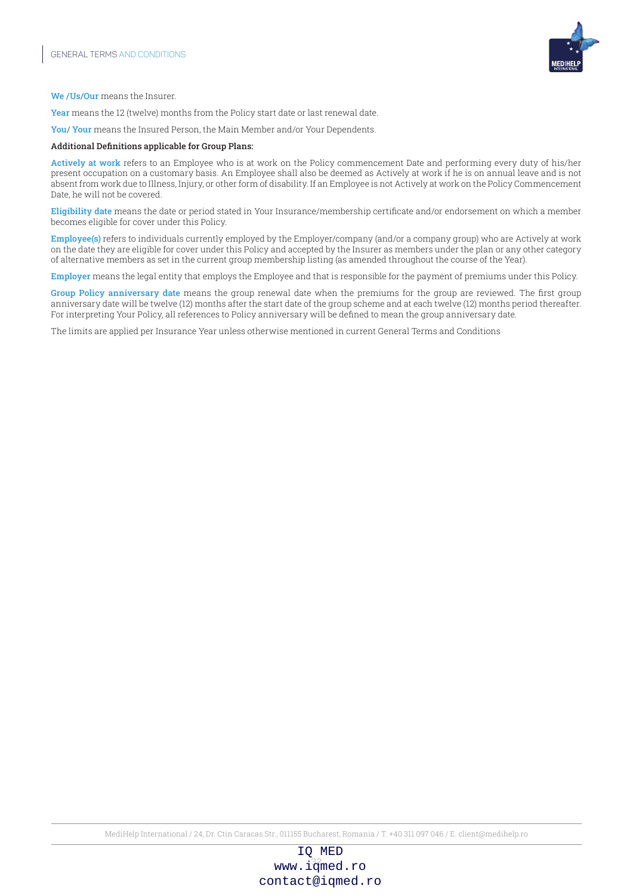

We /Us/Our means the Insurer.

Year means the 12 (twelve) months from the Policy start date or last renewal date.

You/ Your means the Insured Person, the Main Member and/or Your Dependents.

#### Additional Definitions applicable for Group Plans:

Actively at work refers to an Employee who is at work on the Policy commencement Date and performing every duty of his/her present occupation on a customary basis. An Employee shall also be deemed as Actively at work if he is on annual leave and is not absent from work due to Illness, Injury, or other form of disability. If an Employee is not Actively at work on the Policy Commencement Date, he will not be covered.

Eligibility date means the date or period stated in Your Insurance/membership certificate and/or endorsement on which a member becomes eligible for cover under this Policy.

Employee(s) refers to individuals currently employed by the Employer/company (and/or a company group) who are Actively at work on the date they are eligible for cover under this Policy and accepted by the Insurer as members under the plan or any other category of alternative members as set in the current group membership listing (as amended throughout the course of the Year).

Employer means the legal entity that employs the Employee and that is responsible for the payment of premiums under this Policy.

Group Policy anniversary date means the group renewal date when the premiums for the group are reviewed. The first group anniversary date will be twelve (12) months after the start date of the group scheme and at each twelve (12) months period thereafter. For interpreting Your Policy, all references to Policy anniversary will be defined to mean the group anniversary date.

The limits are applied per Insurance Year unless otherwise mentioned in current General Terms and Conditions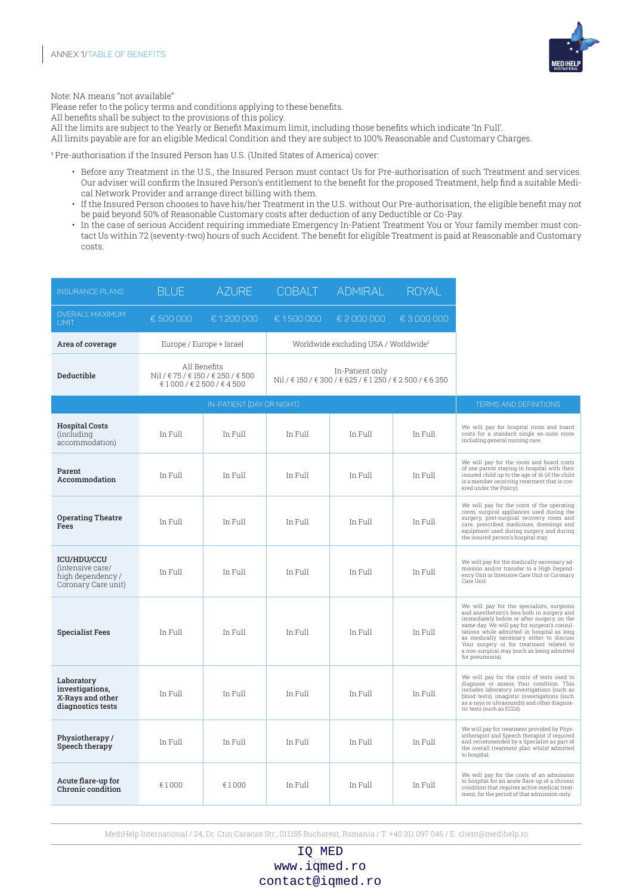

Note: NA means "not available"

Please refer to the policy terms and conditions applying to these benefits.

All benefits shall be subject to the provisions of this policy.

- All the limits are subject to the Yearly or Benefit Maximum limit, including those benefits which indicate 'In Full'.
- All limits payable are for an eligible Medical Condition and they are subject to 100% Reasonable and Customary Charges.

<sup>1</sup> Pre-authorisation if the Insured Person has U.S. (United States of America) cover:

- Before any Treatment in the U.S., the Insured Person must contact Us for Pre-authorisation of such Treatment and services. Our adviser will confirm the Insured Person's entitlement to the benefit for the proposed Treatment, help find a suitable Medical Network Provider and arrange direct billing with them.
- If the Insured Person chooses to have his/her Treatment in the U.S. without Our Pre-authorisation, the eligible benefit may not be paid beyond 50% of Reasonable Customary costs after deduction of any Deductible or Co-Pay.
- In the case of serious Accident requiring immediate Emergency In-Patient Treatment You or Your family member must contact Us within 72 (seventy-two) hours of such Accident. The benefit for eligible Treatment is paid at Reasonable and Customary costs.

| <b>INSURANCE PLANS</b>                                                             | <b>BLUE</b> | <b>AZURE</b>                                                                      | <b>COBALT</b>                                                                | <b>ADMIRAL</b>                                   | <b>ROYAL</b> |                                                                                                                                                                                                                                                                                                                                                                                                |
|------------------------------------------------------------------------------------|-------------|-----------------------------------------------------------------------------------|------------------------------------------------------------------------------|--------------------------------------------------|--------------|------------------------------------------------------------------------------------------------------------------------------------------------------------------------------------------------------------------------------------------------------------------------------------------------------------------------------------------------------------------------------------------------|
| <b>OVERALL MAXIMUM</b><br>LIMIT                                                    | € 500 000   | €1200000                                                                          | €1500000                                                                     | € 2 000 000                                      | € 3000000    |                                                                                                                                                                                                                                                                                                                                                                                                |
| Area of coverage                                                                   |             | Europe / Europe + Israel                                                          |                                                                              | Worldwide excluding USA / Worldwide <sup>1</sup> |              |                                                                                                                                                                                                                                                                                                                                                                                                |
| Deductible                                                                         |             | All Benefits<br>Nil / € 75 / € 150 / € 250 / € 500<br>€ 1 000 / € 2 500 / € 4 500 | In-Patient only<br>Nil / € 150 / € 300 / € 625 / € 1 250 / € 2 500 / € 6 250 |                                                  |              |                                                                                                                                                                                                                                                                                                                                                                                                |
|                                                                                    |             | IN-PATIENT (DAY OR NIGHT)                                                         |                                                                              |                                                  |              | <b>TERMS AND DEFINITIONS</b>                                                                                                                                                                                                                                                                                                                                                                   |
| <b>Hospital Costs</b><br><i>(including)</i><br>accommodation)                      | In Full     | In Full                                                                           | In Full                                                                      | In Full                                          | In Full      | We will pay for hospital room and board<br>costs for a standard single en-suite room<br>including general nursing care.                                                                                                                                                                                                                                                                        |
| Parent<br>Accommodation                                                            | In Full     | In Full                                                                           | In Full                                                                      | In Full                                          | In Full      | We will pay for the room and board costs<br>of one parent staying in hospital with their<br>insured child up to the age of 16 (if the child<br>is a member receiving treatment that is cov-<br>ered under the Policy).                                                                                                                                                                         |
| <b>Operating Theatre</b><br>Fees                                                   | In Full     | In Full                                                                           | In Full                                                                      | In Full                                          | In Full      | We will pay for the costs of the operating<br>room, surgical appliances used during the<br>surgery, post-surgical recovery room and<br>care, prescribed medicines, dressings and<br>equipment used during surgery and during<br>the insured person's hospital stay.                                                                                                                            |
| <b>ICU/HDU/CCU</b><br>(intensive care/<br>high dependency /<br>Coronary Care unit) | In Full     | In Full                                                                           | In Full                                                                      | In Full                                          | In Full      | We will pay for the medically necessary ad-<br>mission and/or transfer to a High Depend-<br>ency Unit or Intensive Care Unit or Coronary<br>Care Unit.                                                                                                                                                                                                                                         |
| <b>Specialist Fees</b>                                                             | In Full     | In Full                                                                           | In Full                                                                      | In Full                                          | In Full      | We will pay for the specialists, surgeons<br>and anesthetists's fees both in surgery and<br>immediately before or after surgery, on the<br>same day. We will pay for surgeon's consul-<br>tations while admitted in hospital as long<br>as medically necessary either to discuss<br>Your surgery or for treatment related to<br>a non-surgical stay (such as being admitted<br>for pneumonia). |
| Laboratory<br>investigations.<br>X-Rays and other<br>diagnostics tests             | In Full     | In Full                                                                           | In Full                                                                      | In Full                                          | In Full      | We will pay for the costs of tests used to<br>diagnose or assess Your condition. This<br>includes laboratory investigations (such as<br>blood tests), imagistic investigations (such<br>as x-rays or ultrasounds) and other diagnos-<br>tic tests (such as ECGs).                                                                                                                              |
| Physiotherapy/<br>Speech therapy                                                   | In Full     | In Full                                                                           | In Full                                                                      | In Full                                          | In Full      | We will pay for treatment provided by Phys-<br>iotherapist and Speech therapist if required<br>and recommended by a Specialist as part of<br>the overall treatment plan whilst admitted<br>to hospital.                                                                                                                                                                                        |
| Acute flare-up for<br>Chronic condition                                            | €1000       | €1000                                                                             | In Full                                                                      | In Full                                          | In Full      | We will pay for the costs of an admission<br>to hospital for an acute flare-up of a chronic<br>condition that requires active medical treat-<br>ment, for the period of that admission only.                                                                                                                                                                                                   |

MediHelp International / 24, Dr. Ctin Caracas Str., 011155 Bucharest, Romania / T. +40 311 097 046 / E. client@medihelp.ro

www.i $\frac{33}{3}$ med.ro IQ MED contact@iqmed.ro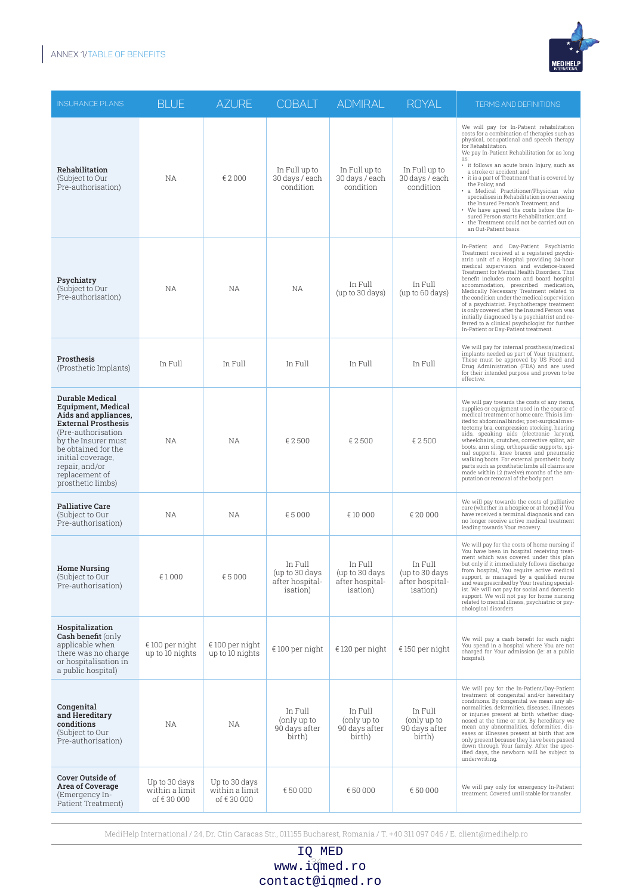

| <b>INSURANCE PLANS</b>                                                                                                                                                                                                                         | <b>BLUE</b>                                   | <b>AZURE</b>                                  | <b>COBALT</b>                                                    | <b>ADMIRAL</b>                                           | <b>ROYAL</b>                                                     | <b>TERMS AND DEFINITIONS</b>                                                                                                                                                                                                                                                                                                                                                                                                                                                                                                                                                                                                                                        |
|------------------------------------------------------------------------------------------------------------------------------------------------------------------------------------------------------------------------------------------------|-----------------------------------------------|-----------------------------------------------|------------------------------------------------------------------|----------------------------------------------------------|------------------------------------------------------------------|---------------------------------------------------------------------------------------------------------------------------------------------------------------------------------------------------------------------------------------------------------------------------------------------------------------------------------------------------------------------------------------------------------------------------------------------------------------------------------------------------------------------------------------------------------------------------------------------------------------------------------------------------------------------|
| Rehabilitation<br>(Subject to Our<br>Pre-authorisation)                                                                                                                                                                                        | ΝA                                            | €2000                                         | In Full up to<br>30 days / each<br>condition                     | In Full up to<br>30 days / each<br>condition             | In Full up to<br>30 days / each<br>condition                     | We will pay for In-Patient rehabilitation<br>costs for a combination of therapies such as<br>physical, occupational and speech therapy<br>for Rehabilitation.<br>We pay In-Patient Rehabilitation for as long<br>as:<br>· it follows an acute brain Injury, such as<br>a stroke or accident; and<br>• it is a part of Treatment that is covered by<br>the Policy; and<br>· a Medical Practitioner/Physician who<br>specialises in Rehabilitation is overseeing<br>the Insured Person's Treatment; and<br>• We have agreed the costs before the In-<br>sured Person starts Rehabilitation; and<br>the Treatment could not be carried out on<br>an Out-Patient basis. |
| Psychiatry<br>(Subject to Our<br>Pre-authorisation)                                                                                                                                                                                            | NА                                            | ΝA                                            | NА                                                               | In Full<br>(up to 30 days)                               | In Full<br>(up to 60 days)                                       | In-Patient and Day-Patient Psychiatric<br>Treatment received at a registered psychi-<br>atric unit of a Hospital providing 24-hour<br>medical supervision and evidence-based<br>Treatment for Mental Health Disorders. This<br>benefit includes room and board hospital<br>accommodation, prescribed medication,<br>Medically Necessary Treatment related to<br>the condition under the medical supervision<br>of a psychiatrist. Psychotherapy treatment<br>is only covered after the Insured Person was<br>initially diagnosed by a psychiatrist and re-<br>ferred to a clinical psychologist for further<br>In-Patient or Day-Patient treatment.                 |
| Prosthesis<br>(Prosthetic Implants)                                                                                                                                                                                                            | In Full                                       | In Full                                       | In Full                                                          | In Full                                                  | In Full                                                          | We will pay for internal prosthesis/medical<br>implants needed as part of Your treatment.<br>These must be approved by US Food and<br>Drug Administration (FDA) and are used<br>for their intended purpose and proven to be<br>effective.                                                                                                                                                                                                                                                                                                                                                                                                                           |
| Durable Medical<br>Equipment, Medical<br>Aids and appliances,<br><b>External Prosthesis</b><br>(Pre-authorisation)<br>by the Insurer must<br>be obtained for the<br>initial coverage,<br>repair, and/or<br>replacement of<br>prosthetic limbs) | <b>NA</b>                                     | NA                                            | € 2500                                                           | € 2500                                                   | € 2500                                                           | We will pay towards the costs of any items,<br>supplies or equipment used in the course of<br>medical treatment or home care. This is lim-<br>ited to: abdominal binder, post-surgical mas-<br>tectomy bra, compression stocking, hearing<br>aids, speaking aids (electronic larynx),<br>wheelchairs, crutches, corrective splint, air<br>boots, arm sling, orthopaedic supports, spi-<br>nal supports, knee braces and pneumatic<br>walking boots. For external prosthetic body<br>parts such as prosthetic limbs all claims are<br>made within 12 (twelve) months of the am-<br>putation or removal of the body part.                                             |
| <b>Palliative Care</b><br>(Subject to Our<br>Pre-authorisation)                                                                                                                                                                                | NА                                            | ΝA                                            | €5000                                                            | € 10 000                                                 | € 20 000                                                         | We will pay towards the costs of palliative<br>care (whether in a hospice or at home) if You<br>have received a terminal diagnosis and can<br>no longer receive active medical treatment<br>leading towards Your recovery.                                                                                                                                                                                                                                                                                                                                                                                                                                          |
| <b>Home Nursing</b><br>(Subject to Our<br>Pre-authorisation)                                                                                                                                                                                   | €1000                                         | €5000                                         | In Full<br>(up to 30 days<br>after hospital-<br><i>isation</i> ) | In Full<br>(up to 30 days<br>after hospital-<br>isation) | In Full<br>(up to 30 days<br>after hospital-<br><i>isation</i> ) | We will pay for the costs of home nursing if<br>You have been in hospital receiving treat-<br>ment which was covered under this plan<br>but only if it immediately follows discharge<br>from hospital, You require active medical<br>support, is managed by a qualified nurse<br>and was prescribed by Your treating special-<br>ist. We will not pay for social and domestic<br>support. We will not pay for home nursing<br>related to mental illness, psychiatric or psy-<br>chological disorders.                                                                                                                                                               |
| Hospitalization<br><b>Cash benefit (only</b><br>applicable when<br>there was no charge<br>or hospitalisation in<br>a public hospital)                                                                                                          | € 100 per night<br>up to 10 nights            | $€100$ per night<br>up to 10 nights           | € 100 per night                                                  | €120 per night                                           | € 150 per night                                                  | We will pay a cash benefit for each night<br>You spend in a hospital where You are not<br>charged for Your admission (ie: at a public<br>hospital).                                                                                                                                                                                                                                                                                                                                                                                                                                                                                                                 |
| Congenital<br>and Hereditary<br>conditions<br>(Subject to Our<br>Pre-authorisation)                                                                                                                                                            | NА                                            | ΝA                                            | In Full<br>(only up to<br>90 days after<br>birth)                | In Full<br>(only up to<br>90 days after<br>birth)        | In Full<br>(only up to<br>90 days after<br>birth)                | We will pay for the In-Patient/Day-Patient<br>treatment of congenital and/or hereditary<br>conditions. By congenital we mean any ab-<br>normalities, deformities, diseases, illnesses<br>or injuries present at birth whether diag-<br>nosed at the time or not. By hereditary we<br>mean any abnormalities, deformities, dis-<br>eases or illnesses present at birth that are<br>only present because they have been passed<br>down through Your family. After the spec-<br>ified days, the newborn will be subject to<br>underwriting.                                                                                                                            |
| <b>Cover Outside of</b><br>Area of Coverage<br>(Emergency In-<br>Patient Treatment)                                                                                                                                                            | Up to 30 days<br>within a limit<br>of €30 000 | Up to 30 days<br>within a limit<br>of €30 000 | €50 000                                                          | € 50 000                                                 | €50 000                                                          | We will pay only for emergency In-Patient<br>treatment. Covered until stable for transfer.                                                                                                                                                                                                                                                                                                                                                                                                                                                                                                                                                                          |

| IQ MED             |
|--------------------|
| $www.i34$ and $ro$ |
| contact@iqmed.ro   |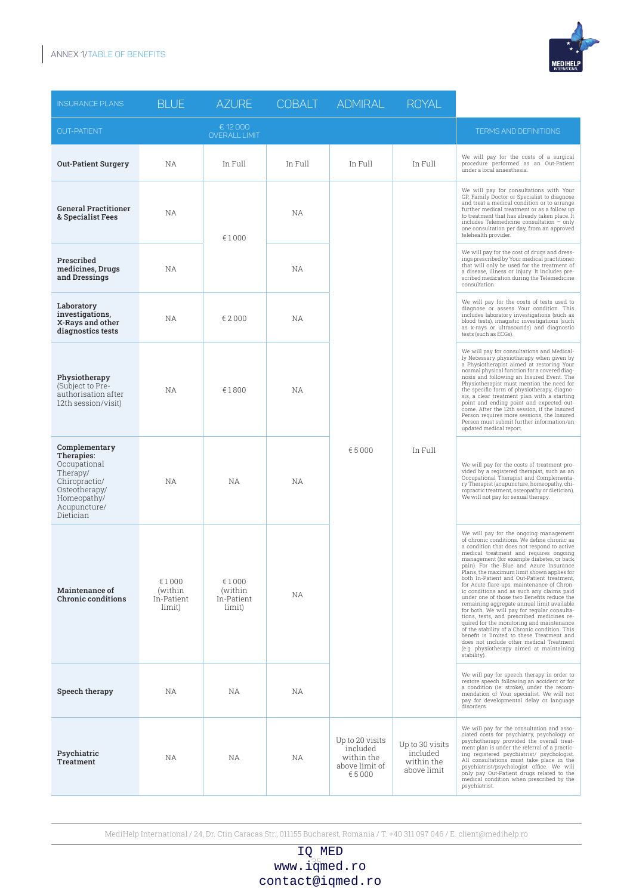## ANNEX 1/TABLE OF BENEFITS



| <b>INSURANCE PLANS</b>                                                                                                                | <b>BLUE</b>                                  | <b>AZURE</b>                             | <b>COBALT</b> | <b>ADMIRAL</b>                                                       | <b>ROYAL</b>                                             |                                                                                                                                                                                                                                                                                                                                                                                                                                                                                                                                                                                               |                                                                                                                                                                                                                                                                                                                                                                                                                                                                                                                                                                                                                                                                                                                                                                                                                                                                                                          |
|---------------------------------------------------------------------------------------------------------------------------------------|----------------------------------------------|------------------------------------------|---------------|----------------------------------------------------------------------|----------------------------------------------------------|-----------------------------------------------------------------------------------------------------------------------------------------------------------------------------------------------------------------------------------------------------------------------------------------------------------------------------------------------------------------------------------------------------------------------------------------------------------------------------------------------------------------------------------------------------------------------------------------------|----------------------------------------------------------------------------------------------------------------------------------------------------------------------------------------------------------------------------------------------------------------------------------------------------------------------------------------------------------------------------------------------------------------------------------------------------------------------------------------------------------------------------------------------------------------------------------------------------------------------------------------------------------------------------------------------------------------------------------------------------------------------------------------------------------------------------------------------------------------------------------------------------------|
| <b>OUT-PATIENT</b>                                                                                                                    |                                              | € 12 000<br><b>OVERALL LIMIT</b>         |               |                                                                      |                                                          | <b>TERMS AND DEFINITIONS</b>                                                                                                                                                                                                                                                                                                                                                                                                                                                                                                                                                                  |                                                                                                                                                                                                                                                                                                                                                                                                                                                                                                                                                                                                                                                                                                                                                                                                                                                                                                          |
| <b>Out-Patient Surgery</b>                                                                                                            | <b>NA</b>                                    | In Full                                  | In Full       | In Full                                                              | In Full                                                  | We will pay for the costs of a surgical<br>procedure performed as an Out-Patient<br>under a local anaesthesia.                                                                                                                                                                                                                                                                                                                                                                                                                                                                                |                                                                                                                                                                                                                                                                                                                                                                                                                                                                                                                                                                                                                                                                                                                                                                                                                                                                                                          |
| <b>General Practitioner</b><br>& Specialist Fees                                                                                      | <b>NA</b>                                    | €1000                                    | NА            |                                                                      |                                                          | We will pay for consultations with Your<br>GP, Family Doctor or Specialist to diagnose<br>and treat a medical condition or to arrange<br>further medical treatment or as a follow up<br>to treatment that has already taken place. It<br>includes Telemedicine consultation - only<br>one consultation per day, from an approved<br>telehealth provider.                                                                                                                                                                                                                                      |                                                                                                                                                                                                                                                                                                                                                                                                                                                                                                                                                                                                                                                                                                                                                                                                                                                                                                          |
| Prescribed<br>medicines, Drugs<br>and Dressings                                                                                       | <b>NA</b>                                    |                                          | NА            |                                                                      |                                                          | We will pay for the cost of drugs and dress-<br>ings prescribed by Your medical practitioner<br>that will only be used for the treatment of<br>a disease, illness or injury. It includes pre-<br>scribed medication during the Telemedicine<br>consultation.                                                                                                                                                                                                                                                                                                                                  |                                                                                                                                                                                                                                                                                                                                                                                                                                                                                                                                                                                                                                                                                                                                                                                                                                                                                                          |
| Laboratory<br>investigations,<br>X-Rays and other<br>diagnostics tests                                                                | <b>NA</b>                                    | € 2 000                                  | NА            |                                                                      |                                                          | We will pay for the costs of tests used to<br>diagnose or assess Your condition. This<br>includes laboratory investigations (such as<br>blood tests), imagistic investigations (such<br>as x-rays or ultrasounds) and diagnostic<br>tests (such as ECGs).                                                                                                                                                                                                                                                                                                                                     |                                                                                                                                                                                                                                                                                                                                                                                                                                                                                                                                                                                                                                                                                                                                                                                                                                                                                                          |
| Physiotherapy<br>(Subject to Pre-<br>authorisation after<br>12th session/visit)                                                       | <b>NA</b>                                    | € 1800                                   | NА            | €5000                                                                |                                                          | We will pay for consultations and Medical-<br>ly Necessary physiotherapy when given by<br>a Physiotherapist aimed at restoring Your<br>normal physical function for a covered diag-<br>nosis and following an Insured Event. The<br>Physiotherapist must mention the need for<br>the specific form of physiotherapy, diagno-<br>sis, a clear treatment plan with a starting<br>point and ending point and expected out-<br>come. After the 12th session, if the Insured<br>Person requires more sessions, the Insured<br>Person must submit further information/an<br>updated medical report. |                                                                                                                                                                                                                                                                                                                                                                                                                                                                                                                                                                                                                                                                                                                                                                                                                                                                                                          |
| Complementary<br>Therapies:<br>Occupational<br>Therapy/<br>Chiropractic/<br>Osteotherapy/<br>Homeopathy/<br>Acupuncture/<br>Dietician | <b>NA</b>                                    | NА                                       | ΝA            |                                                                      | In Full                                                  | We will pay for the costs of treatment pro-<br>vided by a registered therapist, such as an<br>Occupational Therapist and Complementa-<br>ry Therapist (acupuncture, homeopathy, chi-<br>ropractic treatment, osteopathy or dietician).<br>We will not pay for sexual therapy.                                                                                                                                                                                                                                                                                                                 |                                                                                                                                                                                                                                                                                                                                                                                                                                                                                                                                                                                                                                                                                                                                                                                                                                                                                                          |
| <b>Maintenance of</b><br>Chronic conditions                                                                                           | € 1 0 0 0<br>(within<br>In-Patient<br>limit) | €1000<br>(within<br>In-Patient<br>limit) | ΝA            |                                                                      |                                                          |                                                                                                                                                                                                                                                                                                                                                                                                                                                                                                                                                                                               | We will pay for the ongoing management<br>of chronic conditions. We define chronic as<br>a condition that does not respond to active<br>medical treatment and requires ongoing<br>management (for example diabetes, or back<br>pain). For the Blue and Azure Insurance<br>Plans, the maximum limit shown applies for<br>both In-Patient and Out-Patient treatment,<br>for Acute flare-ups, maintenance of Chron-<br>ic conditions and as such any claims paid<br>under one of those two Benefits reduce the<br>remaining aggregate annual limit available<br>for both. We will pay for regular consulta-<br>tions, tests, and prescribed medicines re-<br>quired for the monitoring and maintenance<br>of the stability of a Chronic condition. This<br>benefit is limited to these Treatment and<br>does not include other medical Treatment<br>(e.g. physiotherapy aimed at maintaining<br>stability). |
| Speech therapy                                                                                                                        | <b>NA</b>                                    | NA.                                      | ΝA            |                                                                      |                                                          | We will pay for speech therapy in order to<br>restore speech following an accident or for<br>a condition (ie: stroke), under the recom-<br>mendation of Your specialist. We will not<br>pay for developmental delay or language<br>disorders.                                                                                                                                                                                                                                                                                                                                                 |                                                                                                                                                                                                                                                                                                                                                                                                                                                                                                                                                                                                                                                                                                                                                                                                                                                                                                          |
| Psychiatric<br><b>Treatment</b>                                                                                                       | NА                                           | ΝA                                       | ΝA            | Up to 20 visits<br>included<br>within the<br>above limit of<br>€5000 | Up to 30 visits<br>included<br>within the<br>above limit | We will pay for the consultation and asso-<br>ciated costs for psychiatry, psychology or<br>psychotherapy provided the overall treat-<br>ment plan is under the referral of a practic-<br>ing registered psychiatrist/ psychologist.<br>All consultations must take place in the<br>psychiatrist/psychologist office. We will<br>only pay Out-Patient drugs related to the<br>medical condition when prescribed by the<br>psychiatrist.                                                                                                                                                       |                                                                                                                                                                                                                                                                                                                                                                                                                                                                                                                                                                                                                                                                                                                                                                                                                                                                                                          |

MediHelp International / 24, Dr. Ctin Caracas Str., 011155 Bucharest, Romania / T. +40 311 097 046 / E. client@medihelp.ro

www.i $\frac{35}{3}$ med.ro IQ MED contact@iqmed.ro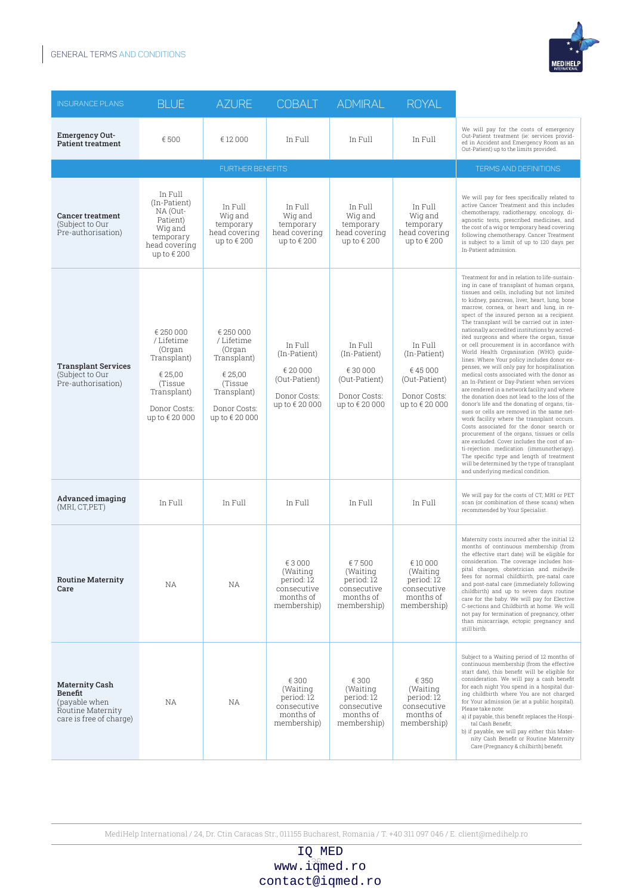

| <b>INSURANCE PLANS</b>                                                                            | <b>BLUE</b>                                                                                                            | <b>AZURE</b>                                                                                                           | <b>COBALT</b>                                                                          | <b>ADMIRAL</b>                                                                      | <b>ROYAL</b>                                                                         |                                                                                                                                                                                                                                                                                                                                                                                                                                                                                                                                                                                                                                                                                                                                                                                                                                                                                                                                                                                                                                                                                                                                                                                                                                                                                                  |
|---------------------------------------------------------------------------------------------------|------------------------------------------------------------------------------------------------------------------------|------------------------------------------------------------------------------------------------------------------------|----------------------------------------------------------------------------------------|-------------------------------------------------------------------------------------|--------------------------------------------------------------------------------------|--------------------------------------------------------------------------------------------------------------------------------------------------------------------------------------------------------------------------------------------------------------------------------------------------------------------------------------------------------------------------------------------------------------------------------------------------------------------------------------------------------------------------------------------------------------------------------------------------------------------------------------------------------------------------------------------------------------------------------------------------------------------------------------------------------------------------------------------------------------------------------------------------------------------------------------------------------------------------------------------------------------------------------------------------------------------------------------------------------------------------------------------------------------------------------------------------------------------------------------------------------------------------------------------------|
| <b>Emergency Out-</b><br><b>Patient treatment</b>                                                 | €500                                                                                                                   | € 12 000                                                                                                               | In Full                                                                                | In Full                                                                             | In Full                                                                              | We will pay for the costs of emergency<br>Out-Patient treatment (ie: services provid-<br>ed in Accident and Emergency Room as an<br>Out-Patient) up to the limits provided.                                                                                                                                                                                                                                                                                                                                                                                                                                                                                                                                                                                                                                                                                                                                                                                                                                                                                                                                                                                                                                                                                                                      |
|                                                                                                   |                                                                                                                        | <b>FURTHER BENEFITS</b>                                                                                                |                                                                                        |                                                                                     |                                                                                      | <b>TERMS AND DEFINITIONS</b>                                                                                                                                                                                                                                                                                                                                                                                                                                                                                                                                                                                                                                                                                                                                                                                                                                                                                                                                                                                                                                                                                                                                                                                                                                                                     |
| <b>Cancer treatment</b><br>(Subject to Our<br>Pre-authorisation)                                  | In Full<br>(In-Patient)<br>NA (Out-<br>Patient)<br>Wig and<br>temporary<br>head covering<br>up to $\epsilon$ 200       | In Full<br>Wig and<br>temporary<br>head covering<br>up to €200                                                         | In Full<br>Wig and<br>temporary<br>head covering<br>up to $\epsilon$ 200               | In Full<br>Wig and<br>temporary<br>head covering<br>up to $\epsilon$ 200            | In Full<br>Wig and<br>temporary<br>head covering<br>up to $\epsilon$ 200             | We will pay for fees specifically related to<br>active Cancer Treatment and this includes<br>chemotherapy, radiotherapy, oncology, di-<br>agnostic tests, prescribed medicines, and<br>the cost of a wig or temporary head covering<br>following chemotherapy. Cancer Treatment<br>is subject to a limit of up to 120 days per<br>In-Patient admission.                                                                                                                                                                                                                                                                                                                                                                                                                                                                                                                                                                                                                                                                                                                                                                                                                                                                                                                                          |
| <b>Transplant Services</b><br>(Subject to Our<br>Pre-authorisation)                               | € 250 000<br>/Lifetime<br>(Organ<br>Transplant)<br>€ 25,00<br>(Tissue<br>Transplant)<br>Donor Costs:<br>up to € 20 000 | € 250 000<br>/Lifetime<br>(Organ<br>Transplant)<br>€ 25,00<br>(Tissue<br>Transplant)<br>Donor Costs:<br>up to € 20 000 | In Full<br>(In-Patient)<br>€ 20 000<br>(Out-Patient)<br>Donor Costs:<br>up to € 20 000 | In Full<br>(In-Patient)<br>€30000<br>(Out-Patient)<br>Donor Costs:<br>up to €20 000 | In Full<br>(In-Patient)<br>€45000<br>(Out-Patient)<br>Donor Costs:<br>up to € 20 000 | Treatment for and in relation to life-sustain-<br>ing in case of transplant of human organs,<br>tissues and cells, including but not limited<br>to kidney, pancreas, liver, heart, lung, bone<br>marrow, cornea, or heart and lung, in re-<br>spect of the insured person as a recipient.<br>The transplant will be carried out in inter-<br>nationally accredited institutions by accred-<br>ited surgeons and where the organ, tissue<br>or cell procurement is in accordance with<br>World Health Organisation (WHO) guide-<br>lines. Where Your policy includes donor ex-<br>penses, we will only pay for hospitalisation<br>medical costs associated with the donor as<br>an In-Patient or Day-Patient when services<br>are rendered in a network facility and where<br>the donation does not lead to the loss of the<br>donor's life and the donating of organs, tis-<br>sues or cells are removed in the same net-<br>work facility where the transplant occurs.<br>Costs associated for the donor search or<br>procurement of the organs, tissues or cells<br>are excluded. Cover includes the cost of an-<br>ti-rejection medication (immunotherapy).<br>The specific type and length of treatment<br>will be determined by the type of transplant<br>and underlying medical condition. |
| Advanced imaging<br>(MRI, CT, PET)                                                                | In Full                                                                                                                | In Full                                                                                                                | In Full                                                                                | In Full                                                                             | In Full                                                                              | We will pay for the costs of CT, MRI or PET<br>scan (or combination of these scans) when<br>recommended by Your Specialist.                                                                                                                                                                                                                                                                                                                                                                                                                                                                                                                                                                                                                                                                                                                                                                                                                                                                                                                                                                                                                                                                                                                                                                      |
| <b>Routine Maternity</b><br>Care                                                                  | NA                                                                                                                     | ΝA                                                                                                                     | €3000<br>(Waiting<br>period: 12<br>consecutive<br>months of<br>membership)             | €7500<br>(Waiting<br>period: 12<br>consecutive<br>months of<br>membership)          | € 10 000<br>(Waiting<br>period: 12<br>consecutive<br>months of<br>membership)        | Maternity costs incurred after the initial 12<br>months of continuous membership (from<br>the effective start date) will be eligible for<br>consideration. The coverage includes hos-<br>pital charges, obstetrician and midwife<br>fees for normal childbirth, pre-natal care<br>and post-natal care (immediately following<br>childbirth) and up to seven days routine<br>care for the baby. We will pay for Elective<br>C-sections and Childbirth at home. We will<br>not pay for termination of pregnancy, other<br>than miscarriage, ectopic pregnancy and<br>still birth.                                                                                                                                                                                                                                                                                                                                                                                                                                                                                                                                                                                                                                                                                                                  |
| <b>Maternity Cash</b><br>Benefit<br>(payable when<br>Routine Maternity<br>care is free of charge) | NА                                                                                                                     | ΝA                                                                                                                     | € 300<br>(Waiting<br>period: 12<br>consecutive<br>months of<br>membership)             | € 300<br>(Waiting<br>period: 12<br>consecutive<br>months of<br>membership)          | € 350<br>(Waiting)<br>period: 12<br>consecutive<br>months of<br>membership)          | Subject to a Waiting period of 12 months of<br>continuous membership (from the effective<br>start date), this benefit will be eligible for<br>consideration. We will pay a cash benefit<br>for each night You spend in a hospital dur-<br>ing childbirth where You are not charged<br>for Your admission (ie: at a public hospital).<br>Please take note:<br>a) if payable, this benefit replaces the Hospi-<br>tal Cash Benefit;<br>b) if payable, we will pay either this Mater-<br>nity Cash Benefit or Routine Maternity<br>Care (Pregnancy & chilbirth) benefit.                                                                                                                                                                                                                                                                                                                                                                                                                                                                                                                                                                                                                                                                                                                            |

## www.i $\frac{36}{30}$ med.ro IQ MED contact@iqmed.ro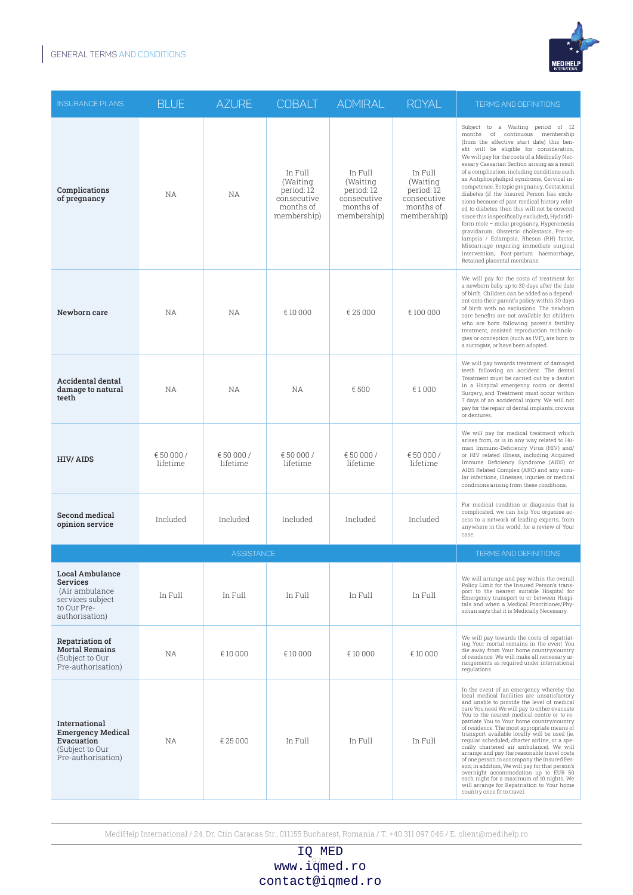

| <b>INSURANCE PLANS</b>                                                                                            | <b>BLUE</b>            | <b>AZURE</b>          | <b>COBALT</b>                                                                | <b>ADMIRAL</b>                                                               | <b>ROYAL</b>                                                                 | <b>TERMS AND DEFINITIONS</b>                                                                                                                                                                                                                                                                                                                                                                                                                                                                                                                                                                                                                                                                                                                                                                                                                                             |
|-------------------------------------------------------------------------------------------------------------------|------------------------|-----------------------|------------------------------------------------------------------------------|------------------------------------------------------------------------------|------------------------------------------------------------------------------|--------------------------------------------------------------------------------------------------------------------------------------------------------------------------------------------------------------------------------------------------------------------------------------------------------------------------------------------------------------------------------------------------------------------------------------------------------------------------------------------------------------------------------------------------------------------------------------------------------------------------------------------------------------------------------------------------------------------------------------------------------------------------------------------------------------------------------------------------------------------------|
| Complications<br>of pregnancy                                                                                     | <b>NA</b>              | <b>NA</b>             | In Full<br>(Waiting<br>period: 12<br>consecutive<br>months of<br>membership) | In Full<br>(Waiting<br>period: 12<br>consecutive<br>months of<br>membership) | In Full<br>(Waiting<br>period: 12<br>consecutive<br>months of<br>membership) | Subject to a Waiting period of 12<br>months of continuous membership<br>(from the effective start date) this ben-<br>efit will be eligible for consideration.<br>We will pay for the costs of a Medically Nec-<br>essary Caesarian Section arising as a result<br>of a complication, including conditions such<br>as Antiphospholipid syndrome, Cervical in-<br>competence, Ectopic pregnancy, Gestational<br>diabetes (if the Insured Person has exclu-<br>sions because of past medical history relat-<br>ed to diabetes, then this will not be covered<br>since this is specifically excluded), Hydatidi-<br>form mole - molar pregnancy, Hyperemesis<br>gravidarum, Obstetric cholestasis, Pre-ec-<br>lampsia / Eclampsia, Rhesus (RH) factor,<br>Miscarriage requiring immediate surgical<br>intervention, Post-partum haemorrhage,<br>Retained placental membrane. |
| Newborn care                                                                                                      | NA                     | <b>NA</b>             | € 10 000                                                                     | € 25 000                                                                     | € 100 000                                                                    | We will pay for the costs of treatment for<br>a newborn baby up to 30 days after the date<br>of birth. Children can be added as a depend-<br>ent onto their parent's policy within 30 days<br>of birth with no exclusions. The newborn<br>care benefits are not available for children<br>who are born following parent's fertility<br>treatment, assisted reproduction technolo-<br>gies or conception (such as IVF), are born to<br>a surrogate, or have been adopted.                                                                                                                                                                                                                                                                                                                                                                                                 |
| <b>Accidental dental</b><br>damage to natural<br>teeth                                                            | NA                     | NA                    | NА                                                                           | €500                                                                         | €1000                                                                        | We will pay towards treatment of damaged<br>teeth following an accident. The dental<br>Treatment must be carried out by a dentist<br>in a Hospital emergency room or dental<br>Surgery, and Treatment must occur within<br>7 days of an accidental injury. We will not<br>pay for the repair of dental implants, crowns<br>or dentures.                                                                                                                                                                                                                                                                                                                                                                                                                                                                                                                                  |
| <b>HIV/AIDS</b>                                                                                                   | € 50 000 /<br>lifetime | €50 000 /<br>lifetime | € 50 000 /<br>lifetime                                                       | €50 000 /<br>lifetime                                                        | €50 000 /<br>lifetime                                                        | We will pay for medical treatment which<br>arises from, or is in any way related to Hu-<br>man Immuno-Deficiency Virus (HIV) and/<br>or HIV related illness, including Acquired<br>Immune Deficiency Syndrome (AIDS) or<br>AIDS Related Complex (ARC) and any simi-<br>lar infections, illnesses, injuries or medical<br>conditions arising from these conditions.                                                                                                                                                                                                                                                                                                                                                                                                                                                                                                       |
| Second medical<br>opinion service                                                                                 | Included               | Included              | Included                                                                     | Included                                                                     | Included                                                                     | For medical condition or diagnosis that is<br>complicated, we can help You organise ac-<br>cess to a network of leading experts, from<br>anywhere in the world, for a review of Your<br>case.                                                                                                                                                                                                                                                                                                                                                                                                                                                                                                                                                                                                                                                                            |
|                                                                                                                   |                        | <b>ASSISTANCE</b>     |                                                                              |                                                                              |                                                                              | <b>TERMS AND DEFINITIONS</b>                                                                                                                                                                                                                                                                                                                                                                                                                                                                                                                                                                                                                                                                                                                                                                                                                                             |
| <b>Local Ambulance</b><br><b>Services</b><br>(Air ambulance)<br>services subject<br>to Our Pre-<br>authorisation) | In Full                | In Full               | In Full                                                                      | In Full                                                                      | In Full                                                                      | We will arrange and pay within the overall<br>Policy Limit for the Insured Person's trans-<br>port to the nearest suitable Hospital for<br>Emergency transport to or between Hospi-<br>tals and when a Medical Practitioner/Phy-<br>sician says that it is Medically Necessary.                                                                                                                                                                                                                                                                                                                                                                                                                                                                                                                                                                                          |
| <b>Repatriation of</b><br><b>Mortal Remains</b><br>(Subject to Our<br>Pre-authorisation)                          | NА                     | € 10 000              | € 10 000                                                                     | € 10 000                                                                     | € 10 000                                                                     | We will pay towards the costs of repatriat-<br>ing Your mortal remains in the event You<br>die away from Your home country/country<br>of residence. We will make all necessary ar-<br>rangements as required under international<br>regulations.                                                                                                                                                                                                                                                                                                                                                                                                                                                                                                                                                                                                                         |
| International<br><b>Emergency Medical</b><br>Evacuation<br>(Subject to Our<br>Pre-authorisation)                  | ΝA                     | € 25 000              | In Full                                                                      | In Full                                                                      | In Full                                                                      | In the event of an emergency whereby the<br>local medical facilities are unsatisfactory<br>and unable to provide the level of medical<br>care You need We will pay to either evacuate<br>You to the nearest medical centre or to re-<br>patriate You to Your home country/country<br>of residence. The most appropriate means of<br>transport available locally will be used (ie.<br>regular scheduled, charter airline, or a spe-<br>cially chartered air ambulance). We will<br>arrange and pay the reasonable travel costs<br>of one person to accompany the Insured Per-<br>son; in addition, We will pay for that person's<br>overnight accommodation up to EUR 50<br>each night for a maximum of 10 nights. We<br>will arrange for Repatriation to Your home<br>country once fit to travel.                                                                        |